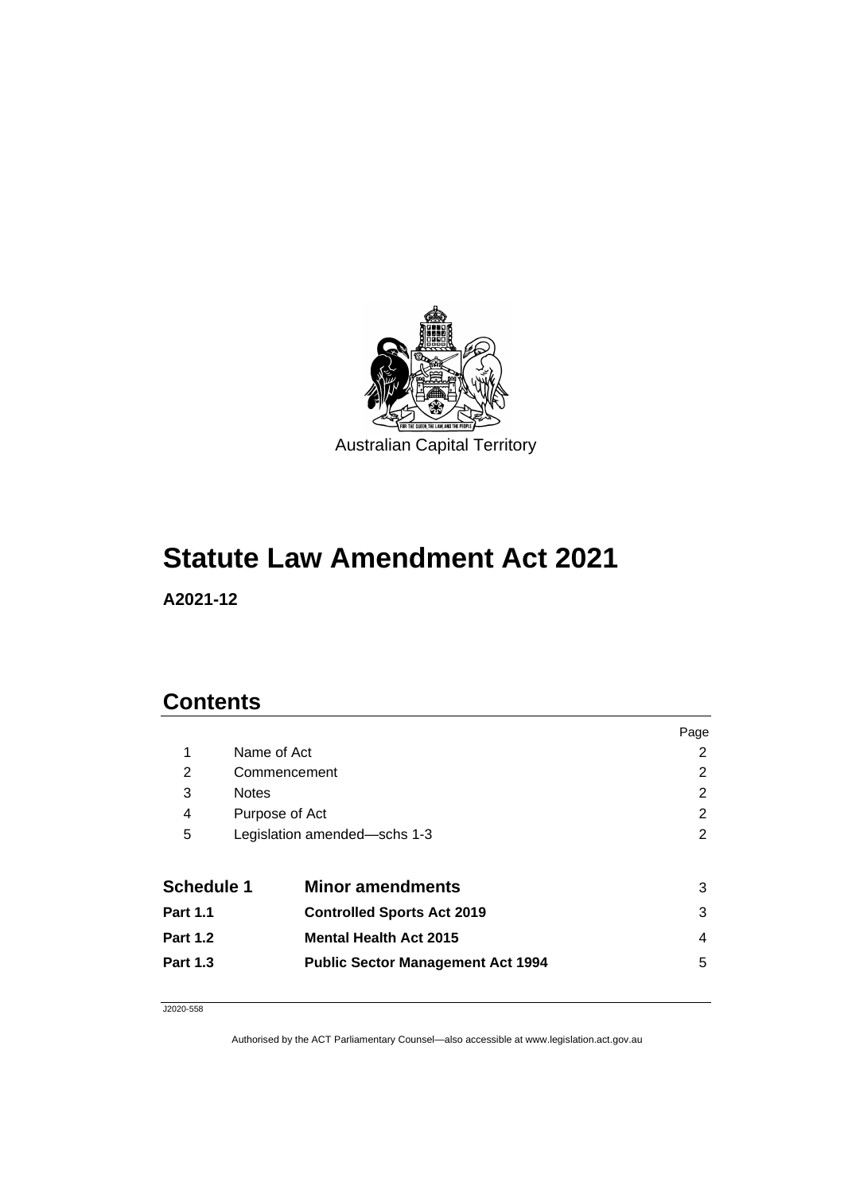

## **Statute Law Amendment Act 2021**

**A2021-12**

## **Contents**

|                   |                                          | Page |
|-------------------|------------------------------------------|------|
| 1                 | Name of Act                              | 2    |
| $\overline{2}$    | Commencement                             | 2    |
| 3                 | <b>Notes</b>                             | 2    |
| 4                 | Purpose of Act                           | 2    |
| 5                 | Legislation amended-schs 1-3             | 2    |
|                   |                                          |      |
| <b>Schedule 1</b> | <b>Minor amendments</b>                  | 3    |
| <b>Part 1.1</b>   | <b>Controlled Sports Act 2019</b>        | 3    |
| <b>Part 1.2</b>   | <b>Mental Health Act 2015</b>            | 4    |
| <b>Part 1.3</b>   | <b>Public Sector Management Act 1994</b> | 5    |
|                   |                                          |      |

J2020-558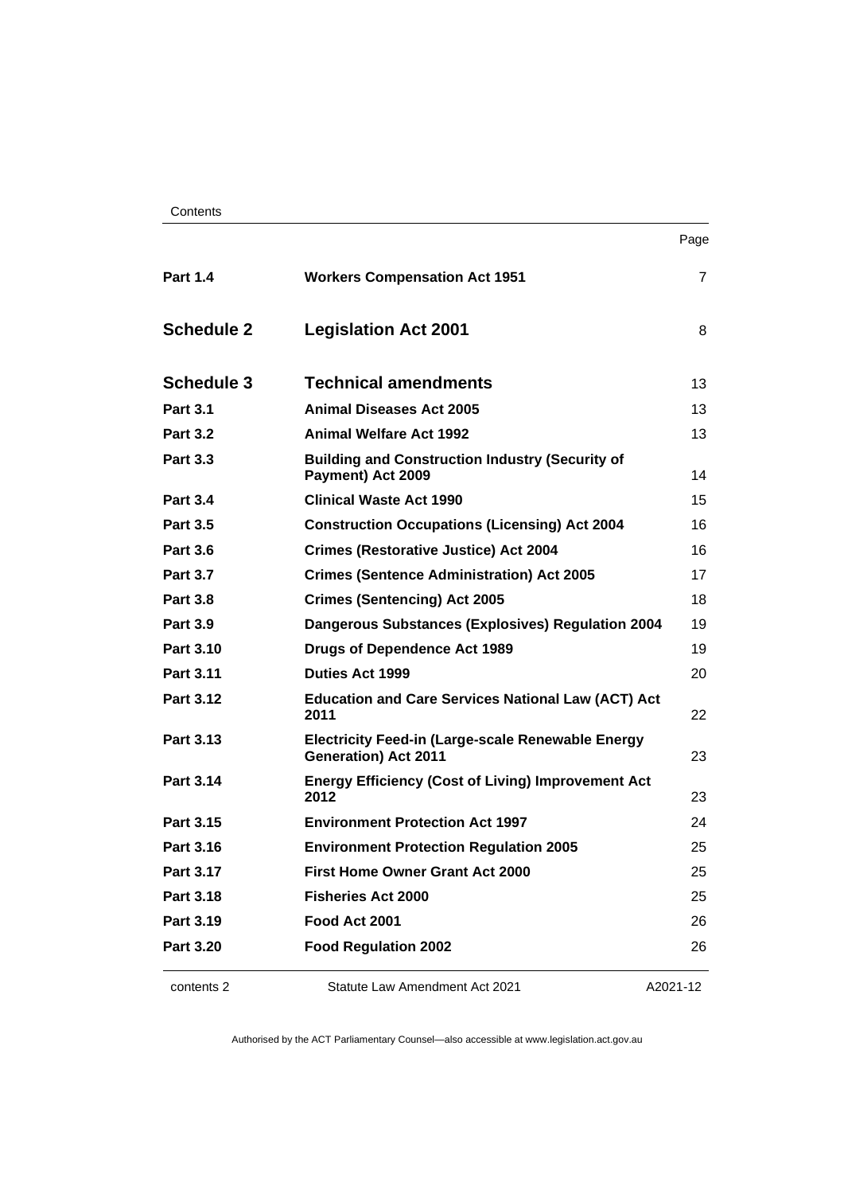| Contents |
|----------|
|----------|

| ۰. |
|----|
|----|

| <b>Part 1.4</b>   | <b>Workers Compensation Act 1951</b>                                                    | $\overline{7}$ |
|-------------------|-----------------------------------------------------------------------------------------|----------------|
| <b>Schedule 2</b> | <b>Legislation Act 2001</b>                                                             | 8              |
| <b>Schedule 3</b> | <b>Technical amendments</b>                                                             | 13             |
| <b>Part 3.1</b>   | <b>Animal Diseases Act 2005</b>                                                         | 13             |
| <b>Part 3.2</b>   | <b>Animal Welfare Act 1992</b>                                                          | 13             |
| <b>Part 3.3</b>   | <b>Building and Construction Industry (Security of</b><br>Payment) Act 2009             | 14             |
| <b>Part 3.4</b>   | <b>Clinical Waste Act 1990</b>                                                          | 15             |
| <b>Part 3.5</b>   | <b>Construction Occupations (Licensing) Act 2004</b>                                    | 16             |
| <b>Part 3.6</b>   | <b>Crimes (Restorative Justice) Act 2004</b>                                            | 16             |
| <b>Part 3.7</b>   | <b>Crimes (Sentence Administration) Act 2005</b>                                        | 17             |
| <b>Part 3.8</b>   | <b>Crimes (Sentencing) Act 2005</b>                                                     | 18             |
| <b>Part 3.9</b>   | <b>Dangerous Substances (Explosives) Regulation 2004</b>                                | 19             |
| <b>Part 3.10</b>  | <b>Drugs of Dependence Act 1989</b>                                                     | 19             |
| <b>Part 3.11</b>  | <b>Duties Act 1999</b>                                                                  | 20             |
| Part 3.12         | <b>Education and Care Services National Law (ACT) Act</b><br>2011                       | 22             |
| <b>Part 3.13</b>  | <b>Electricity Feed-in (Large-scale Renewable Energy</b><br><b>Generation) Act 2011</b> | 23             |
| <b>Part 3.14</b>  | <b>Energy Efficiency (Cost of Living) Improvement Act</b><br>2012                       | 23             |
| Part 3.15         | <b>Environment Protection Act 1997</b>                                                  | 24             |
| <b>Part 3.16</b>  | <b>Environment Protection Regulation 2005</b>                                           | 25             |
| <b>Part 3.17</b>  | <b>First Home Owner Grant Act 2000</b>                                                  | 25             |
| Part 3.18         | <b>Fisheries Act 2000</b>                                                               | 25             |
| <b>Part 3.19</b>  | Food Act 2001                                                                           | 26             |
| <b>Part 3.20</b>  | <b>Food Regulation 2002</b>                                                             | 26             |

contents 2 Statute Law Amendment Act 2021

A2021-12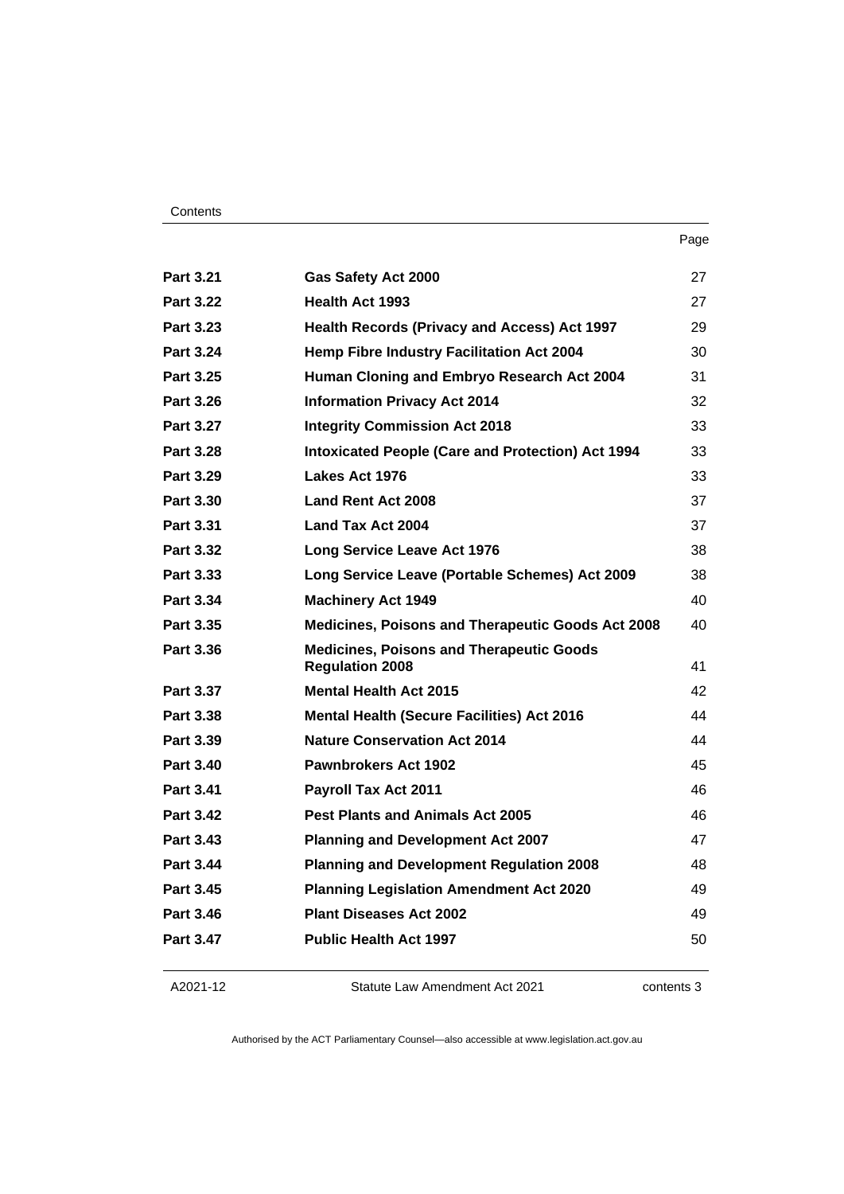| ×<br>×<br>I |
|-------------|
|-------------|

| <b>Part 3.21</b> | <b>Gas Safety Act 2000</b>                                                | 27 |
|------------------|---------------------------------------------------------------------------|----|
| <b>Part 3.22</b> | <b>Health Act 1993</b>                                                    | 27 |
| Part 3.23        | <b>Health Records (Privacy and Access) Act 1997</b>                       | 29 |
| <b>Part 3.24</b> | <b>Hemp Fibre Industry Facilitation Act 2004</b>                          | 30 |
| <b>Part 3.25</b> | Human Cloning and Embryo Research Act 2004                                | 31 |
| <b>Part 3.26</b> | <b>Information Privacy Act 2014</b>                                       | 32 |
| <b>Part 3.27</b> | <b>Integrity Commission Act 2018</b>                                      | 33 |
| <b>Part 3.28</b> | <b>Intoxicated People (Care and Protection) Act 1994</b>                  | 33 |
| <b>Part 3.29</b> | Lakes Act 1976                                                            | 33 |
| Part 3.30        | <b>Land Rent Act 2008</b>                                                 | 37 |
| <b>Part 3.31</b> | Land Tax Act 2004                                                         | 37 |
| Part 3.32        | <b>Long Service Leave Act 1976</b>                                        | 38 |
| Part 3.33        | Long Service Leave (Portable Schemes) Act 2009                            | 38 |
| Part 3.34        | <b>Machinery Act 1949</b>                                                 | 40 |
| Part 3.35        | Medicines, Poisons and Therapeutic Goods Act 2008                         | 40 |
| <b>Part 3.36</b> | <b>Medicines, Poisons and Therapeutic Goods</b><br><b>Regulation 2008</b> | 41 |
| <b>Part 3.37</b> | <b>Mental Health Act 2015</b>                                             | 42 |
| <b>Part 3.38</b> | <b>Mental Health (Secure Facilities) Act 2016</b>                         | 44 |
| Part 3.39        | <b>Nature Conservation Act 2014</b>                                       | 44 |
| Part 3.40        | <b>Pawnbrokers Act 1902</b>                                               | 45 |
| <b>Part 3.41</b> | <b>Payroll Tax Act 2011</b>                                               | 46 |
| <b>Part 3.42</b> | <b>Pest Plants and Animals Act 2005</b>                                   | 46 |
| Part 3.43        | <b>Planning and Development Act 2007</b>                                  | 47 |
| Part 3.44        | <b>Planning and Development Regulation 2008</b>                           | 48 |
| Part 3.45        | <b>Planning Legislation Amendment Act 2020</b>                            | 49 |
| <b>Part 3.46</b> | <b>Plant Diseases Act 2002</b>                                            | 49 |
| Part 3.47        | <b>Public Health Act 1997</b>                                             | 50 |
|                  |                                                                           |    |

## A2021-12

Statute Law Amendment Act 2021

contents 3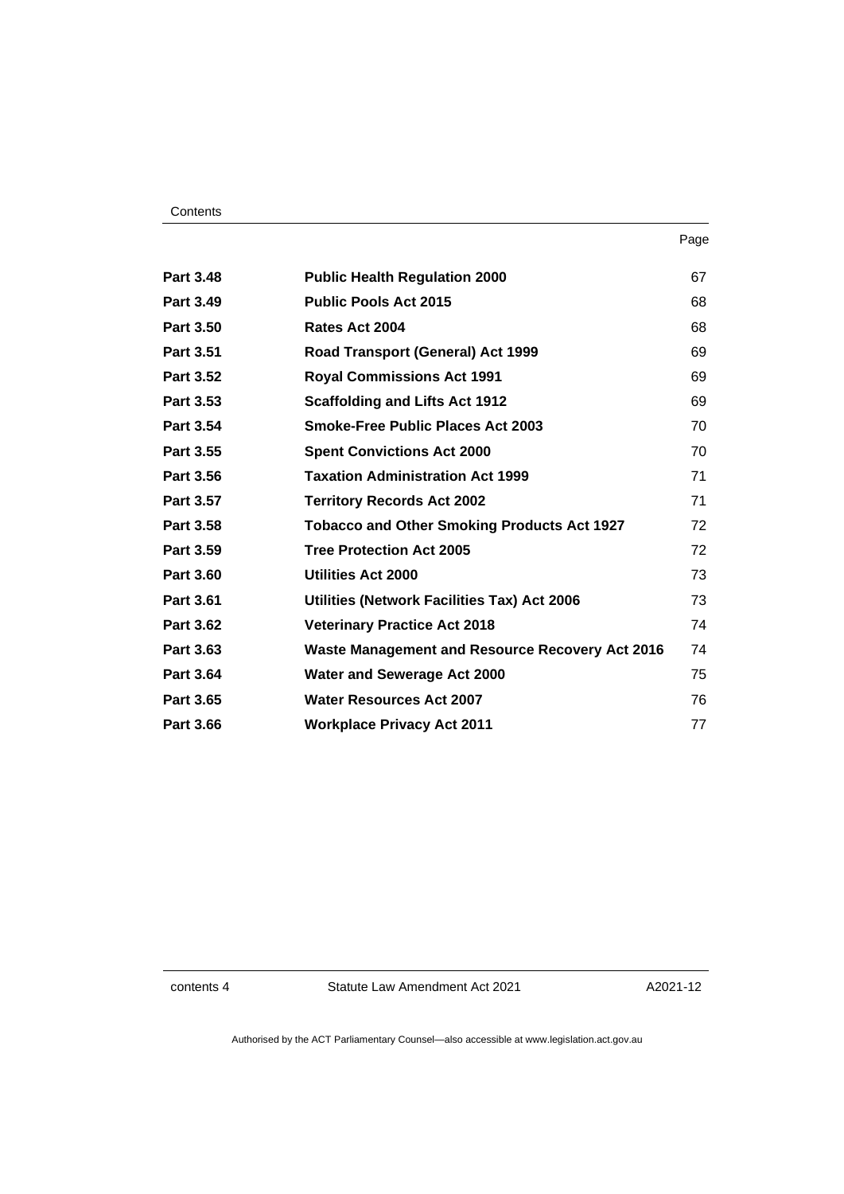### **Contents**

| Part 3.48        | <b>Public Health Regulation 2000</b>                   | 67 |
|------------------|--------------------------------------------------------|----|
| <b>Part 3.49</b> | <b>Public Pools Act 2015</b>                           | 68 |
| Part 3.50        | Rates Act 2004                                         | 68 |
| <b>Part 3.51</b> | Road Transport (General) Act 1999                      | 69 |
| <b>Part 3.52</b> | <b>Royal Commissions Act 1991</b>                      | 69 |
| Part 3.53        | <b>Scaffolding and Lifts Act 1912</b>                  | 69 |
| <b>Part 3.54</b> | <b>Smoke-Free Public Places Act 2003</b>               | 70 |
| <b>Part 3.55</b> | <b>Spent Convictions Act 2000</b>                      | 70 |
| <b>Part 3.56</b> | <b>Taxation Administration Act 1999</b>                | 71 |
| <b>Part 3.57</b> | <b>Territory Records Act 2002</b>                      | 71 |
| <b>Part 3.58</b> | <b>Tobacco and Other Smoking Products Act 1927</b>     | 72 |
| Part 3.59        | <b>Tree Protection Act 2005</b>                        | 72 |
| <b>Part 3.60</b> | Utilities Act 2000                                     | 73 |
| <b>Part 3.61</b> | Utilities (Network Facilities Tax) Act 2006            | 73 |
| <b>Part 3.62</b> | <b>Veterinary Practice Act 2018</b>                    | 74 |
| Part 3.63        | <b>Waste Management and Resource Recovery Act 2016</b> | 74 |
| <b>Part 3.64</b> | <b>Water and Sewerage Act 2000</b>                     | 75 |
| Part 3.65        | <b>Water Resources Act 2007</b>                        | 76 |
| <b>Part 3.66</b> | <b>Workplace Privacy Act 2011</b>                      | 77 |

contents 4 Statute Law Amendment Act 2021

A2021-12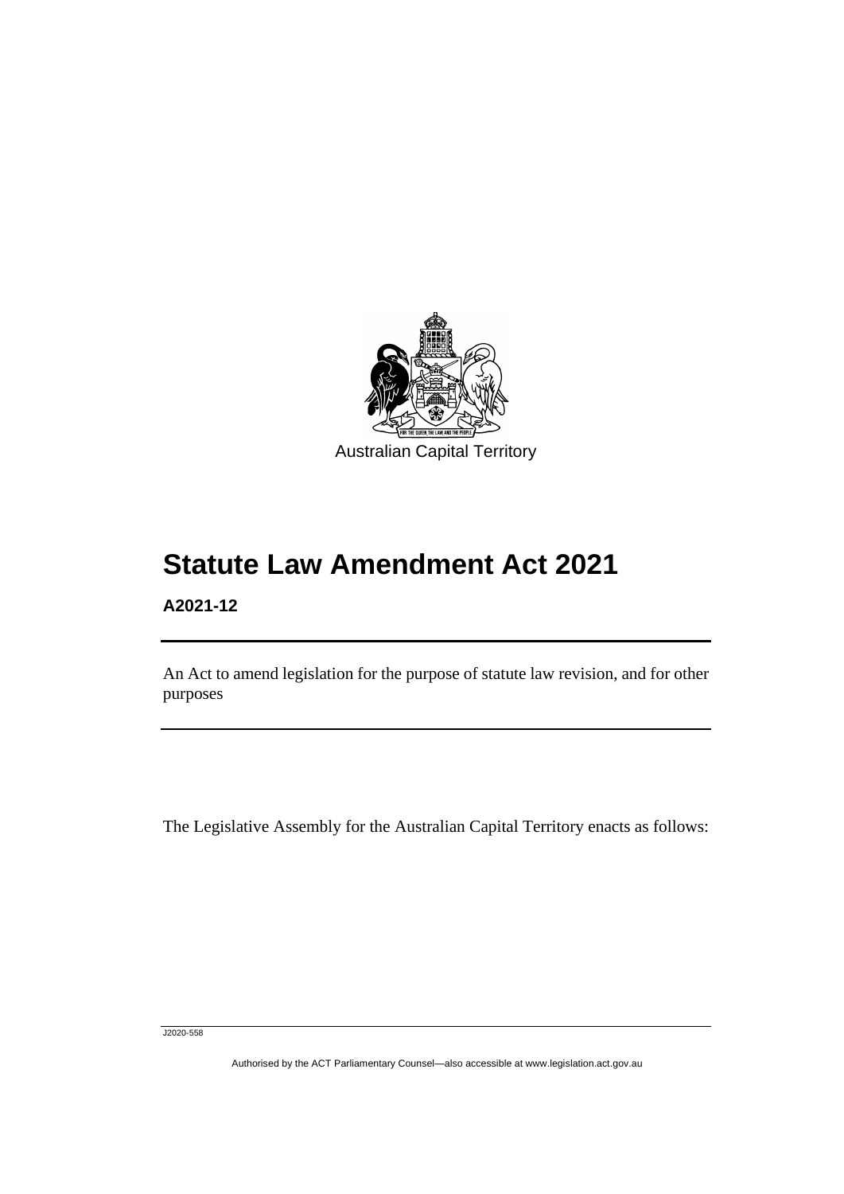

# **Statute Law Amendment Act 2021**

## **A2021-12**

ׅ֖֖֚֚֡֡֬֝֬

An Act to amend legislation for the purpose of statute law revision, and for other purposes

The Legislative Assembly for the Australian Capital Territory enacts as follows:

J2020-558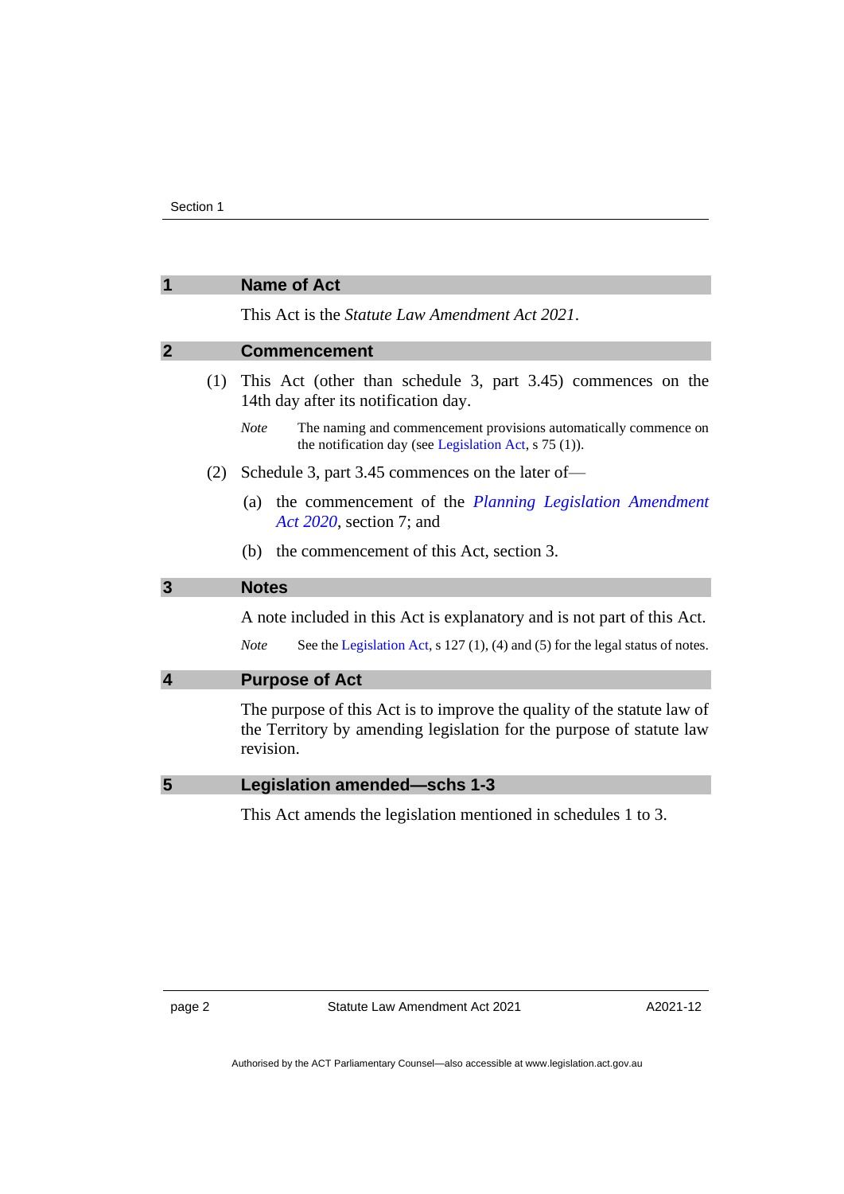<span id="page-5-2"></span><span id="page-5-1"></span><span id="page-5-0"></span>

|              |     | <b>Name of Act</b>                                                                                                                                           |  |
|--------------|-----|--------------------------------------------------------------------------------------------------------------------------------------------------------------|--|
|              |     | This Act is the Statute Law Amendment Act 2021.                                                                                                              |  |
| $\mathbf{2}$ |     | <b>Commencement</b>                                                                                                                                          |  |
|              | (1) | This Act (other than schedule 3, part 3.45) commences on the<br>14th day after its notification day.                                                         |  |
|              |     | <b>Note</b><br>The naming and commencement provisions automatically commence on<br>the notification day (see Legislation Act, s 75 (1)).                     |  |
|              | (2) | Schedule 3, part 3.45 commences on the later of-                                                                                                             |  |
|              |     | the commencement of the Planning Legislation Amendment<br>(a)<br>Act 2020, section 7; and                                                                    |  |
|              |     | (b) the commencement of this Act, section 3.                                                                                                                 |  |
| 3            |     | <b>Notes</b>                                                                                                                                                 |  |
|              |     | A note included in this Act is explanatory and is not part of this Act.                                                                                      |  |
|              |     | <b>Note</b><br>See the Legislation Act, $s$ 127(1), (4) and (5) for the legal status of notes.                                                               |  |
| 4            |     | <b>Purpose of Act</b>                                                                                                                                        |  |
|              |     | The purpose of this Act is to improve the quality of the statute law of<br>the Territory by amending legislation for the purpose of statute law<br>revision. |  |
| 5            |     | <b>Legislation amended-schs 1-3</b>                                                                                                                          |  |
|              |     | This Act amends the legislation mentioned in schedules 1 to 3.                                                                                               |  |
|              |     |                                                                                                                                                              |  |
|              |     |                                                                                                                                                              |  |
|              |     |                                                                                                                                                              |  |

<span id="page-5-4"></span><span id="page-5-3"></span>page 2 Statute Law Amendment Act 2021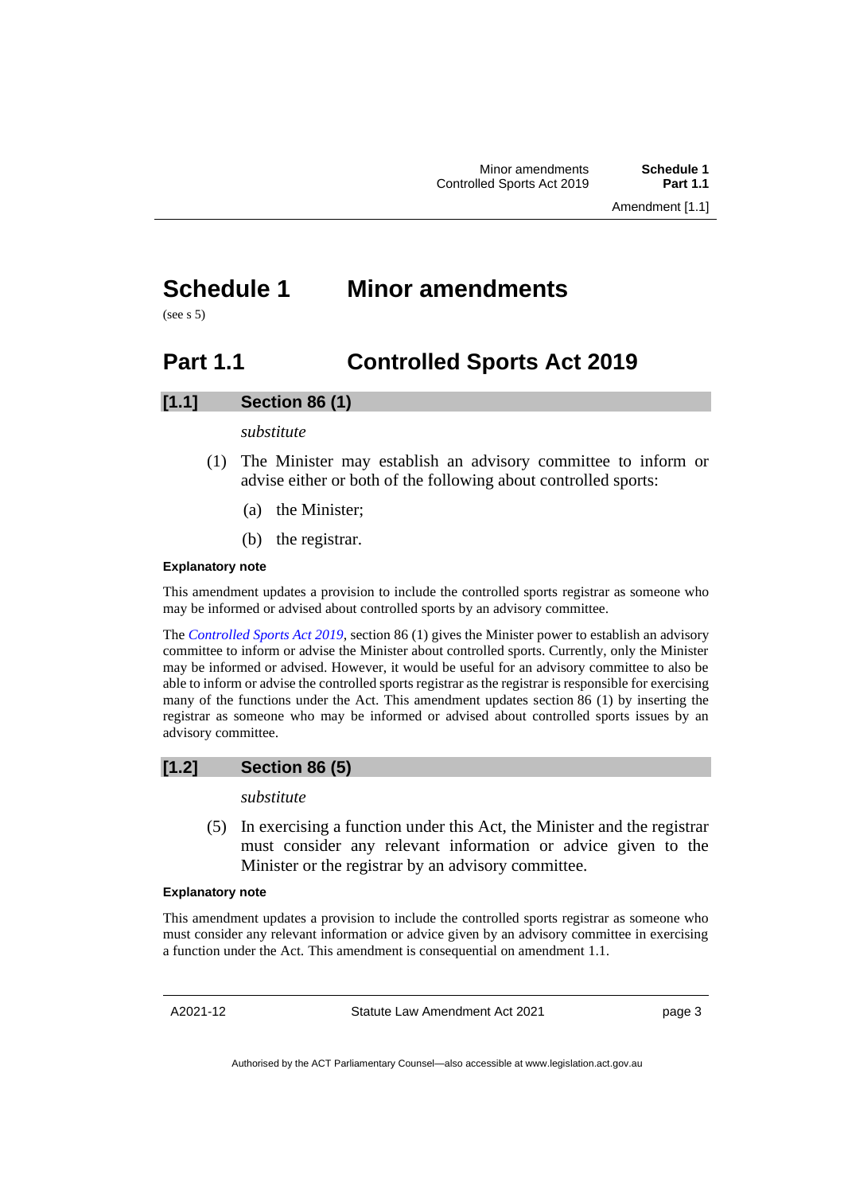## <span id="page-6-0"></span>**Schedule 1 Minor amendments**

<span id="page-6-1"></span>(see s 5)

## **Part 1.1 Controlled Sports Act 2019**

## **[1.1] Section 86 (1)**

## *substitute*

- (1) The Minister may establish an advisory committee to inform or advise either or both of the following about controlled sports:
	- (a) the Minister;
	- (b) the registrar.

### **Explanatory note**

This amendment updates a provision to include the controlled sports registrar as someone who may be informed or advised about controlled sports by an advisory committee.

The *[Controlled Sports Act 2019](http://www.legislation.act.gov.au/a/2019-9)*, section 86 (1) gives the Minister power to establish an advisory committee to inform or advise the Minister about controlled sports. Currently, only the Minister may be informed or advised. However, it would be useful for an advisory committee to also be able to inform or advise the controlled sports registrar as the registrar is responsible for exercising many of the functions under the Act. This amendment updates section 86 (1) by inserting the registrar as someone who may be informed or advised about controlled sports issues by an advisory committee.

## **[1.2] Section 86 (5)**

## *substitute*

(5) In exercising a function under this Act, the Minister and the registrar must consider any relevant information or advice given to the Minister or the registrar by an advisory committee.

### **Explanatory note**

This amendment updates a provision to include the controlled sports registrar as someone who must consider any relevant information or advice given by an advisory committee in exercising a function under the Act. This amendment is consequential on amendment 1.1.

A2021-12

Statute Law Amendment Act 2021

page 3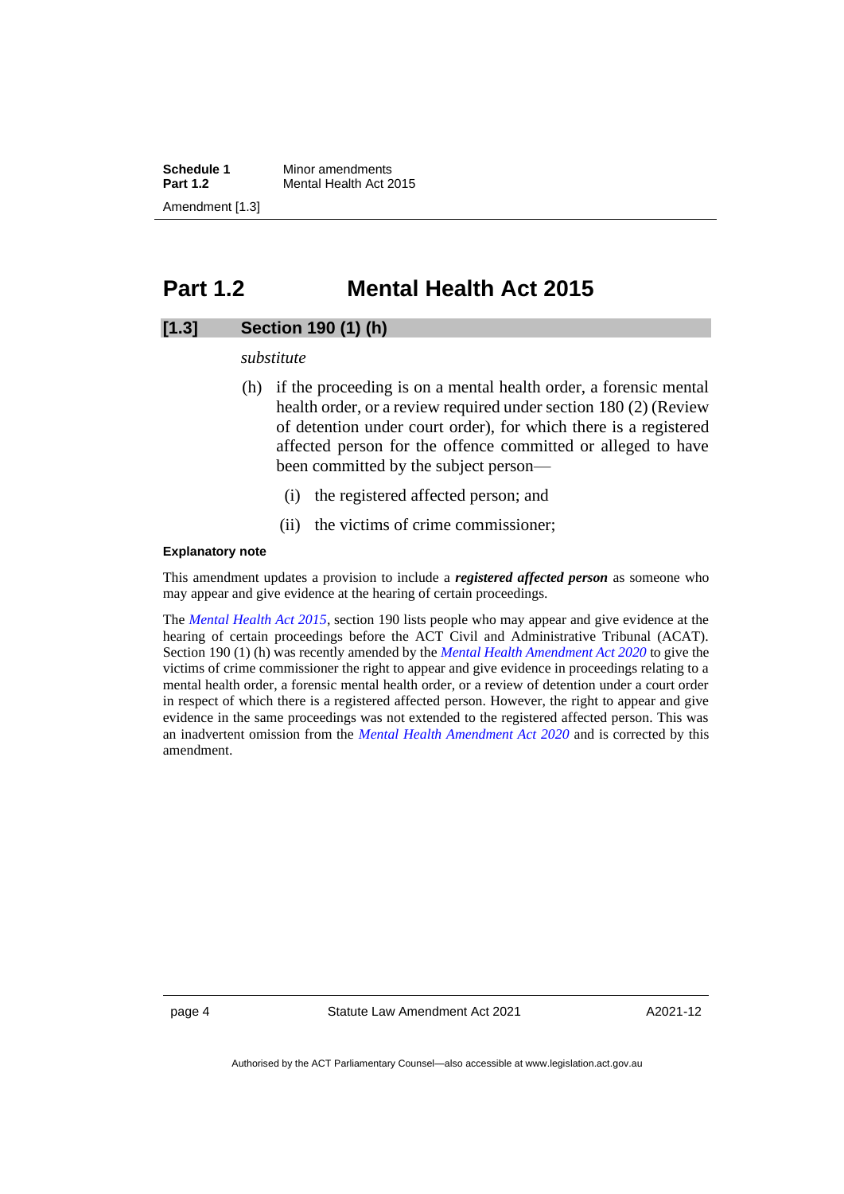**Schedule 1** Minor amendments<br>**Part 1.2** Mental Health Act 2 **Mental Health Act 2015** Amendment [1.3]

## <span id="page-7-0"></span>**Part 1.2 Mental Health Act 2015**

## **[1.3] Section 190 (1) (h)**

*substitute*

- (h) if the proceeding is on a mental health order, a forensic mental health order, or a review required under section 180 (2) (Review of detention under court order), for which there is a registered affected person for the offence committed or alleged to have been committed by the subject person—
	- (i) the registered affected person; and
	- (ii) the victims of crime commissioner;

### **Explanatory note**

This amendment updates a provision to include a *registered affected person* as someone who may appear and give evidence at the hearing of certain proceedings.

The *[Mental Health Act 2015](http://www.legislation.act.gov.au/a/2015-38)*, section 190 lists people who may appear and give evidence at the hearing of certain proceedings before the ACT Civil and Administrative Tribunal (ACAT). Section 190 (1) (h) was recently amended by the *[Mental Health Amendment Act 2020](https://legislation.act.gov.au/a/2020-43/)* to give the victims of crime commissioner the right to appear and give evidence in proceedings relating to a mental health order, a forensic mental health order, or a review of detention under a court order in respect of which there is a registered affected person. However, the right to appear and give evidence in the same proceedings was not extended to the registered affected person. This was an inadvertent omission from the *[Mental Health Amendment Act 2020](https://legislation.act.gov.au/a/2020-43/)* and is corrected by this amendment.

page 4 Statute Law Amendment Act 2021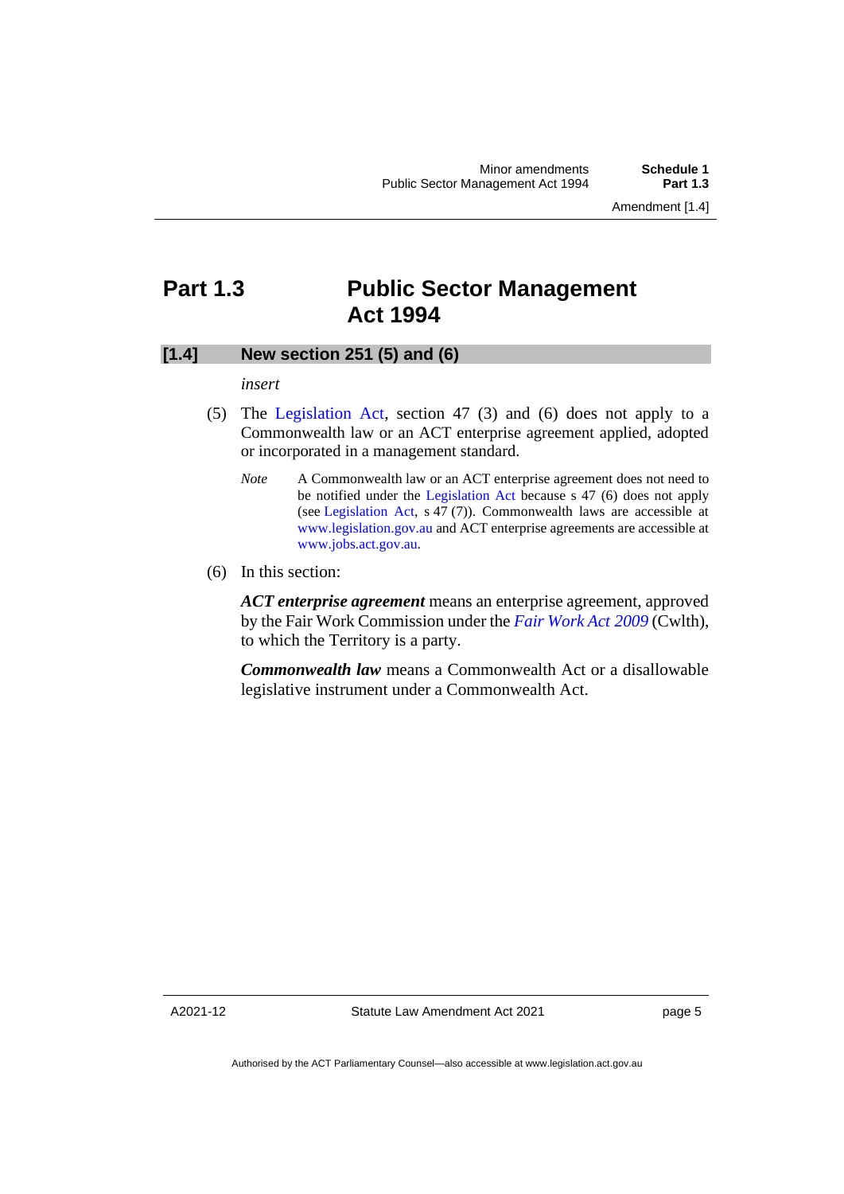## <span id="page-8-0"></span>**Part 1.3 Public Sector Management Act 1994**

## **[1.4] New section 251 (5) and (6)**

### *insert*

- (5) The [Legislation Act,](http://www.legislation.act.gov.au/a/2001-14) section 47 (3) and (6) does not apply to a Commonwealth law or an ACT enterprise agreement applied, adopted or incorporated in a management standard.
	- *Note* A Commonwealth law or an ACT enterprise agreement does not need to be notified under the [Legislation Act](http://www.legislation.act.gov.au/a/2001-14) because s 47 (6) does not apply (see [Legislation Act,](http://www.legislation.act.gov.au/a/2001-14) s 47 (7)). Commonwealth laws are accessible at [www.legislation.gov.au](http://www.legislation.gov.au/) and ACT enterprise agreements are accessible at [www.jobs.act.gov.au.](http://www.jobs.act.gov.au/)
- (6) In this section:

*ACT enterprise agreement* means an enterprise agreement, approved by the Fair Work Commission under the *[Fair Work Act](https://www.legislation.gov.au/Series/C2009A00028) 2009* (Cwlth), to which the Territory is a party.

*Commonwealth law* means a Commonwealth Act or a disallowable legislative instrument under a Commonwealth Act.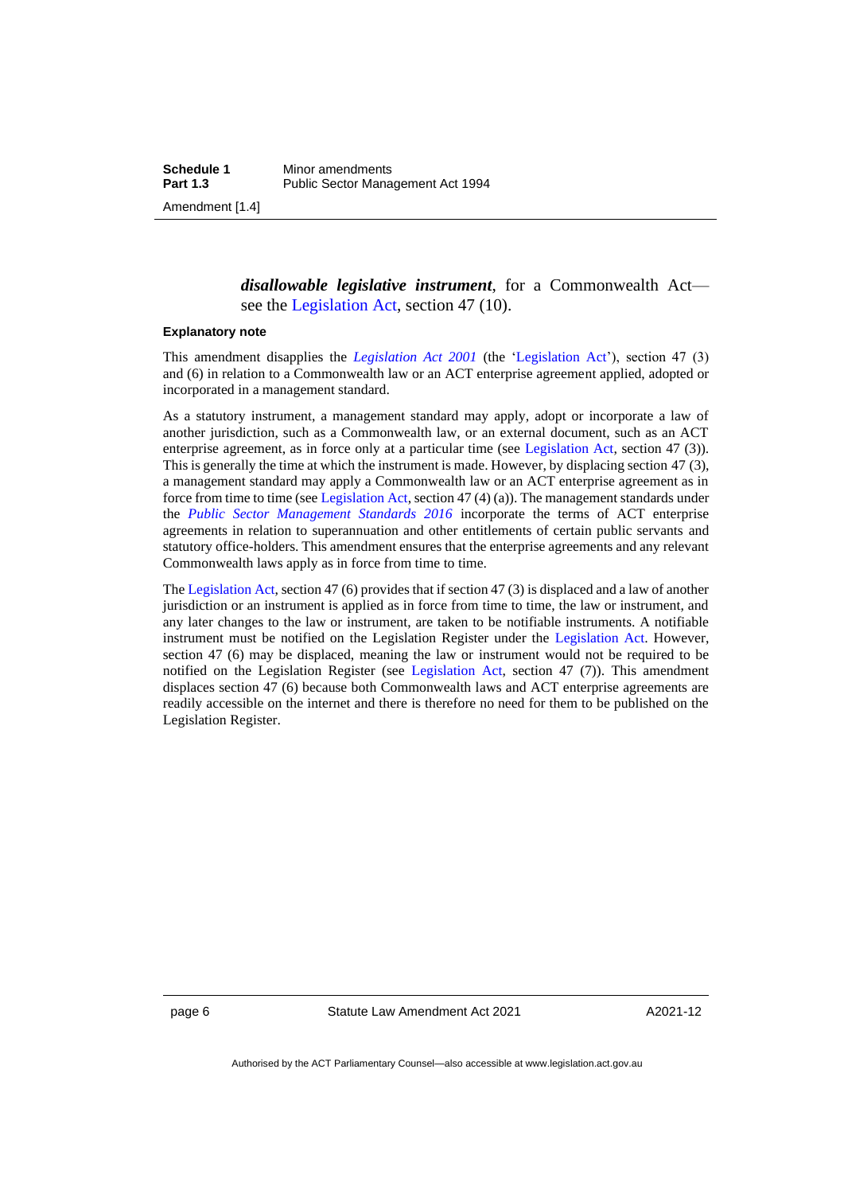*disallowable legislative instrument*, for a Commonwealth Act see the [Legislation Act,](http://www.legislation.act.gov.au/a/2001-14) section 47 (10).

#### **Explanatory note**

This amendment disapplies the *[Legislation Act 2001](http://www.legislation.act.gov.au/a/2001-14)* (the ['Legislation Act'](http://www.legislation.act.gov.au/a/2001-14)), section 47 (3) and (6) in relation to a Commonwealth law or an ACT enterprise agreement applied, adopted or incorporated in a management standard.

As a statutory instrument, a management standard may apply, adopt or incorporate a law of another jurisdiction, such as a Commonwealth law, or an external document, such as an ACT enterprise agreement, as in force only at a particular time (see [Legislation Act,](http://www.legislation.act.gov.au/a/2001-14) section 47 (3)). This is generally the time at which the instrument is made. However, by displacing section 47 (3), a management standard may apply a Commonwealth law or an ACT enterprise agreement as in force from time to time (se[e Legislation Act,](http://www.legislation.act.gov.au/a/2001-14) section 47 (4) (a)). The management standards under the *[Public Sector Management Standards 2016](https://legislation.act.gov.au/di/2016-251/)* incorporate the terms of ACT enterprise agreements in relation to superannuation and other entitlements of certain public servants and statutory office-holders. This amendment ensures that the enterprise agreements and any relevant Commonwealth laws apply as in force from time to time.

Th[e Legislation Act,](http://www.legislation.act.gov.au/a/2001-14) section 47 (6) provides that if section 47 (3) is displaced and a law of another jurisdiction or an instrument is applied as in force from time to time, the law or instrument, and any later changes to the law or instrument, are taken to be notifiable instruments. A notifiable instrument must be notified on the Legislation Register under the [Legislation Act.](http://www.legislation.act.gov.au/a/2001-14) However, section 47 (6) may be displaced, meaning the law or instrument would not be required to be notified on the Legislation Register (see [Legislation Act,](http://www.legislation.act.gov.au/a/2001-14) section 47 (7)). This amendment displaces section 47 (6) because both Commonwealth laws and ACT enterprise agreements are readily accessible on the internet and there is therefore no need for them to be published on the Legislation Register.

page 6 Statute Law Amendment Act 2021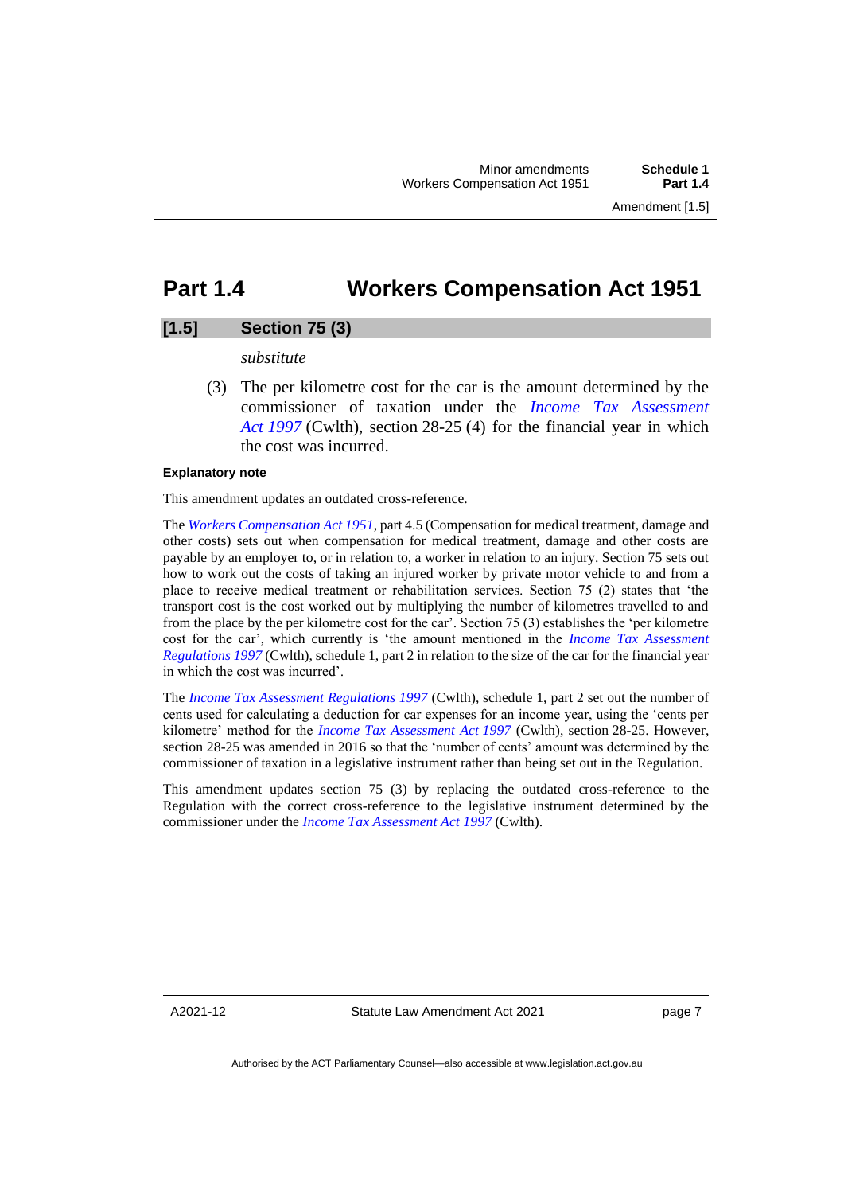## <span id="page-10-0"></span>**Part 1.4 Workers Compensation Act 1951**

## **[1.5] Section 75 (3)**

#### *substitute*

(3) The per kilometre cost for the car is the amount determined by the commissioner of taxation under the *[Income Tax Assessment](https://www.legislation.gov.au/Series/C2004A05138)  Act [1997](https://www.legislation.gov.au/Series/C2004A05138)* (Cwlth), section 28-25 (4) for the financial year in which the cost was incurred.

### **Explanatory note**

This amendment updates an outdated cross-reference.

The *[Workers Compensation Act 1951](http://www.legislation.act.gov.au/a/1951-2)*, part 4.5 (Compensation for medical treatment, damage and other costs) sets out when compensation for medical treatment, damage and other costs are payable by an employer to, or in relation to, a worker in relation to an injury. Section 75 sets out how to work out the costs of taking an injured worker by private motor vehicle to and from a place to receive medical treatment or rehabilitation services. Section 75 (2) states that 'the transport cost is the cost worked out by multiplying the number of kilometres travelled to and from the place by the per kilometre cost for the car'. Section 75 (3) establishes the 'per kilometre cost for the car', which currently is 'the amount mentioned in the *[Income Tax Assessment](https://www.legislation.gov.au/Series/F1997B02703)  [Regulations 1997](https://www.legislation.gov.au/Series/F1997B02703)* (Cwlth), schedule 1, part 2 in relation to the size of the car for the financial year in which the cost was incurred'.

The *[Income Tax Assessment](https://www.legislation.gov.au/Series/F1997B02703) Regulations 1997* (Cwlth), schedule 1, part 2 set out the number of cents used for calculating a deduction for car expenses for an income year, using the 'cents per kilometre' method for the *[Income Tax Assessment Act](https://www.legislation.gov.au/Series/C2004A05138) 1997* (Cwlth), section 28-25. However, section 28-25 was amended in 2016 so that the 'number of cents' amount was determined by the commissioner of taxation in a legislative instrument rather than being set out in the Regulation.

This amendment updates section 75 (3) by replacing the outdated cross-reference to the Regulation with the correct cross-reference to the legislative instrument determined by the commissioner under the *[Income Tax Assessment Act](https://www.legislation.gov.au/Series/C2004A05138) 1997* (Cwlth).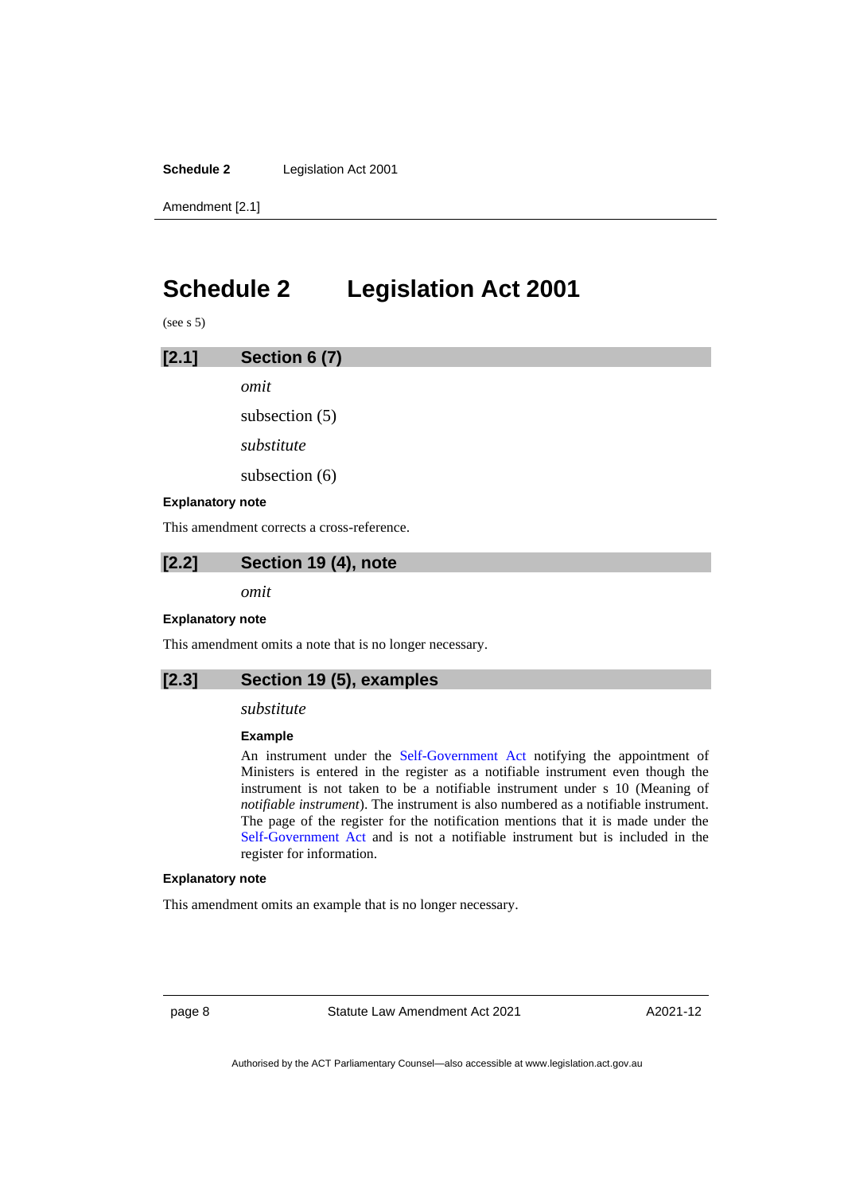**Schedule 2** Legislation Act 2001

Amendment [2.1]

## <span id="page-11-0"></span>**Schedule 2 Legislation Act 2001**

(see s 5)

| [2.1]                   | Section 6 (7)    |
|-------------------------|------------------|
|                         | omit             |
|                         | subsection $(5)$ |
|                         | substitute       |
|                         | subsection $(6)$ |
| <b>Explanatory note</b> |                  |

This amendment corrects a cross-reference.

**[2.2] Section 19 (4), note**

*omit*

#### **Explanatory note**

This amendment omits a note that is no longer necessary.

## **[2.3] Section 19 (5), examples**

### *substitute*

### **Example**

An instrument under the [Self-Government Act](http://www.comlaw.gov.au/Series/C2004A03699) notifying the appointment of Ministers is entered in the register as a notifiable instrument even though the instrument is not taken to be a notifiable instrument under s 10 (Meaning of *notifiable instrument*). The instrument is also numbered as a notifiable instrument. The page of the register for the notification mentions that it is made under the [Self-Government Act](http://www.comlaw.gov.au/Series/C2004A03699) and is not a notifiable instrument but is included in the register for information.

#### **Explanatory note**

This amendment omits an example that is no longer necessary.

page 8 Statute Law Amendment Act 2021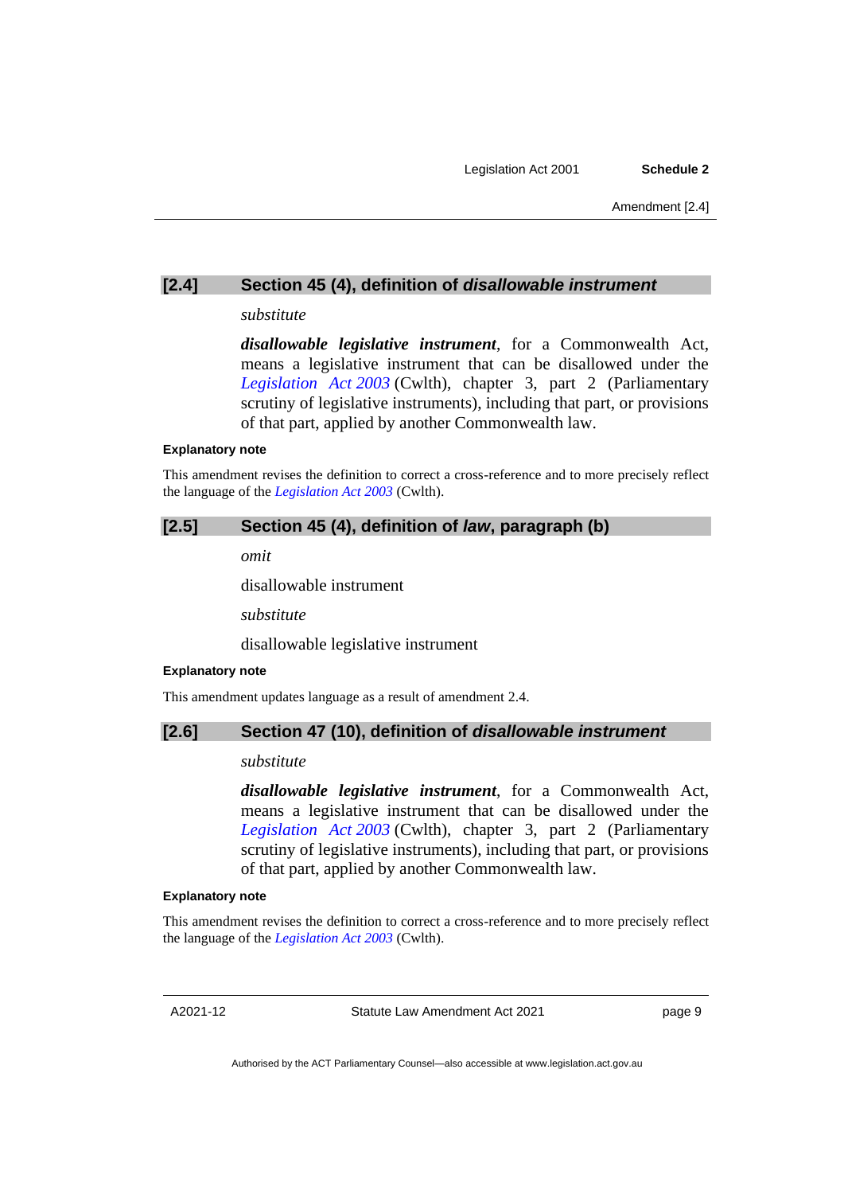## **[2.4] Section 45 (4), definition of** *disallowable instrument*

### *substitute*

*disallowable legislative instrument*, for a Commonwealth Act, means a legislative instrument that can be disallowed under the *[Legislation Act](https://www.legislation.gov.au/Series/C2004A01224) 2003* (Cwlth), chapter 3, part 2 (Parliamentary scrutiny of legislative instruments), including that part, or provisions of that part, applied by another Commonwealth law.

#### **Explanatory note**

This amendment revises the definition to correct a cross-reference and to more precisely reflect the language of the *[Legislation Act](https://www.legislation.gov.au/Series/C2004A01224) 2003* (Cwlth).

## **[2.5] Section 45 (4), definition of** *law***, paragraph (b)**

*omit*

disallowable instrument

*substitute*

disallowable legislative instrument

### **Explanatory note**

This amendment updates language as a result of amendment 2.4.

## **[2.6] Section 47 (10), definition of** *disallowable instrument*

### *substitute*

*disallowable legislative instrument*, for a Commonwealth Act, means a legislative instrument that can be disallowed under the *[Legislation Act](https://www.legislation.gov.au/Series/C2004A01224) 2003* (Cwlth), chapter 3, part 2 (Parliamentary scrutiny of legislative instruments), including that part, or provisions of that part, applied by another Commonwealth law.

#### **Explanatory note**

This amendment revises the definition to correct a cross-reference and to more precisely reflect the language of the *[Legislation Act](https://www.legislation.gov.au/Series/C2004A01224) 2003* (Cwlth).

A2021-12

Statute Law Amendment Act 2021

page 9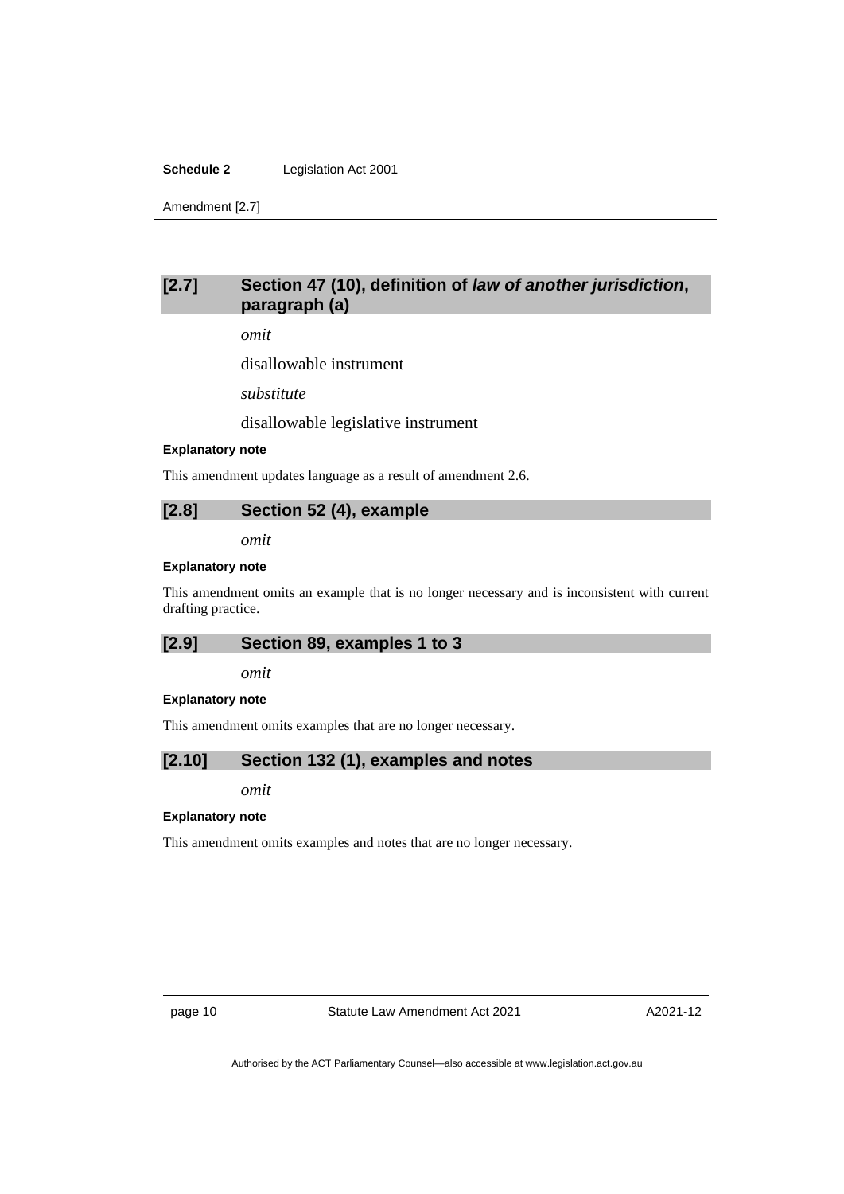### **Schedule 2** Legislation Act 2001

Amendment [2.7]

## **[2.7] Section 47 (10), definition of** *law of another jurisdiction***, paragraph (a)**

*omit*

disallowable instrument

*substitute*

disallowable legislative instrument

#### **Explanatory note**

This amendment updates language as a result of amendment 2.6.

### **[2.8] Section 52 (4), example**

*omit*

### **Explanatory note**

This amendment omits an example that is no longer necessary and is inconsistent with current drafting practice.

## **[2.9] Section 89, examples 1 to 3**

*omit*

#### **Explanatory note**

This amendment omits examples that are no longer necessary.

## **[2.10] Section 132 (1), examples and notes**

*omit*

### **Explanatory note**

This amendment omits examples and notes that are no longer necessary.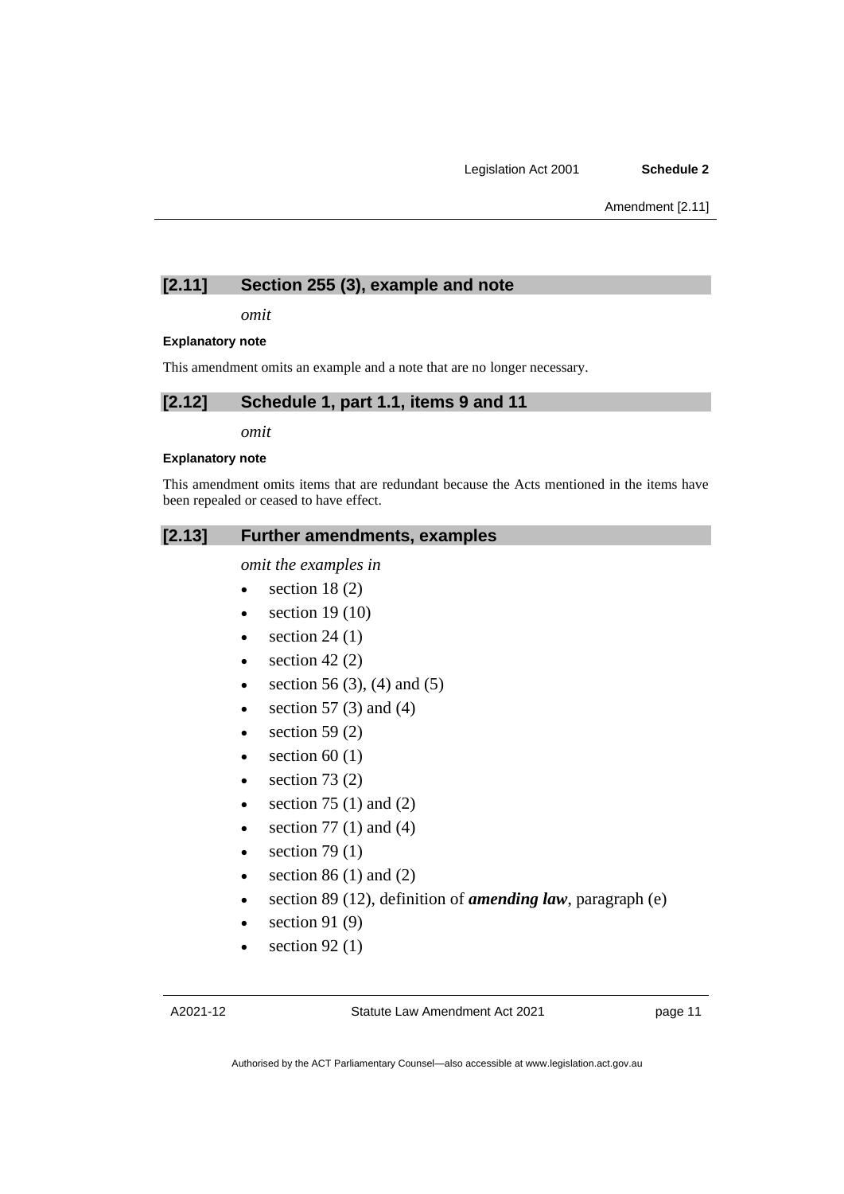## **[2.11] Section 255 (3), example and note**

*omit*

### **Explanatory note**

This amendment omits an example and a note that are no longer necessary.

## **[2.12] Schedule 1, part 1.1, items 9 and 11**

*omit*

### **Explanatory note**

This amendment omits items that are redundant because the Acts mentioned in the items have been repealed or ceased to have effect.

## **[2.13] Further amendments, examples**

*omit the examples in*

- section  $18(2)$
- section  $19(10)$
- section  $24(1)$
- $\bullet$  section 42 (2)
- section 56 (3), (4) and (5)
- section 57 $(3)$  and  $(4)$
- section 59 $(2)$
- $\bullet$  section 60 (1)
- $\bullet$  section 73 (2)
- section  $75(1)$  and  $(2)$
- section 77 $(1)$  and  $(4)$
- section  $79(1)$
- section  $86$  (1) and (2)
- section 89 (12), definition of *amending law*, paragraph (e)
- section 91 $(9)$
- section  $92(1)$

page 11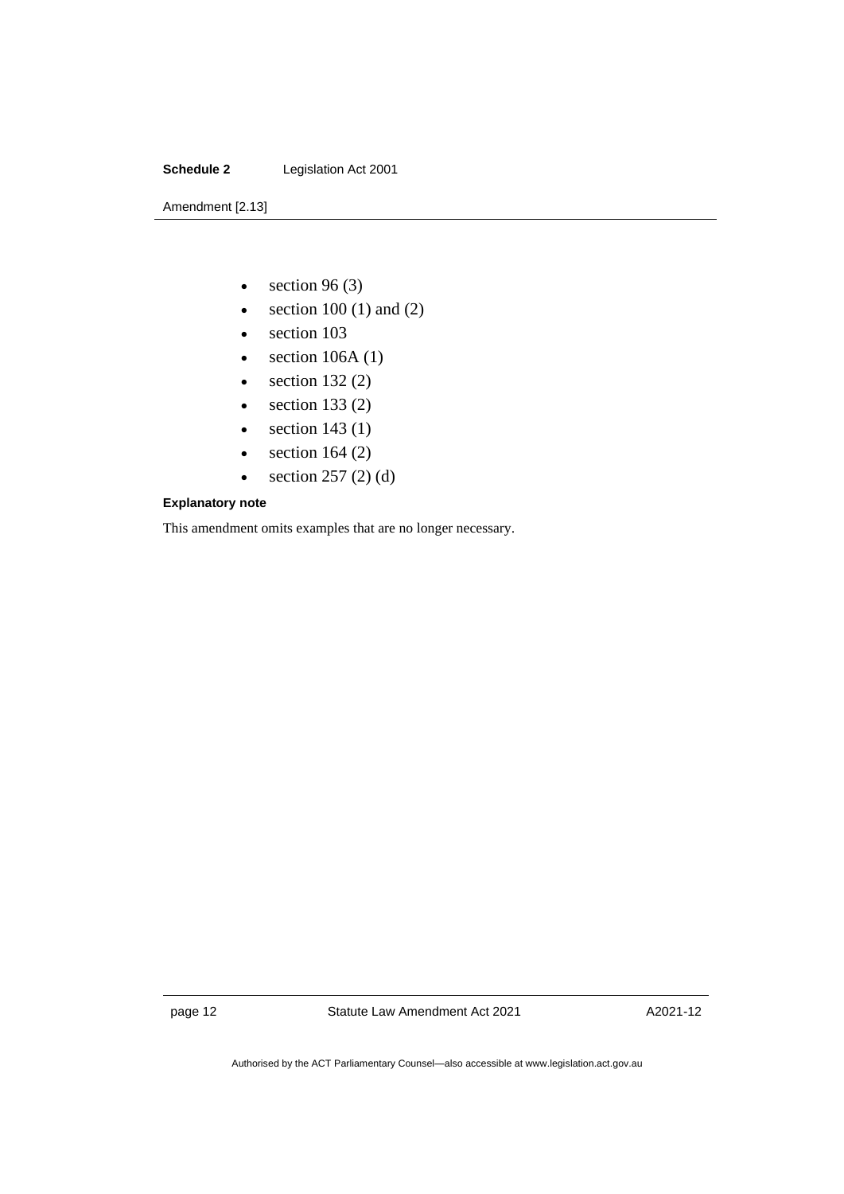### **Schedule 2** Legislation Act 2001

Amendment [2.13]

- section 96 $(3)$
- section  $100(1)$  and  $(2)$
- section 103
- section  $106A(1)$
- section  $132(2)$
- section  $133(2)$
- section  $143(1)$
- section  $164 (2)$
- section  $257(2)(d)$

### **Explanatory note**

This amendment omits examples that are no longer necessary.

page 12 Statute Law Amendment Act 2021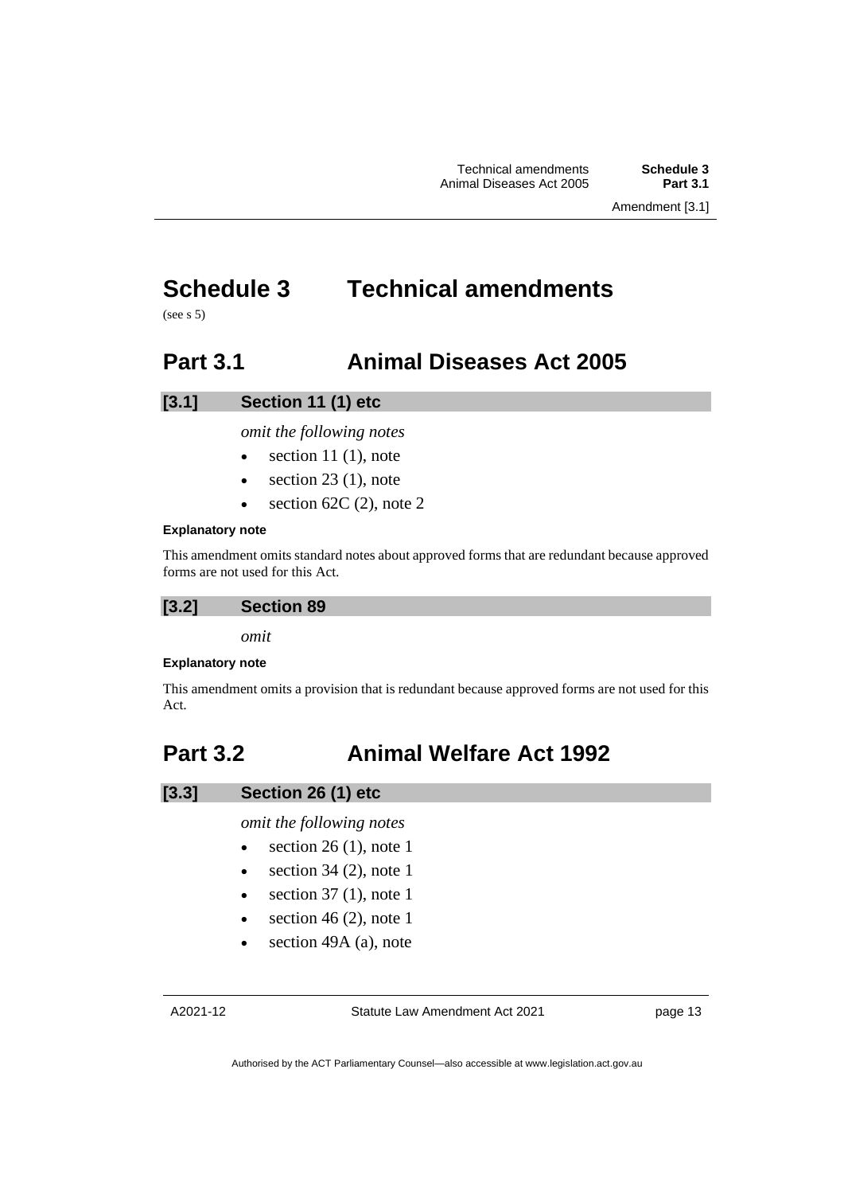## <span id="page-16-0"></span>**Schedule 3 Technical amendments**

<span id="page-16-1"></span> $(see s 5)$ 

## **Part 3.1 Animal Diseases Act 2005**

## **[3.1] Section 11 (1) etc**

*omit the following notes*

- $\bullet$  section 11 (1), note
- section  $23$  (1), note
- $\bullet$  section 62C (2), note 2

## **Explanatory note**

This amendment omits standard notes about approved forms that are redundant because approved forms are not used for this Act.

## **[3.2] Section 89**

*omit*

## **Explanatory note**

This amendment omits a provision that is redundant because approved forms are not used for this Act.

## <span id="page-16-2"></span>**Part 3.2 Animal Welfare Act 1992**

## **[3.3] Section 26 (1) etc**

*omit the following notes*

- $\bullet$  section 26 (1), note 1
- section  $34$  (2), note 1
- section  $37(1)$ , note 1
- section 46 (2), note 1
- section 49A (a), note

Statute Law Amendment Act 2021

page 13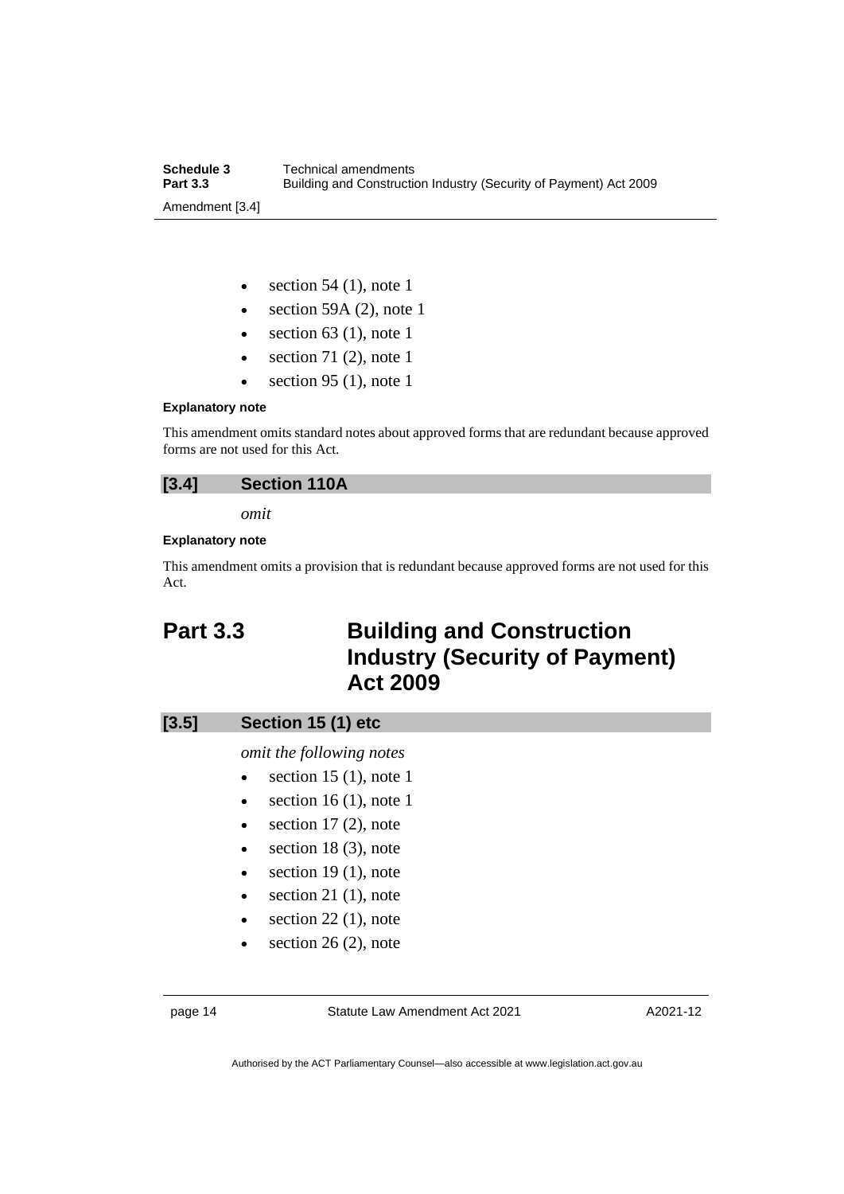| Schedule 3      | Technical amendments                                              |
|-----------------|-------------------------------------------------------------------|
| <b>Part 3.3</b> | Building and Construction Industry (Security of Payment) Act 2009 |
| Amendment [3.4] |                                                                   |

- section  $54$  (1), note 1
- section 59A  $(2)$ , note 1
- section  $63$  (1), note 1
- section 71 $(2)$ , note 1
- $\bullet$  section 95 (1), note 1

#### **Explanatory note**

This amendment omits standard notes about approved forms that are redundant because approved forms are not used for this Act.

## **[3.4] Section 110A**

*omit*

### **Explanatory note**

This amendment omits a provision that is redundant because approved forms are not used for this Act.

## <span id="page-17-0"></span>**Part 3.3 Building and Construction Industry (Security of Payment) Act 2009**

| $[3.5]$ | Section 15 (1) etc |  |  |
|---------|--------------------|--|--|
|---------|--------------------|--|--|

*omit the following notes*

- section 15 (1), note 1
- section  $16(1)$ , note 1
- $\bullet$  section 17 (2), note
- $\bullet$  section 18 (3), note
- $\bullet$  section 19 (1), note
- $\bullet$  section 21 (1), note
- $\bullet$  section 22 (1), note
- $\bullet$  section 26 (2), note

page 14 Statute Law Amendment Act 2021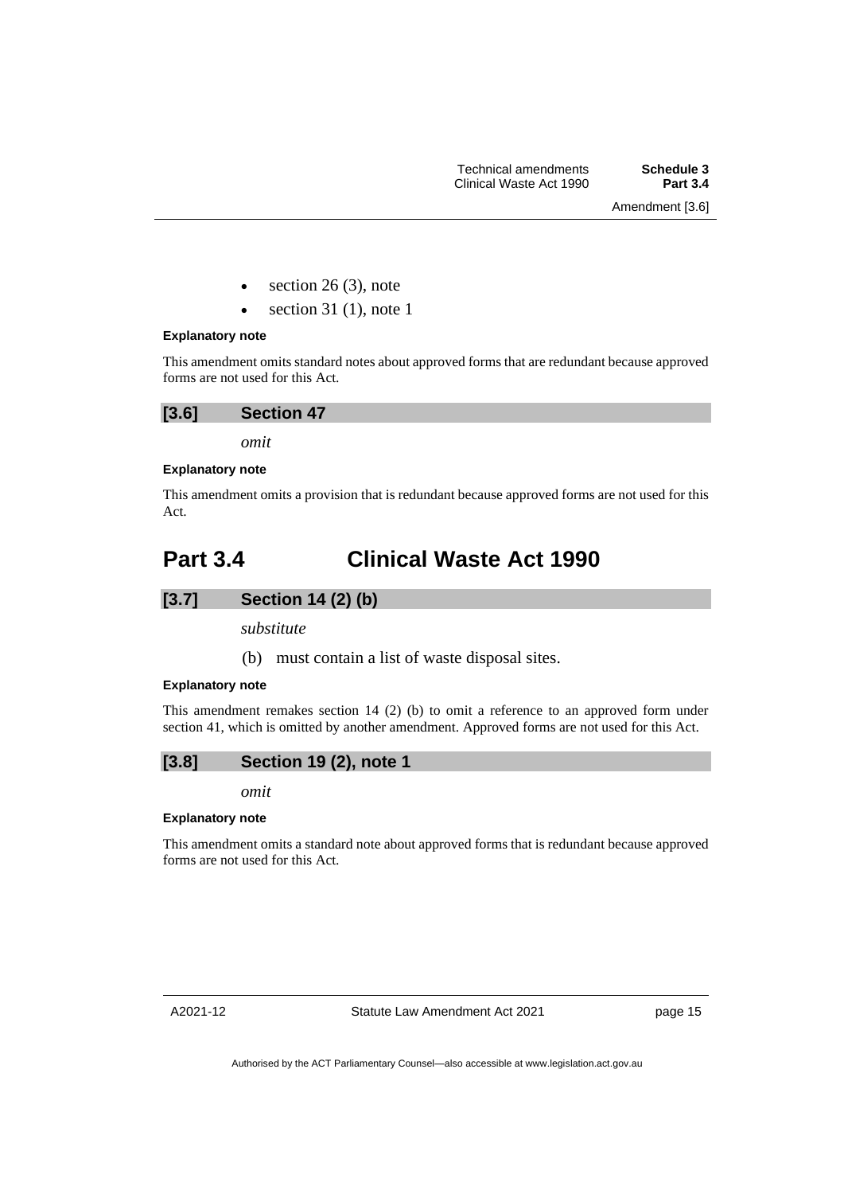- section  $26(3)$ , note
- section 31 $(1)$ , note 1

### **Explanatory note**

This amendment omits standard notes about approved forms that are redundant because approved forms are not used for this Act.

| [3.6] | <b>Section 47</b> |  |
|-------|-------------------|--|
|       |                   |  |

*omit*

### **Explanatory note**

This amendment omits a provision that is redundant because approved forms are not used for this Act.

## <span id="page-18-0"></span>**Part 3.4 Clinical Waste Act 1990**

## **[3.7] Section 14 (2) (b)**

*substitute*

(b) must contain a list of waste disposal sites.

### **Explanatory note**

This amendment remakes section 14 (2) (b) to omit a reference to an approved form under section 41, which is omitted by another amendment. Approved forms are not used for this Act.

## **[3.8] Section 19 (2), note 1**

*omit*

### **Explanatory note**

This amendment omits a standard note about approved forms that is redundant because approved forms are not used for this Act.

page 15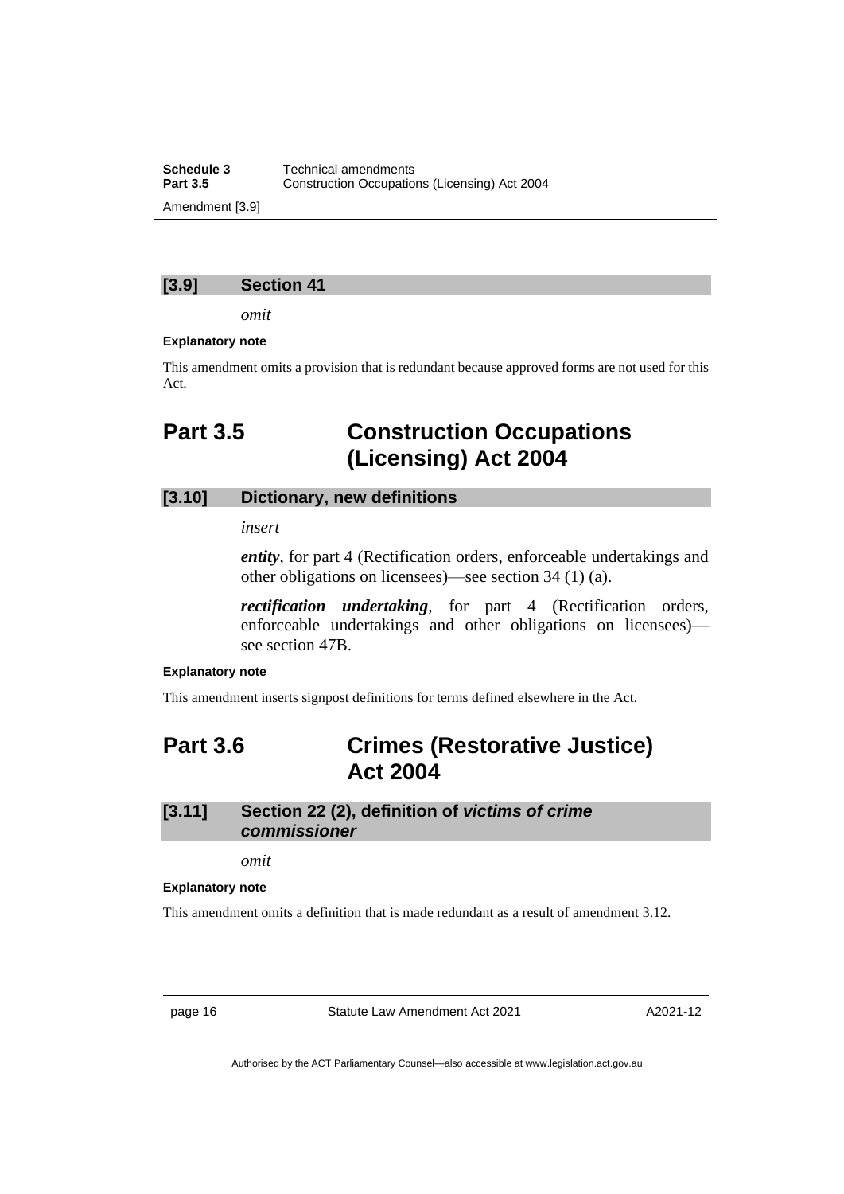**Schedule 3** Technical amendments<br>**Part 3.5** Construction Occupation **Construction Occupations (Licensing) Act 2004** Amendment [3.9]

## **[3.9] Section 41**

*omit*

#### **Explanatory note**

<span id="page-19-0"></span>This amendment omits a provision that is redundant because approved forms are not used for this Act.

## **Part 3.5 Construction Occupations (Licensing) Act 2004**

## **[3.10] Dictionary, new definitions**

*insert*

*entity*, for part 4 (Rectification orders, enforceable undertakings and other obligations on licensees)—see section 34 (1) (a).

*rectification undertaking*, for part 4 (Rectification orders, enforceable undertakings and other obligations on licensees) see section 47B.

#### **Explanatory note**

<span id="page-19-1"></span>This amendment inserts signpost definitions for terms defined elsewhere in the Act.

## **Part 3.6 Crimes (Restorative Justice) Act 2004**

## **[3.11] Section 22 (2), definition of** *victims of crime commissioner*

*omit*

#### **Explanatory note**

This amendment omits a definition that is made redundant as a result of amendment 3.12.

page 16 Statute Law Amendment Act 2021

A2021-12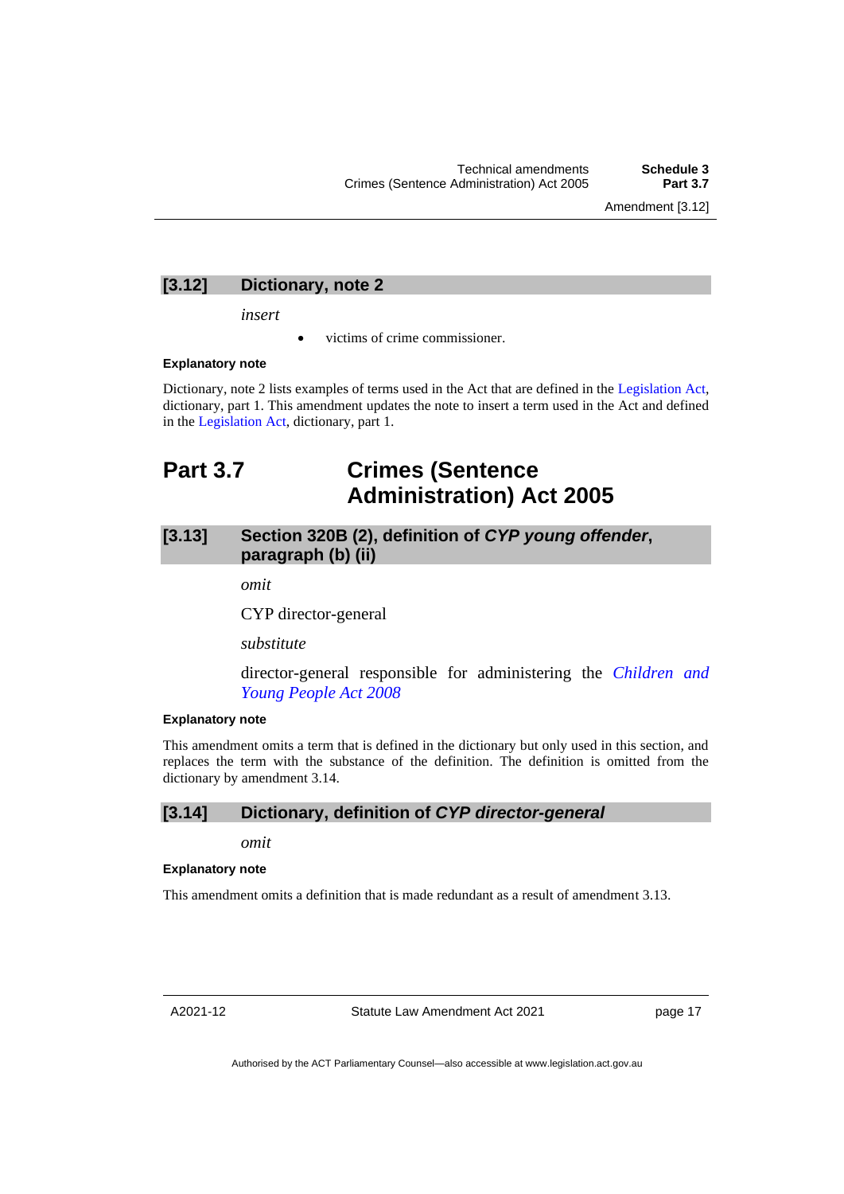Amendment [3.12]

## **[3.12] Dictionary, note 2**

*insert*

• victims of crime commissioner.

#### **Explanatory note**

Dictionary, note 2 lists examples of terms used in the Act that are defined in the [Legislation Act,](http://www.legislation.act.gov.au/a/2001-14) dictionary, part 1. This amendment updates the note to insert a term used in the Act and defined in the [Legislation Act,](http://www.legislation.act.gov.au/a/2001-14) dictionary, part 1.

## <span id="page-20-0"></span>**Part 3.7 Crimes (Sentence Administration) Act 2005**

## **[3.13] Section 320B (2), definition of** *CYP young offender***, paragraph (b) (ii)**

*omit*

CYP director-general

*substitute*

director-general responsible for administering the *[Children and](http://www.legislation.act.gov.au/a/2008-19)  [Young People Act 2008](http://www.legislation.act.gov.au/a/2008-19)*

### **Explanatory note**

This amendment omits a term that is defined in the dictionary but only used in this section, and replaces the term with the substance of the definition. The definition is omitted from the dictionary by amendment 3.14.

## **[3.14] Dictionary, definition of** *CYP director-general*

*omit*

#### **Explanatory note**

This amendment omits a definition that is made redundant as a result of amendment 3.13.

A2021-12

Statute Law Amendment Act 2021

page 17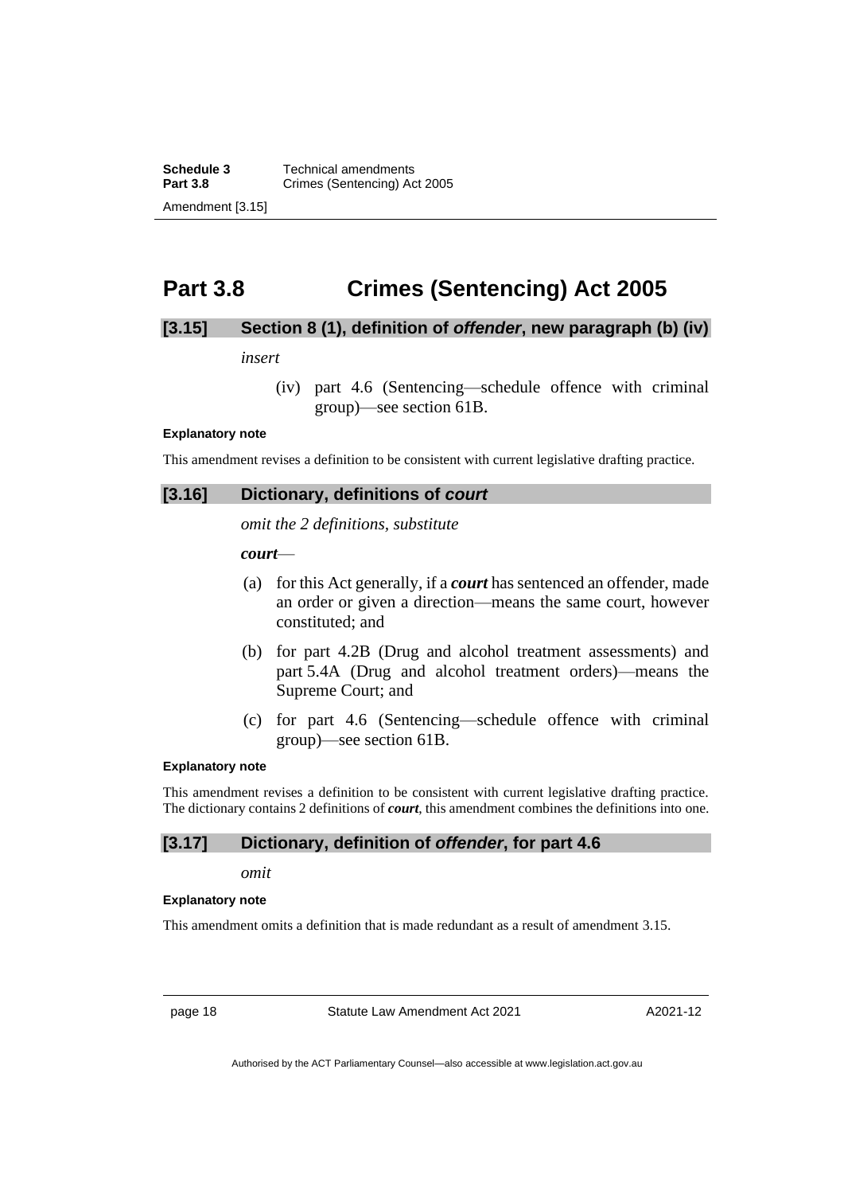**Schedule 3** Technical amendments<br>**Part 3.8** Crimes (Sentencing) Ac **Crimes (Sentencing) Act 2005** Amendment [3.15]

## <span id="page-21-0"></span>**Part 3.8 Crimes (Sentencing) Act 2005**

## **[3.15] Section 8 (1), definition of** *offender***, new paragraph (b) (iv)**

*insert*

(iv) part 4.6 (Sentencing—schedule offence with criminal group)—see section 61B.

#### **Explanatory note**

This amendment revises a definition to be consistent with current legislative drafting practice.

### **[3.16] Dictionary, definitions of** *court*

*omit the 2 definitions, substitute*

*court*—

- (a) for this Act generally, if a *court* has sentenced an offender, made an order or given a direction—means the same court, however constituted; and
- (b) for part 4.2B (Drug and alcohol treatment assessments) and part 5.4A (Drug and alcohol treatment orders)—means the Supreme Court; and
- (c) for part 4.6 (Sentencing—schedule offence with criminal group)—see section 61B.

#### **Explanatory note**

This amendment revises a definition to be consistent with current legislative drafting practice. The dictionary contains 2 definitions of *court*, this amendment combines the definitions into one.

### **[3.17] Dictionary, definition of** *offender***, for part 4.6**

*omit*

#### **Explanatory note**

This amendment omits a definition that is made redundant as a result of amendment 3.15.

page 18 Statute Law Amendment Act 2021

A2021-12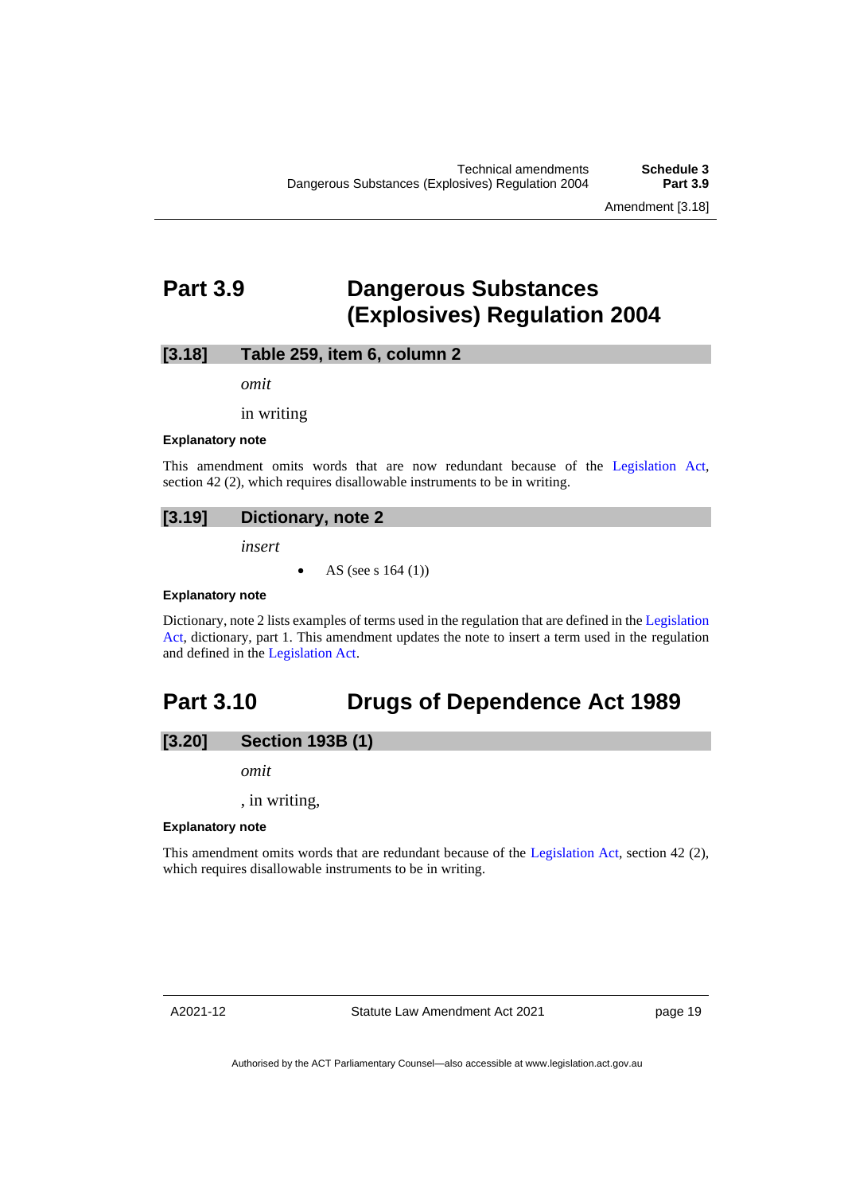## <span id="page-22-0"></span>**Part 3.9 Dangerous Substances (Explosives) Regulation 2004**

### **[3.18] Table 259, item 6, column 2**

*omit*

in writing

#### **Explanatory note**

This amendment omits words that are now redundant because of the [Legislation Act,](http://www.legislation.act.gov.au/a/2001-14) section 42 (2), which requires disallowable instruments to be in writing.

## **[3.19] Dictionary, note 2**

*insert*

• AS (see s 164 (1))

#### **Explanatory note**

Dictionary, note 2 lists examples of terms used in the regulation that are defined in th[e Legislation](http://www.legislation.act.gov.au/a/2001-14)  [Act,](http://www.legislation.act.gov.au/a/2001-14) dictionary, part 1. This amendment updates the note to insert a term used in the regulation and defined in the [Legislation Act.](http://www.legislation.act.gov.au/a/2001-14)

## <span id="page-22-1"></span>**Part 3.10 Drugs of Dependence Act 1989**

## **[3.20] Section 193B (1)**

*omit*

, in writing,

#### **Explanatory note**

This amendment omits words that are redundant because of the [Legislation Act,](http://www.legislation.act.gov.au/a/2001-14) section 42 (2), which requires disallowable instruments to be in writing.

A2021-12

Statute Law Amendment Act 2021

page 19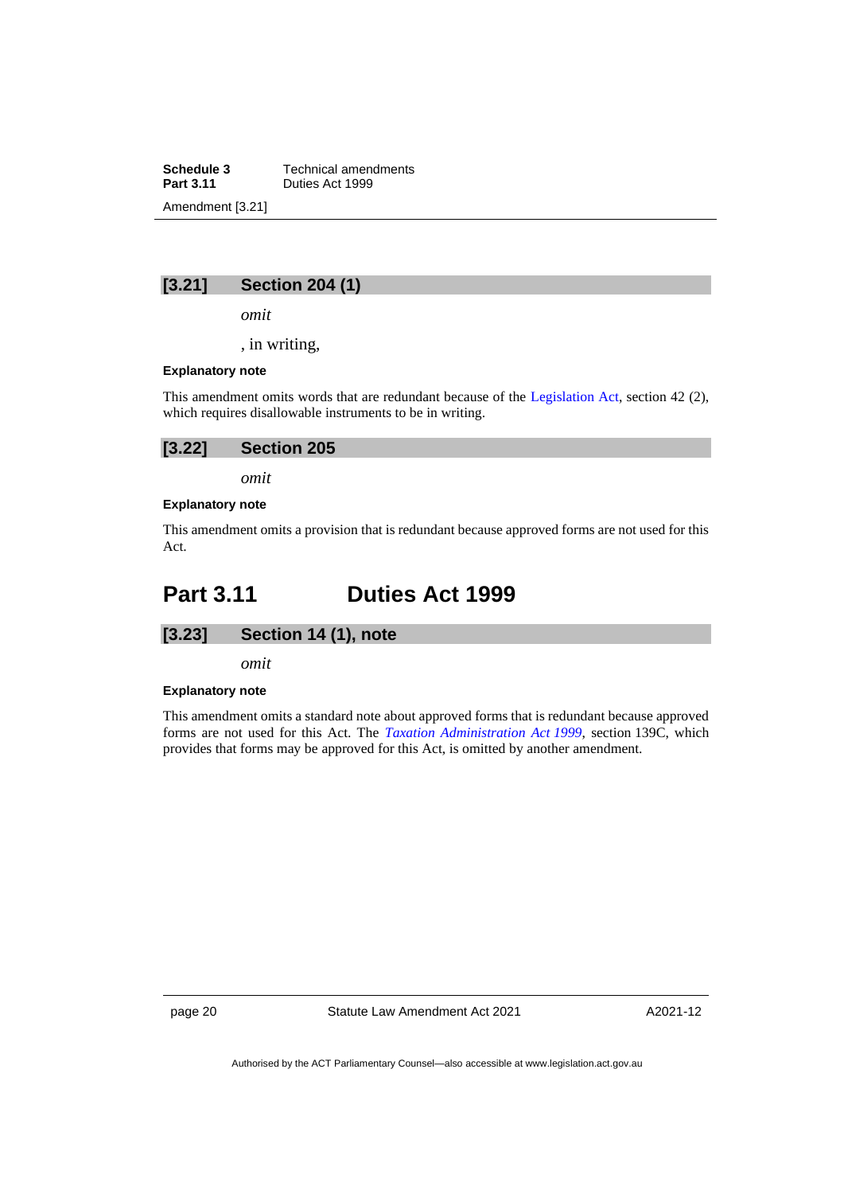**Schedule 3** Technical amendments<br>**Part 3.11** Duties Act 1999 **Part 3.11** Duties Act 1999 Amendment [3.21]

## **[3.21] Section 204 (1)**

*omit*

, in writing,

#### **Explanatory note**

This amendment omits words that are redundant because of the [Legislation Act,](http://www.legislation.act.gov.au/a/2001-14) section 42 (2), which requires disallowable instruments to be in writing.

| [3.22]<br><b>Section 205</b> |  |
|------------------------------|--|
|------------------------------|--|

*omit*

### **Explanatory note**

This amendment omits a provision that is redundant because approved forms are not used for this Act.

## <span id="page-23-0"></span>**Part 3.11 Duties Act 1999**



*omit*

#### **Explanatory note**

This amendment omits a standard note about approved forms that is redundant because approved forms are not used for this Act. The *[Taxation Administration Act](http://www.legislation.act.gov.au/a/1999-4) 1999*, section 139C, which provides that forms may be approved for this Act, is omitted by another amendment.

page 20 Statute Law Amendment Act 2021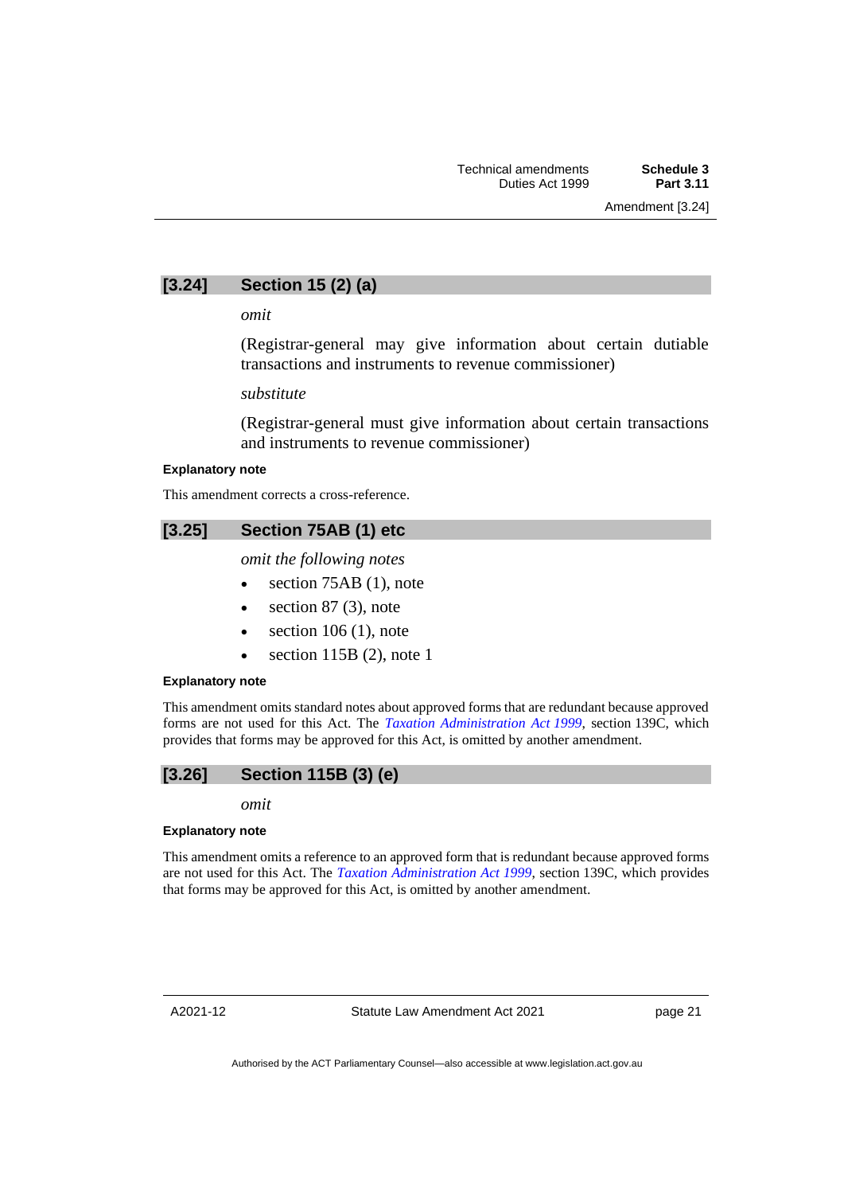## **[3.24] Section 15 (2) (a)**

*omit*

(Registrar-general may give information about certain dutiable transactions and instruments to revenue commissioner)

*substitute*

(Registrar-general must give information about certain transactions and instruments to revenue commissioner)

#### **Explanatory note**

This amendment corrects a cross-reference.

## **[3.25] Section 75AB (1) etc**

*omit the following notes*

- section 75AB (1), note
- section  $87$  (3), note
- $\bullet$  section 106 (1), note
- section 115B (2), note 1

#### **Explanatory note**

This amendment omits standard notes about approved forms that are redundant because approved forms are not used for this Act. The *[Taxation Administration Act](http://www.legislation.act.gov.au/a/1999-4) 1999*, section 139C, which provides that forms may be approved for this Act, is omitted by another amendment.

## **[3.26] Section 115B (3) (e)**

*omit*

#### **Explanatory note**

This amendment omits a reference to an approved form that is redundant because approved forms are not used for this Act. The *[Taxation Administration Act](http://www.legislation.act.gov.au/a/1999-4) 1999*, section 139C, which provides that forms may be approved for this Act, is omitted by another amendment.

A2021-12

Statute Law Amendment Act 2021

page 21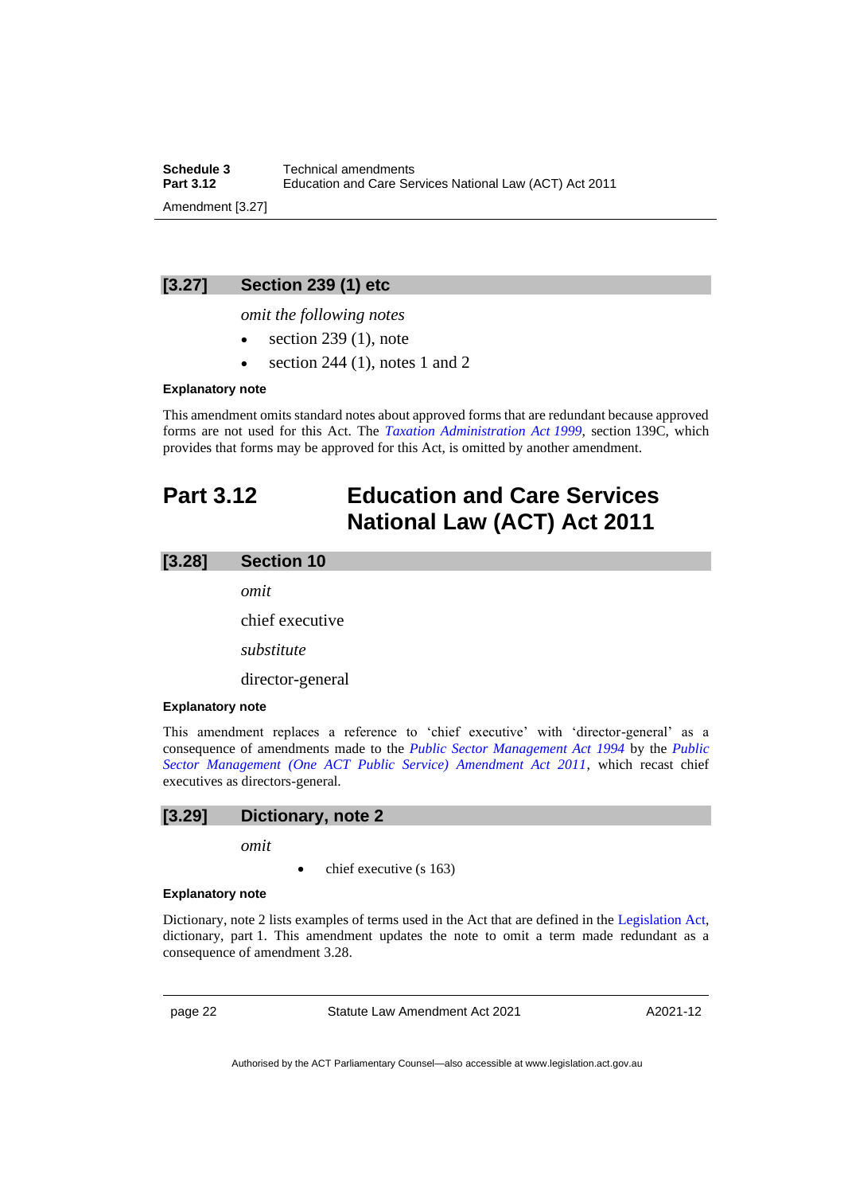**Schedule 3** Technical amendments<br>**Part 3.12** Education and Care Se **Part 3.12** Education and Care Services National Law (ACT) Act 2011 Amendment [3.27]

## **[3.27] Section 239 (1) etc**

*omit the following notes*

- $\bullet$  section 239 (1), note
- section 244 (1), notes 1 and 2

#### **Explanatory note**

This amendment omits standard notes about approved forms that are redundant because approved forms are not used for this Act. The *[Taxation Administration Act](http://www.legislation.act.gov.au/a/1999-4) 1999*, section 139C, which provides that forms may be approved for this Act, is omitted by another amendment.

## <span id="page-25-0"></span>**Part 3.12 Education and Care Services National Law (ACT) Act 2011**

#### **[3.28] Section 10**

*omit*

chief executive

*substitute*

director-general

### **Explanatory note**

This amendment replaces a reference to 'chief executive' with 'director-general' as a consequence of amendments made to the *[Public Sector Management Act 1994](http://www.legislation.act.gov.au/a/1994-37)* by the *[Public](https://legislation.act.gov.au/a/2011-21/)  [Sector Management \(One ACT Public Service\) Amendment Act 2011](https://legislation.act.gov.au/a/2011-21/)*, which recast chief executives as directors-general.

## **[3.29] Dictionary, note 2**

*omit*

• chief executive (s 163)

#### **Explanatory note**

Dictionary, note 2 lists examples of terms used in the Act that are defined in the [Legislation Act,](http://www.legislation.act.gov.au/a/2001-14) dictionary, part 1. This amendment updates the note to omit a term made redundant as a consequence of amendment 3.28.

page 22 Statute Law Amendment Act 2021

A2021-12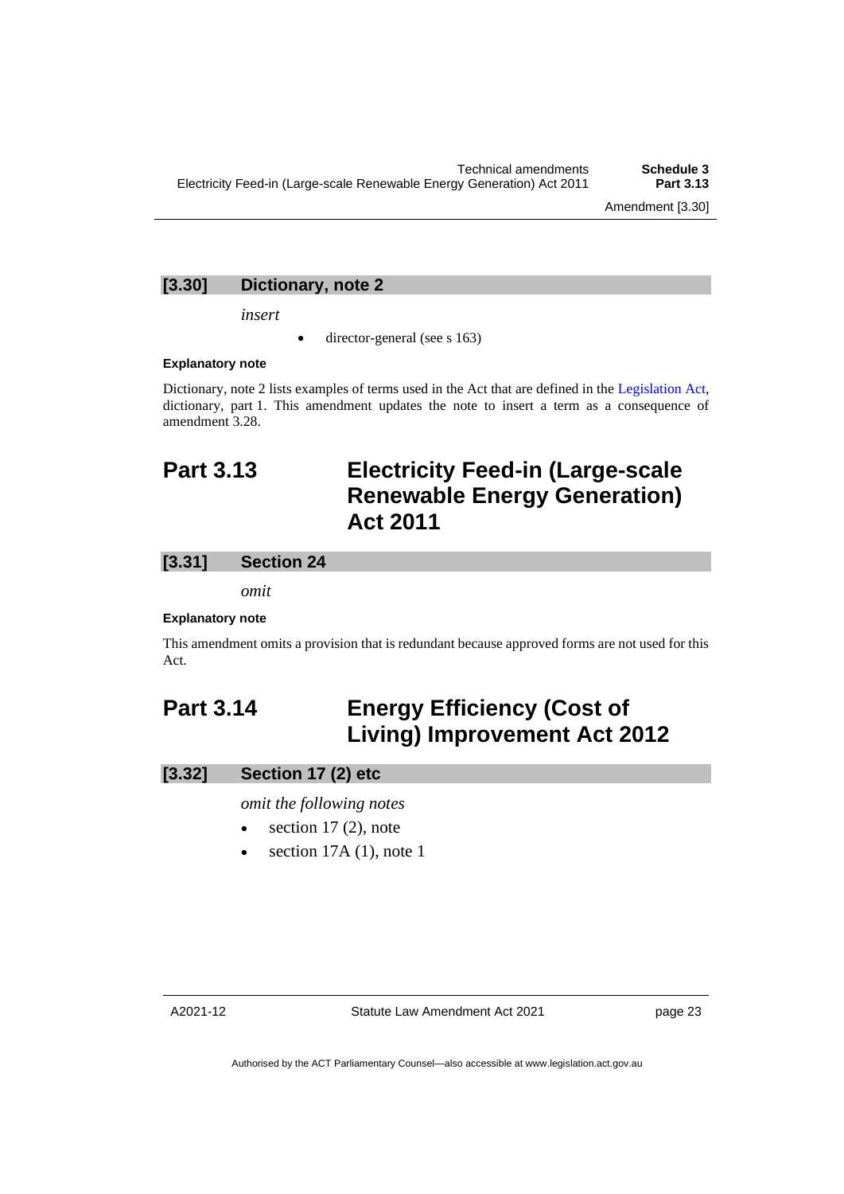## **[3.30] Dictionary, note 2**

*insert*

director-general (see s 163)

#### **Explanatory note**

Dictionary, note 2 lists examples of terms used in the Act that are defined in the [Legislation Act,](http://www.legislation.act.gov.au/a/2001-14) dictionary, part 1. This amendment updates the note to insert a term as a consequence of amendment 3.28.

## <span id="page-26-0"></span>**Part 3.13 Electricity Feed-in (Large-scale Renewable Energy Generation) Act 2011**

## **[3.31] Section 24**

*omit*

### **Explanatory note**

This amendment omits a provision that is redundant because approved forms are not used for this Act.

## <span id="page-26-1"></span>**Part 3.14 Energy Efficiency (Cost of Living) Improvement Act 2012**

## **[3.32] Section 17 (2) etc**

*omit the following notes*

- section  $17(2)$ , note
- section  $17A(1)$ , note 1

page 23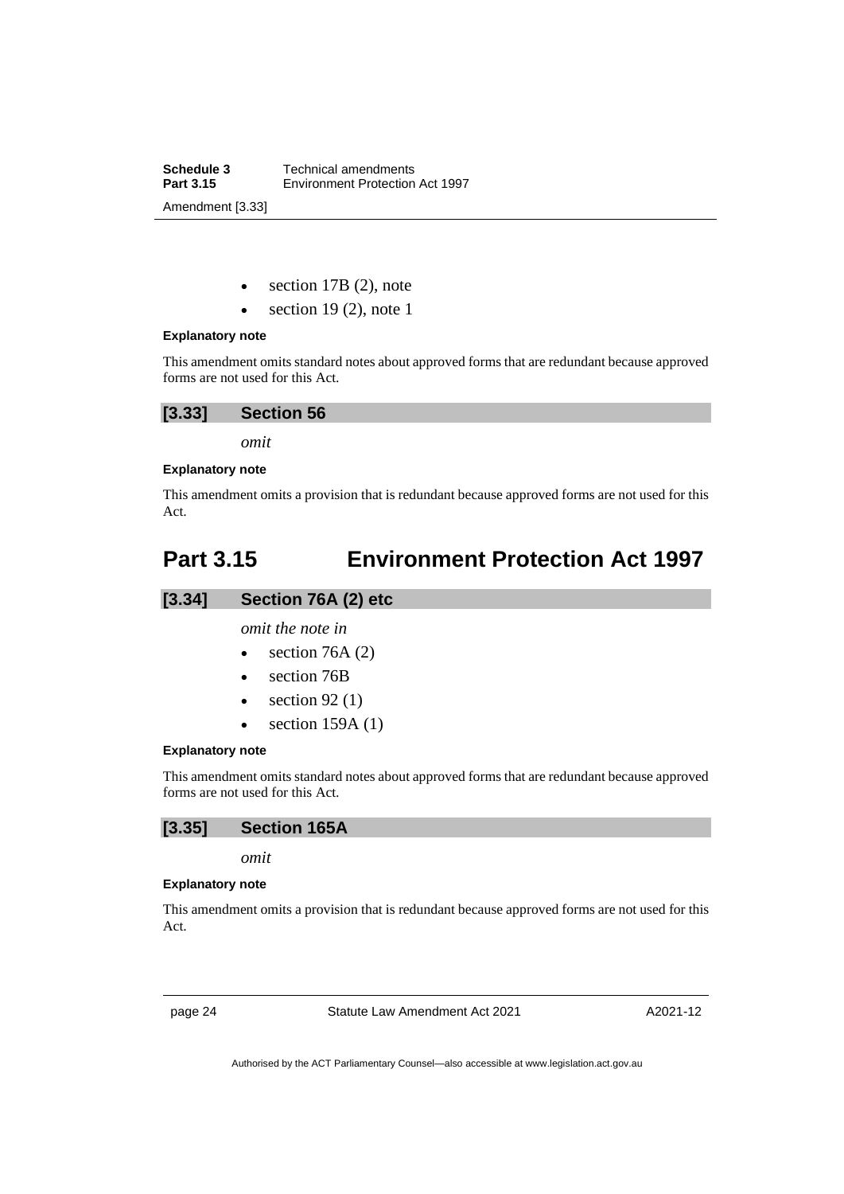**Schedule 3** Technical amendments<br>**Part 3.15** Environment Protection **Part 3.15** Environment Protection Act 1997 Amendment [3.33]

section  $17B(2)$ , note

section 19 $(2)$ , note 1

### **Explanatory note**

This amendment omits standard notes about approved forms that are redundant because approved forms are not used for this Act.

| [3.33] | <b>Section 56</b> |  |
|--------|-------------------|--|
|--------|-------------------|--|

*omit*

### **Explanatory note**

This amendment omits a provision that is redundant because approved forms are not used for this Act.

## <span id="page-27-0"></span>**Part 3.15 Environment Protection Act 1997**

## **[3.34] Section 76A (2) etc**

*omit the note in*

- section  $76A(2)$
- section 76B
- section  $92(1)$
- section  $159A(1)$

#### **Explanatory note**

This amendment omits standard notes about approved forms that are redundant because approved forms are not used for this Act.

### **[3.35] Section 165A**

*omit*

#### **Explanatory note**

This amendment omits a provision that is redundant because approved forms are not used for this Act.

page 24 Statute Law Amendment Act 2021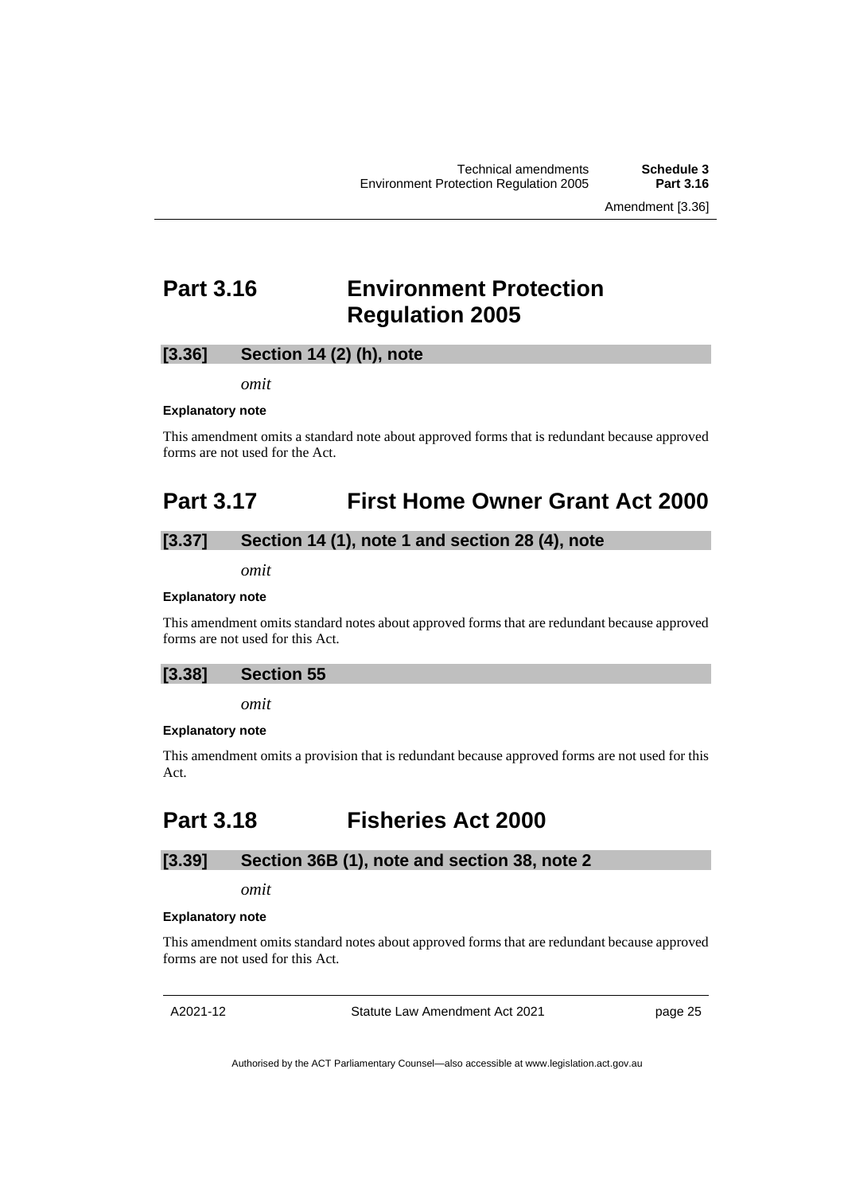Amendment [3.36]

## <span id="page-28-0"></span>**Part 3.16 Environment Protection Regulation 2005**

## **[3.36] Section 14 (2) (h), note**

*omit*

#### **Explanatory note**

This amendment omits a standard note about approved forms that is redundant because approved forms are not used for the Act.

## <span id="page-28-1"></span>**Part 3.17 First Home Owner Grant Act 2000**

## **[3.37] Section 14 (1), note 1 and section 28 (4), note**

*omit*

#### **Explanatory note**

This amendment omits standard notes about approved forms that are redundant because approved forms are not used for this Act.

## **[3.38] Section 55**

*omit*

#### **Explanatory note**

This amendment omits a provision that is redundant because approved forms are not used for this Act.

## <span id="page-28-2"></span>**Part 3.18 Fisheries Act 2000**

## **[3.39] Section 36B (1), note and section 38, note 2**

## *omit*

#### **Explanatory note**

This amendment omits standard notes about approved forms that are redundant because approved forms are not used for this Act.

A2021-12

Statute Law Amendment Act 2021

page 25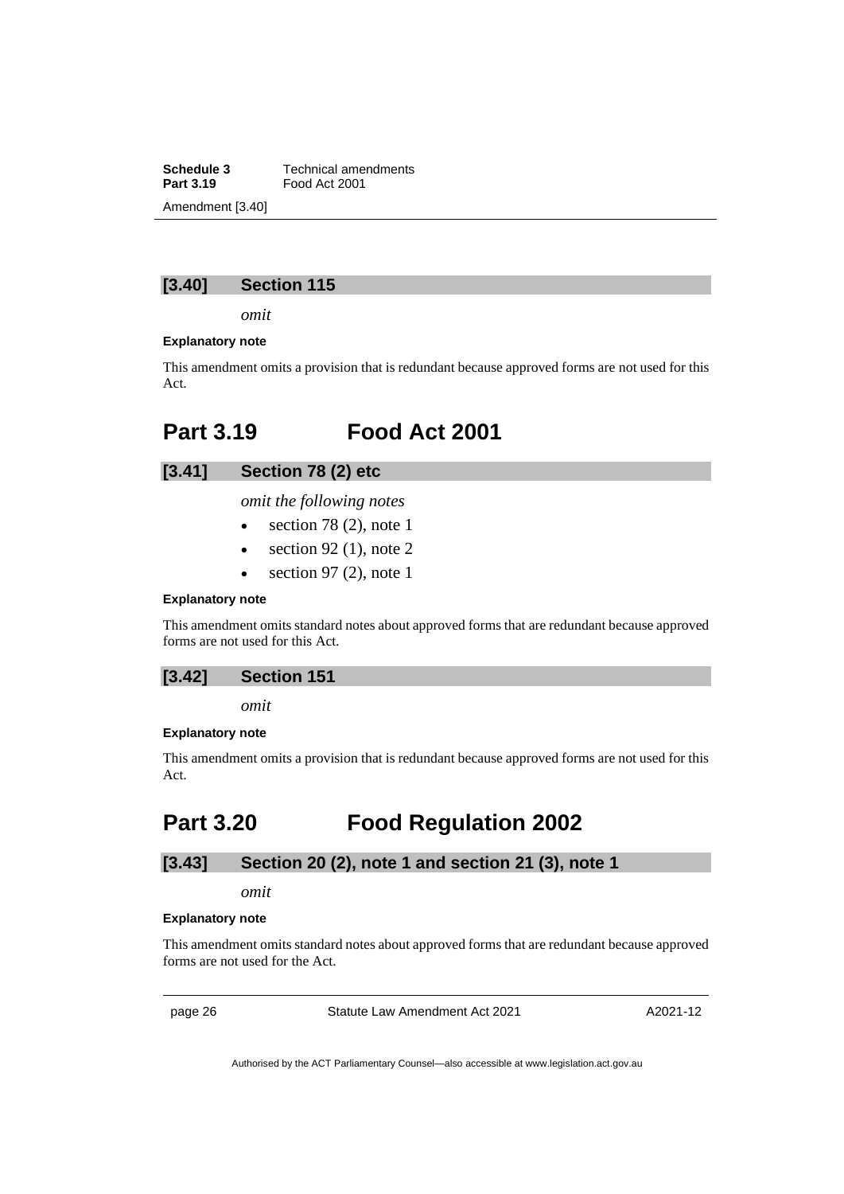**Schedule 3** Technical amendments<br>**Part 3.19** Food Act 2001 **Part 3.19** Food Act 2001 Amendment [3.40]

## **[3.40] Section 115**

*omit*

#### **Explanatory note**

This amendment omits a provision that is redundant because approved forms are not used for this Act.

## <span id="page-29-0"></span>**Part 3.19 Food Act 2001**

## **[3.41] Section 78 (2) etc**

*omit the following notes*

- $\bullet$  section 78 (2), note 1
- $\bullet$  section 92 (1), note 2
- section 97 $(2)$ , note 1

### **Explanatory note**

This amendment omits standard notes about approved forms that are redundant because approved forms are not used for this Act.

## **[3.42] Section 151**

*omit*

#### **Explanatory note**

This amendment omits a provision that is redundant because approved forms are not used for this Act.

## <span id="page-29-1"></span>**Part 3.20 Food Regulation 2002**

## **[3.43] Section 20 (2), note 1 and section 21 (3), note 1**

## *omit*

#### **Explanatory note**

This amendment omits standard notes about approved forms that are redundant because approved forms are not used for the Act.

page 26 Statute Law Amendment Act 2021

A2021-12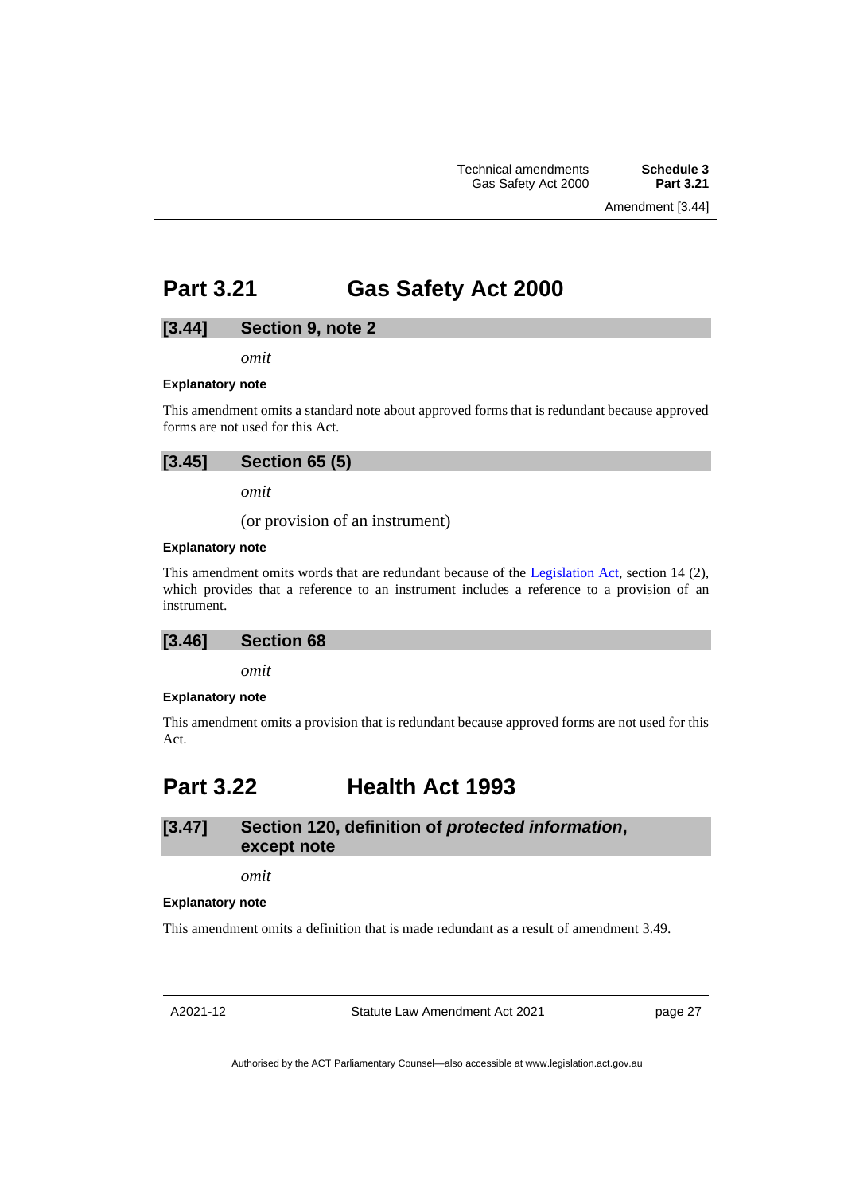## <span id="page-30-0"></span>**Part 3.21 Gas Safety Act 2000**

## **[3.44] Section 9, note 2**

*omit*

#### **Explanatory note**

This amendment omits a standard note about approved forms that is redundant because approved forms are not used for this Act.

| [3.45] | <b>Section 65 (5)</b> |  |  |
|--------|-----------------------|--|--|
|--------|-----------------------|--|--|

*omit*

(or provision of an instrument)

#### **Explanatory note**

This amendment omits words that are redundant because of the [Legislation Act,](http://www.legislation.act.gov.au/a/2001-14) section 14 (2), which provides that a reference to an instrument includes a reference to a provision of an instrument.

### **[3.46] Section 68**

*omit*

#### **Explanatory note**

This amendment omits a provision that is redundant because approved forms are not used for this Act.

## <span id="page-30-1"></span>**Part 3.22 Health Act 1993**

## **[3.47] Section 120, definition of** *protected information***, except note**

*omit*

#### **Explanatory note**

This amendment omits a definition that is made redundant as a result of amendment 3.49.

A2021-12

Statute Law Amendment Act 2021

page 27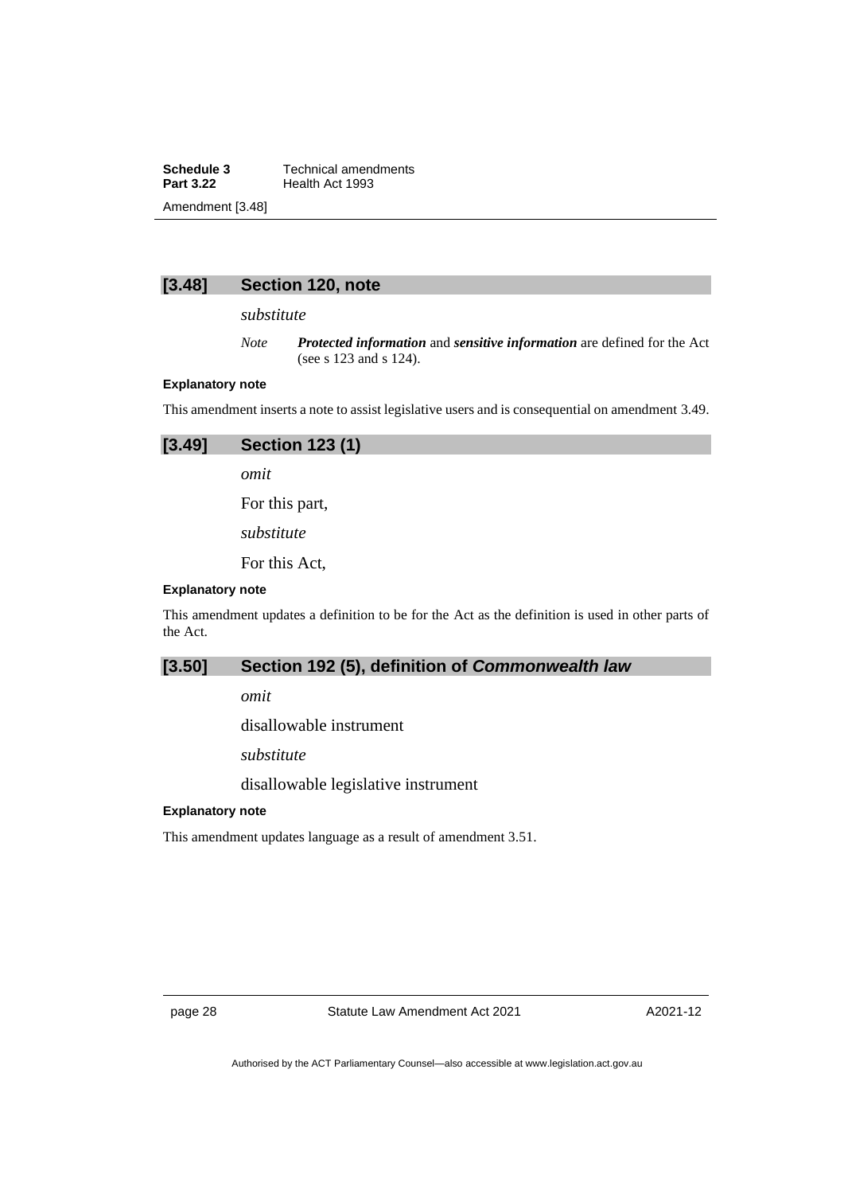**Schedule 3** Technical amendments<br>**Part 3.22** Health Act 1993 **Health Act 1993** Amendment [3.48]



*substitute*

*Note Protected information* and *sensitive information* are defined for the Act (see s 123 and s 124).

### **Explanatory note**

This amendment inserts a note to assist legislative users and is consequential on amendment 3.49.

| [3.49]                  | <b>Section 123 (1)</b> |
|-------------------------|------------------------|
|                         | omit                   |
|                         | For this part,         |
|                         | substitute             |
|                         | For this Act,          |
| <b>Explanatory note</b> |                        |

This amendment updates a definition to be for the Act as the definition is used in other parts of the Act.

## **[3.50] Section 192 (5), definition of** *Commonwealth law*

*omit*

disallowable instrument

*substitute*

disallowable legislative instrument

### **Explanatory note**

This amendment updates language as a result of amendment 3.51.

page 28 Statute Law Amendment Act 2021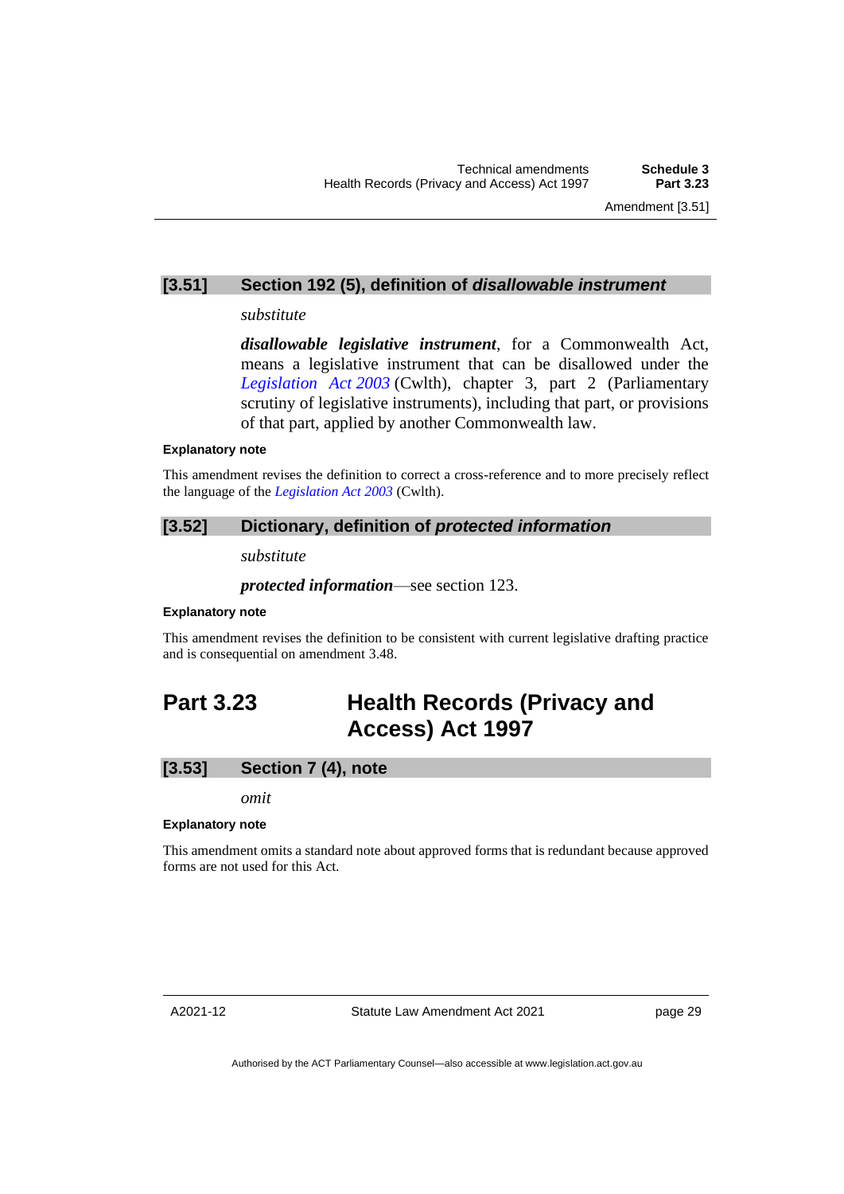## **[3.51] Section 192 (5), definition of** *disallowable instrument*

### *substitute*

*disallowable legislative instrument*, for a Commonwealth Act, means a legislative instrument that can be disallowed under the *[Legislation Act](https://www.legislation.gov.au/Series/C2004A01224) 2003* (Cwlth), chapter 3, part 2 (Parliamentary scrutiny of legislative instruments), including that part, or provisions of that part, applied by another Commonwealth law.

#### **Explanatory note**

This amendment revises the definition to correct a cross-reference and to more precisely reflect the language of the *[Legislation Act](https://www.legislation.gov.au/Series/C2004A01224) 2003* (Cwlth).

## **[3.52] Dictionary, definition of** *protected information*

*substitute*

*protected information*—see section 123.

### **Explanatory note**

This amendment revises the definition to be consistent with current legislative drafting practice and is consequential on amendment 3.48.

## <span id="page-32-0"></span>**Part 3.23 Health Records (Privacy and Access) Act 1997**

## **[3.53] Section 7 (4), note**

*omit*

### **Explanatory note**

This amendment omits a standard note about approved forms that is redundant because approved forms are not used for this Act.

Statute Law Amendment Act 2021

page 29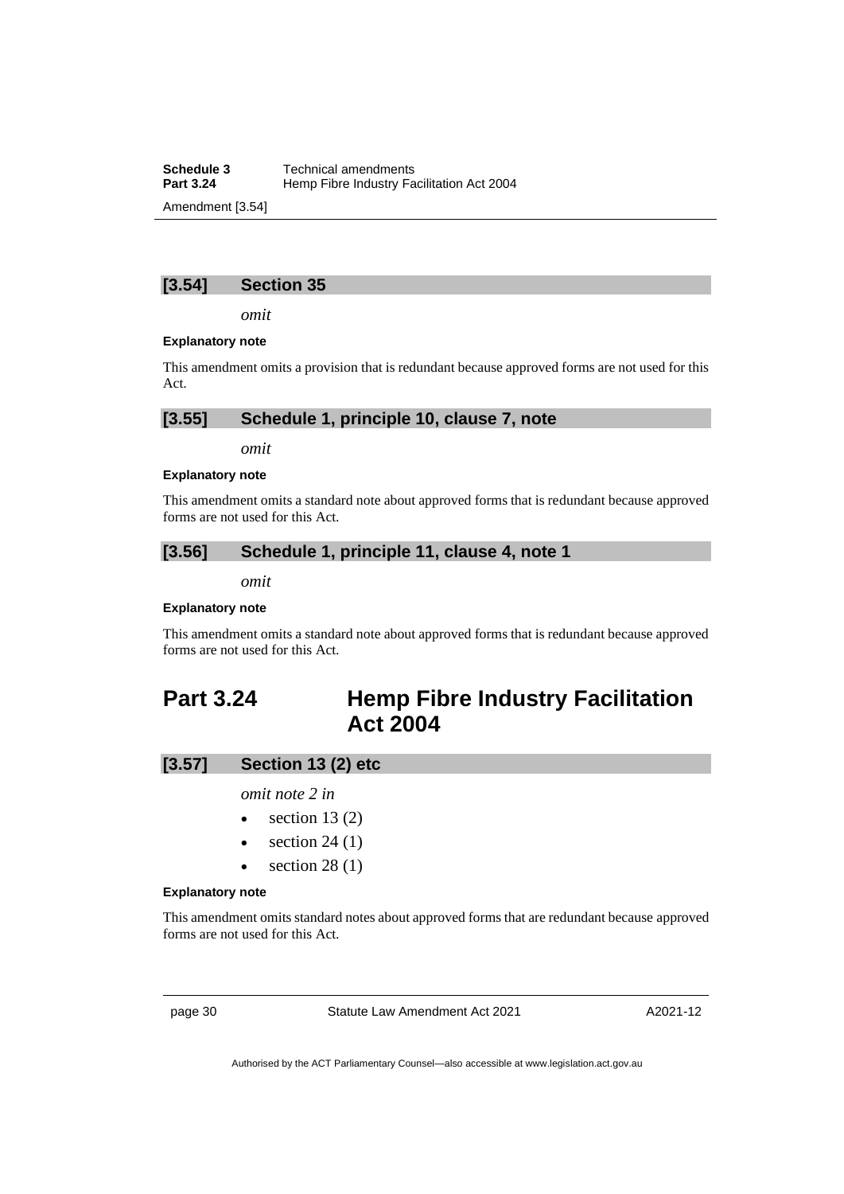**Schedule 3** Technical amendments<br>**Part 3.24** Hemp Fibre Industry Fa **Hemp Fibre Industry Facilitation Act 2004** Amendment [3.54]

## **[3.54] Section 35**

*omit*

#### **Explanatory note**

This amendment omits a provision that is redundant because approved forms are not used for this Act.

| $[3.55]$<br>Schedule 1, principle 10, clause 7, note |  |
|------------------------------------------------------|--|
|------------------------------------------------------|--|

*omit*

### **Explanatory note**

This amendment omits a standard note about approved forms that is redundant because approved forms are not used for this Act.

## **[3.56] Schedule 1, principle 11, clause 4, note 1**

*omit*

### **Explanatory note**

This amendment omits a standard note about approved forms that is redundant because approved forms are not used for this Act.

## <span id="page-33-0"></span>**Part 3.24 Hemp Fibre Industry Facilitation Act 2004**

## **[3.57] Section 13 (2) etc**

*omit note 2 in*

- section  $13(2)$
- section  $24(1)$
- section  $28(1)$

#### **Explanatory note**

This amendment omits standard notes about approved forms that are redundant because approved forms are not used for this Act.

page 30 Statute Law Amendment Act 2021

A2021-12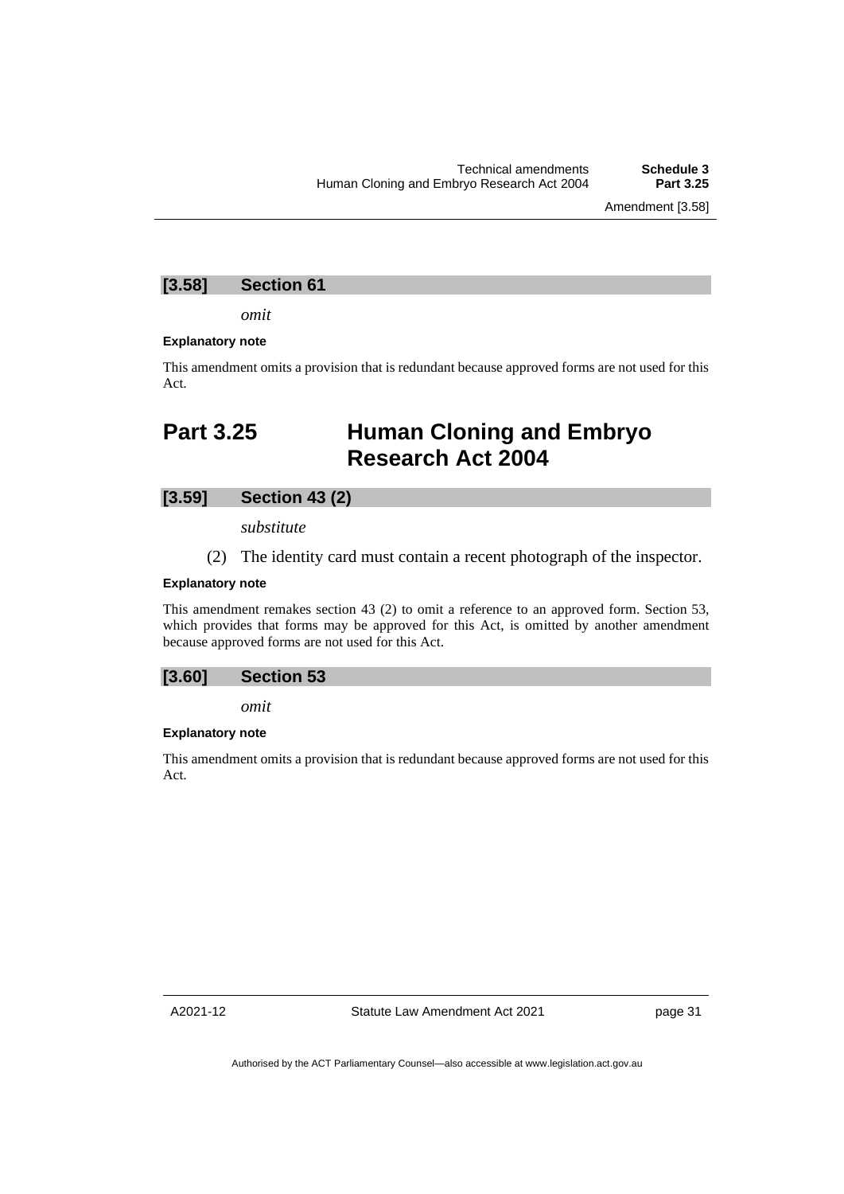Amendment [3.58]

## **[3.58] Section 61**

*omit*

#### **Explanatory note**

This amendment omits a provision that is redundant because approved forms are not used for this Act.

## <span id="page-34-0"></span>**Part 3.25 Human Cloning and Embryo Research Act 2004**

## **[3.59] Section 43 (2)**

*substitute*

(2) The identity card must contain a recent photograph of the inspector.

## **Explanatory note**

This amendment remakes section 43 (2) to omit a reference to an approved form. Section 53, which provides that forms may be approved for this Act, is omitted by another amendment because approved forms are not used for this Act.

### **[3.60] Section 53**

*omit*

#### **Explanatory note**

This amendment omits a provision that is redundant because approved forms are not used for this Act.

A2021-12

page 31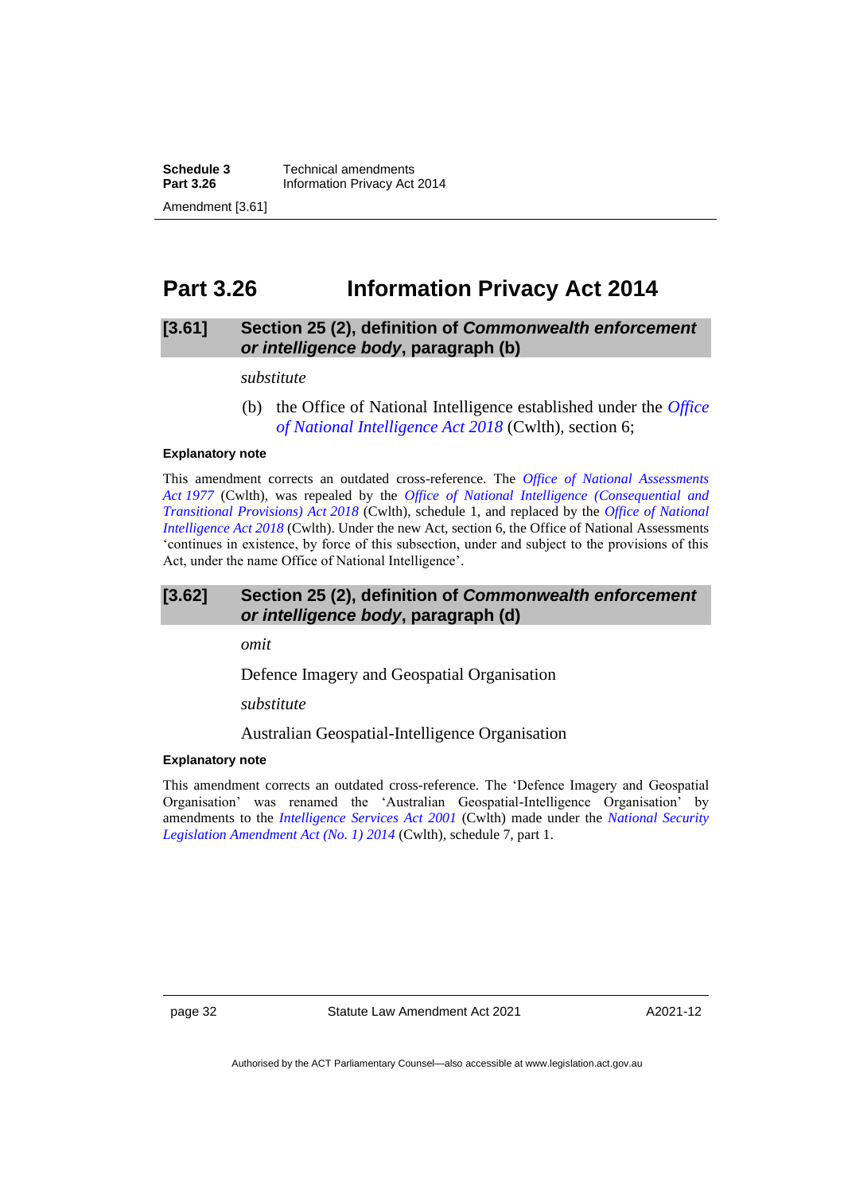**Schedule 3** Technical amendments<br>**Part 3.26** Information Privacy Act **Information Privacy Act 2014** Amendment [3.61]

## <span id="page-35-0"></span>**Part 3.26 Information Privacy Act 2014**

## **[3.61] Section 25 (2), definition of** *Commonwealth enforcement or intelligence body***, paragraph (b)**

#### *substitute*

(b) the Office of National Intelligence established under the *[Office](https://www.legislation.gov.au/Series/C2018A00155)  [of National Intelligence Act 2018](https://www.legislation.gov.au/Series/C2018A00155)* (Cwlth), section 6;

#### **Explanatory note**

This amendment corrects an outdated cross-reference. The *[Office of National Assessments](https://www.legislation.gov.au/Series/C2004A01745)  Act [1977](https://www.legislation.gov.au/Series/C2004A01745)* (Cwlth), was repealed by the *[Office of National Intelligence \(Consequential and](https://www.legislation.gov.au/Series/C2018A00156)  [Transitional Provisions\) Act](https://www.legislation.gov.au/Series/C2018A00156) 2018* (Cwlth), schedule 1, and replaced by the *[Office of National](https://www.legislation.gov.au/Series/C2018A00155)  [Intelligence Act 2018](https://www.legislation.gov.au/Series/C2018A00155)* (Cwlth). Under the new Act, section 6, the Office of National Assessments 'continues in existence, by force of this subsection, under and subject to the provisions of this Act, under the name Office of National Intelligence'.

## **[3.62] Section 25 (2), definition of** *Commonwealth enforcement or intelligence body***, paragraph (d)**

*omit*

Defence Imagery and Geospatial Organisation

*substitute*

Australian Geospatial-Intelligence Organisation

#### **Explanatory note**

This amendment corrects an outdated cross-reference. The 'Defence Imagery and Geospatial Organisation' was renamed the 'Australian Geospatial-Intelligence Organisation' by amendments to the *[Intelligence Services Act 2001](https://www.legislation.gov.au/Series/C2004A00928)* (Cwlth) made under the *[National Security](https://www.legislation.gov.au/Details/C2014A00108)  [Legislation Amendment Act \(No. 1\) 2014](https://www.legislation.gov.au/Details/C2014A00108)* (Cwlth)*,* schedule 7, part 1.

page 32 Statute Law Amendment Act 2021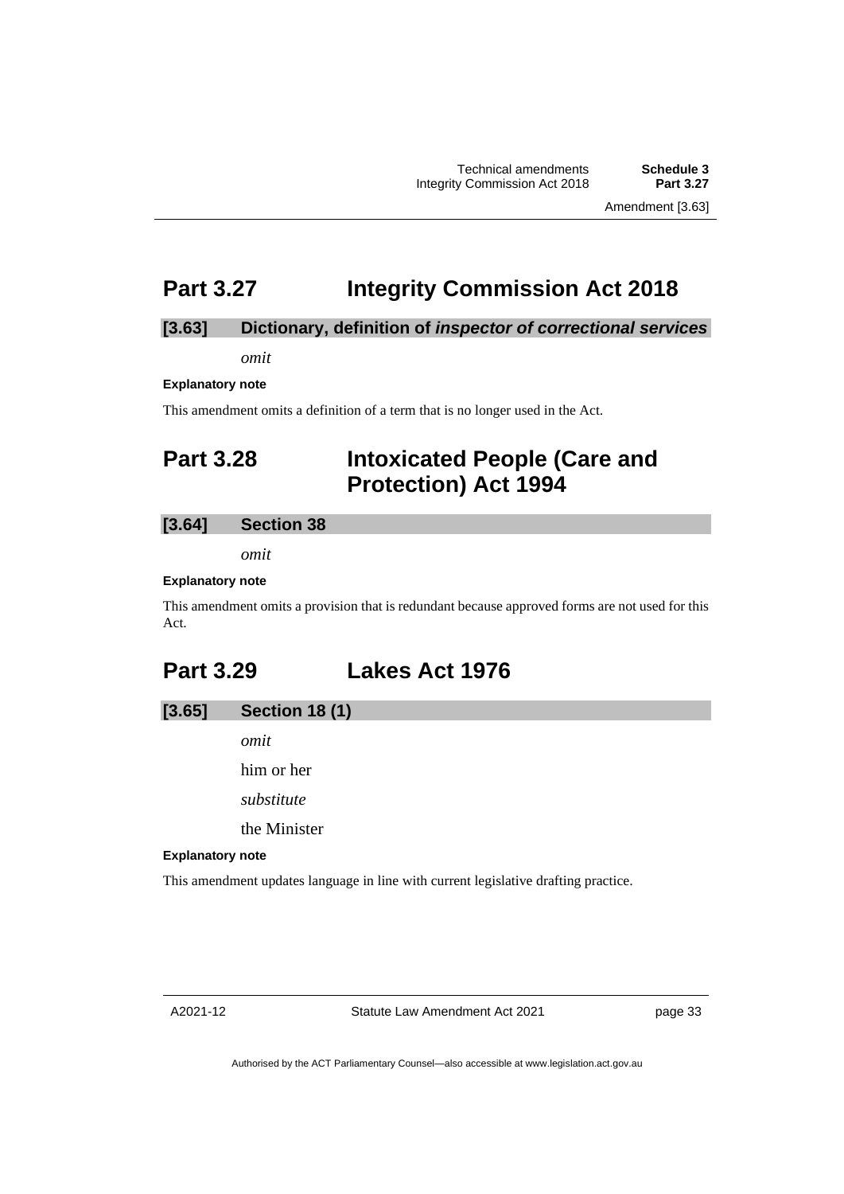# **Part 3.27 Integrity Commission Act 2018**

## **[3.63] Dictionary, definition of** *inspector of correctional services*

*omit*

**Explanatory note**

This amendment omits a definition of a term that is no longer used in the Act.

# **Part 3.28 Intoxicated People (Care and Protection) Act 1994**

## **[3.64] Section 38**

*omit*

#### **Explanatory note**

This amendment omits a provision that is redundant because approved forms are not used for this Act.

# **Part 3.29 Lakes Act 1976**

## **[3.65] Section 18 (1)**

*omit*

him or her

*substitute*

the Minister

### **Explanatory note**

This amendment updates language in line with current legislative drafting practice.

page 33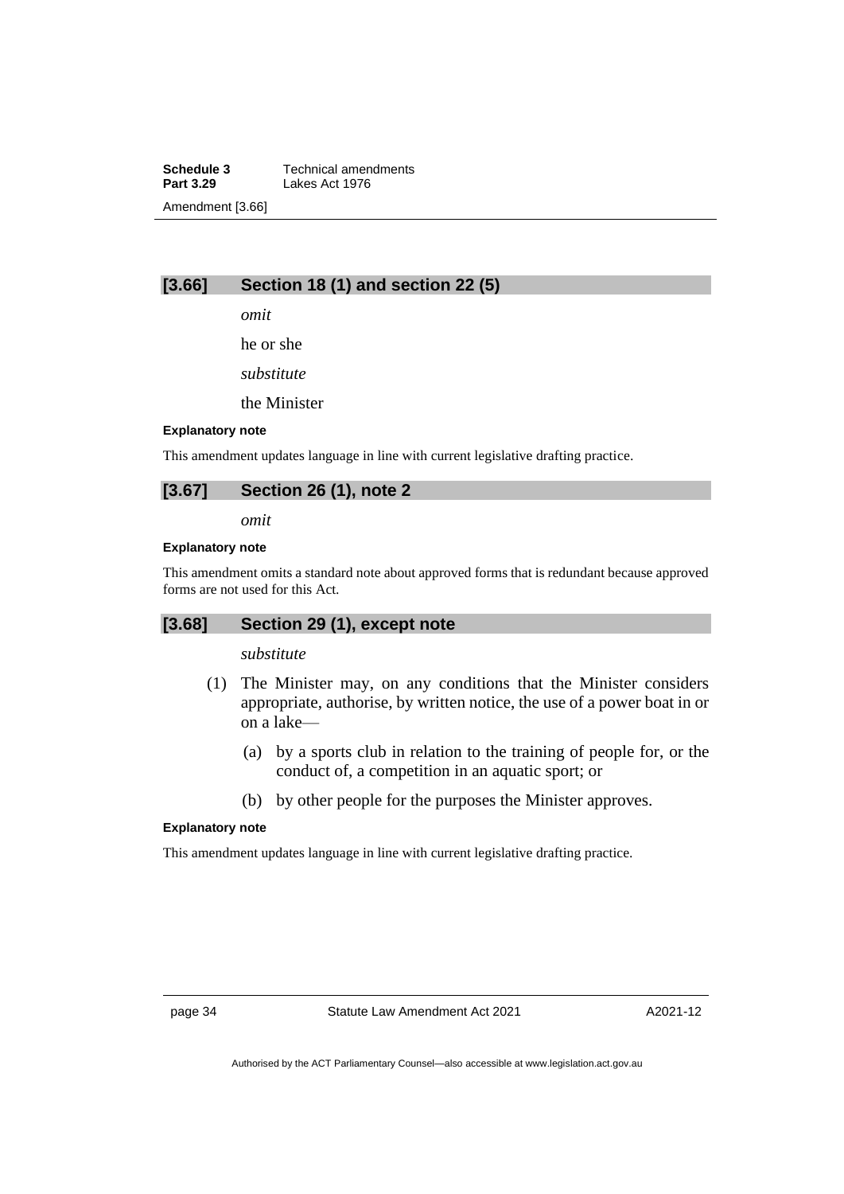**Schedule 3** Technical amendments<br>**Part 3.29** Lakes Act 1976 **Lakes Act 1976** Amendment [3.66]

## **[3.66] Section 18 (1) and section 22 (5)**

*omit*

he or she

*substitute*

the Minister

#### **Explanatory note**

This amendment updates language in line with current legislative drafting practice.

## **[3.67] Section 26 (1), note 2**

*omit*

## **Explanatory note**

This amendment omits a standard note about approved forms that is redundant because approved forms are not used for this Act.

## **[3.68] Section 29 (1), except note**

## *substitute*

- (1) The Minister may, on any conditions that the Minister considers appropriate, authorise, by written notice, the use of a power boat in or on a lake—
	- (a) by a sports club in relation to the training of people for, or the conduct of, a competition in an aquatic sport; or
	- (b) by other people for the purposes the Minister approves.

#### **Explanatory note**

This amendment updates language in line with current legislative drafting practice.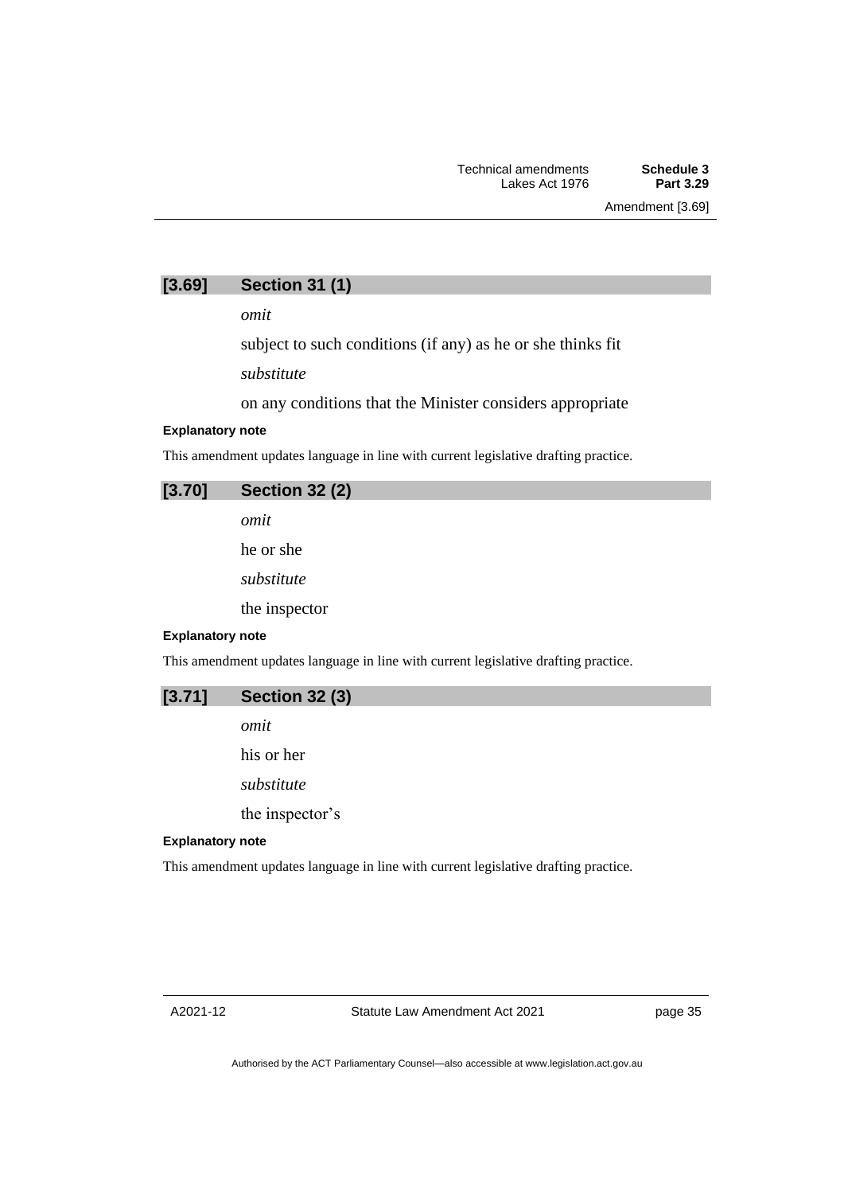## **[3.69] Section 31 (1)**

*omit*

subject to such conditions (if any) as he or she thinks fit

*substitute*

on any conditions that the Minister considers appropriate

#### **Explanatory note**

This amendment updates language in line with current legislative drafting practice.

| [3.70] | <b>Section 32 (2)</b> |  |
|--------|-----------------------|--|
|        | omit                  |  |
|        | he or she             |  |
|        | substitute            |  |

the inspector

#### **Explanatory note**

This amendment updates language in line with current legislative drafting practice.

| <b>Section 32 (3)</b><br>[3.71] |
|---------------------------------|
|---------------------------------|

*omit*

his or her

*substitute*

the inspector's

### **Explanatory note**

This amendment updates language in line with current legislative drafting practice.

page 35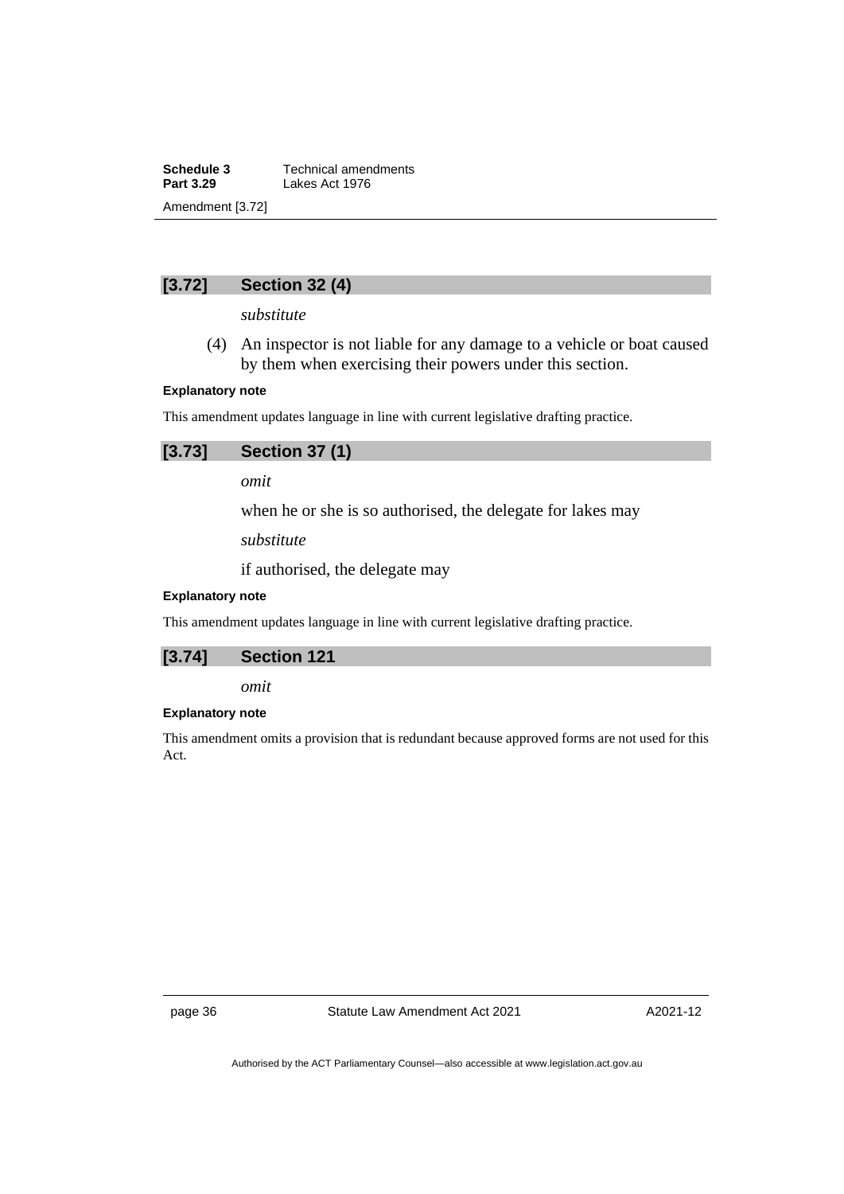**Schedule 3** Technical amendments<br>**Part 3.29** Lakes Act 1976 **Lakes Act 1976** Amendment [3.72]

## **[3.72] Section 32 (4)**

*substitute*

(4) An inspector is not liable for any damage to a vehicle or boat caused by them when exercising their powers under this section.

## **Explanatory note**

This amendment updates language in line with current legislative drafting practice.

| [3.73] | <b>Section 37 (1)</b> |  |
|--------|-----------------------|--|
|--------|-----------------------|--|

*omit*

when he or she is so authorised, the delegate for lakes may

*substitute*

if authorised, the delegate may

## **Explanatory note**

This amendment updates language in line with current legislative drafting practice.

| [3.74] | <b>Section 121</b> |
|--------|--------------------|
|        |                    |

*omit*

## **Explanatory note**

This amendment omits a provision that is redundant because approved forms are not used for this Act.

page 36 Statute Law Amendment Act 2021

A2021-12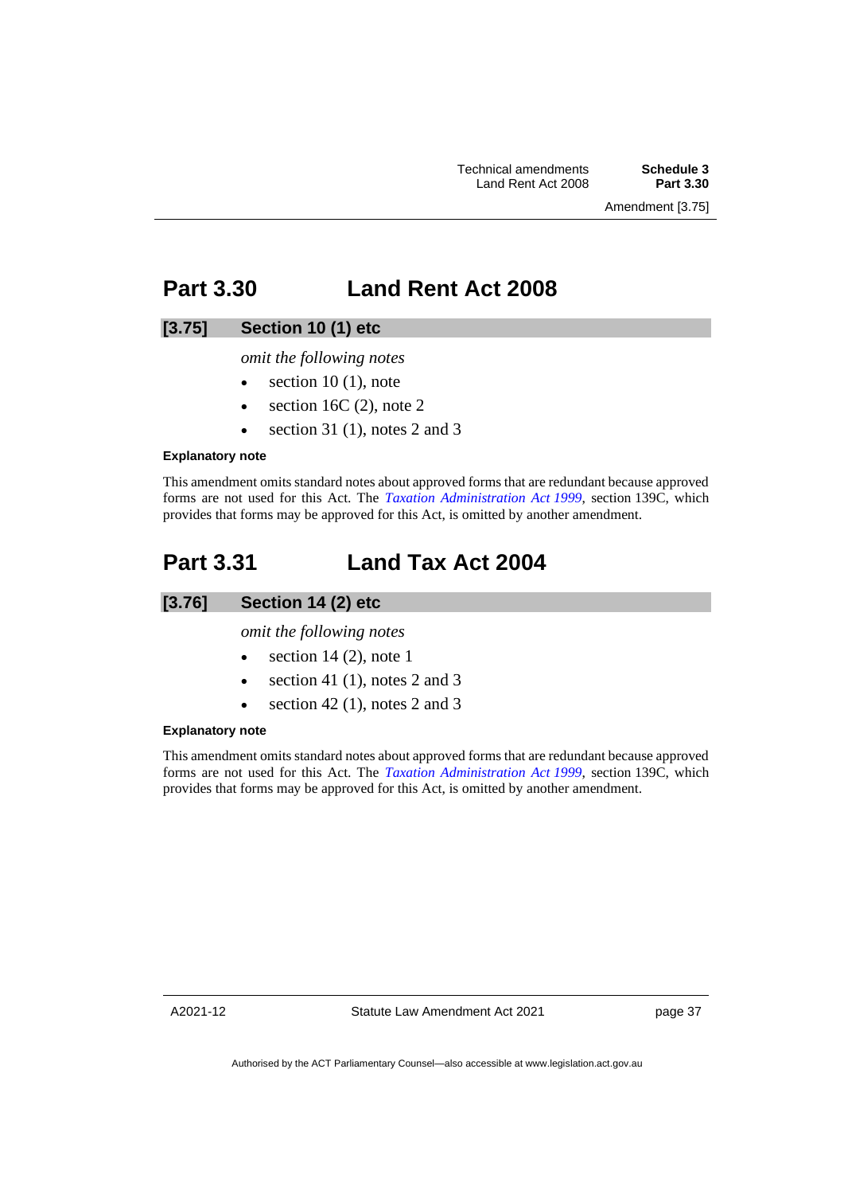Amendment [3.75]

# **Part 3.30 Land Rent Act 2008**

## **[3.75] Section 10 (1) etc**

*omit the following notes*

- $\bullet$  section 10 (1), note
- section 16C $(2)$ , note 2
- section 31 $(1)$ , notes 2 and 3

### **Explanatory note**

This amendment omits standard notes about approved forms that are redundant because approved forms are not used for this Act. The *[Taxation Administration Act](http://www.legislation.act.gov.au/a/1999-4) 1999*, section 139C, which provides that forms may be approved for this Act, is omitted by another amendment.

# **Part 3.31 Land Tax Act 2004**

## **[3.76] Section 14 (2) etc**

*omit the following notes*

- $\bullet$  section 14 (2), note 1
- section 41 (1), notes 2 and 3
- section 42 $(1)$ , notes 2 and 3

## **Explanatory note**

This amendment omits standard notes about approved forms that are redundant because approved forms are not used for this Act. The *[Taxation Administration Act](http://www.legislation.act.gov.au/a/1999-4) 1999*, section 139C, which provides that forms may be approved for this Act, is omitted by another amendment.

A2021-12

Statute Law Amendment Act 2021

page 37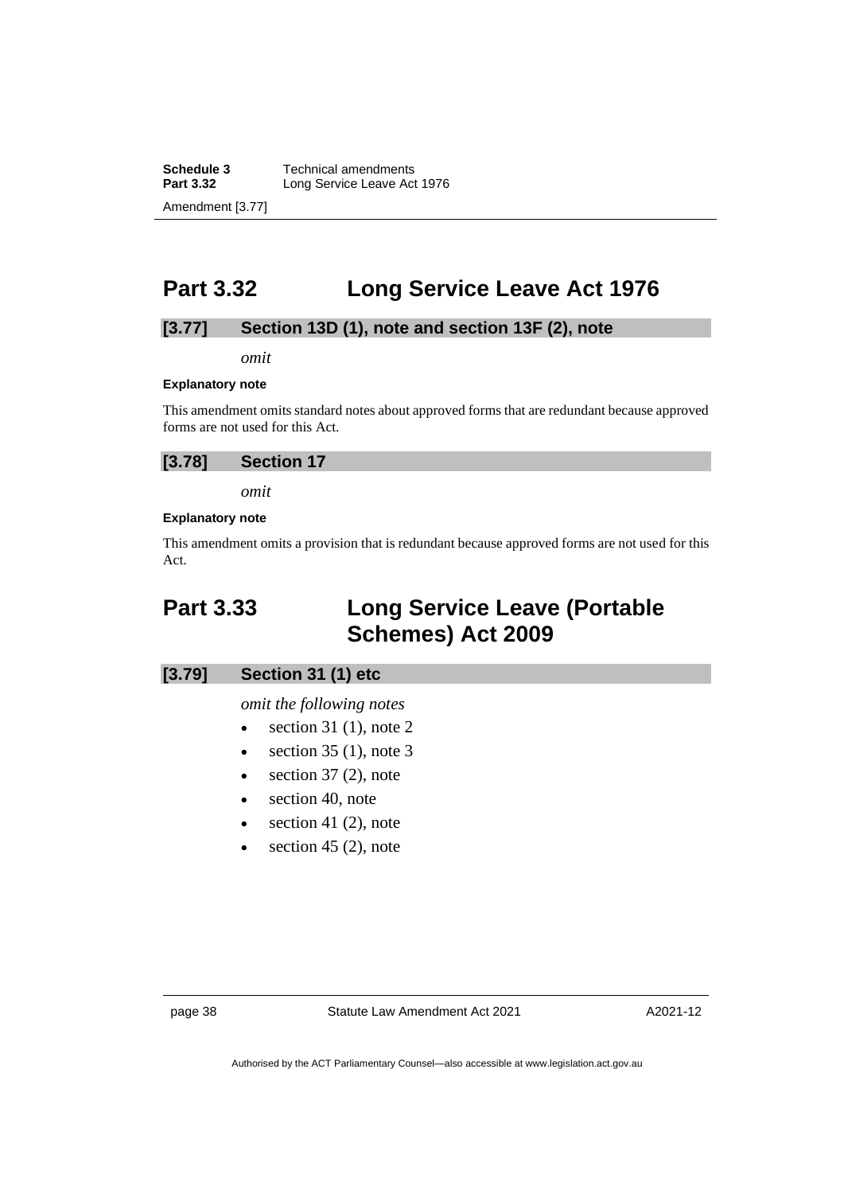**Schedule 3** Technical amendments<br>**Part 3.32** Long Service Leave Act **Long Service Leave Act 1976** Amendment [3.77]

# **Part 3.32 Long Service Leave Act 1976**

## **[3.77] Section 13D (1), note and section 13F (2), note**

*omit*

#### **Explanatory note**

This amendment omits standard notes about approved forms that are redundant because approved forms are not used for this Act.

| [3.78] | <b>Section 17</b> |  |
|--------|-------------------|--|
|--------|-------------------|--|

*omit*

#### **Explanatory note**

This amendment omits a provision that is redundant because approved forms are not used for this Act.

# **Part 3.33 Long Service Leave (Portable Schemes) Act 2009**

## **[3.79] Section 31 (1) etc**

### *omit the following notes*

- section 31 $(1)$ , note 2
- section  $35$  (1), note  $3$
- $\bullet$  section 37 (2), note
- section 40, note
- $\bullet$  section 41 (2), note
- section 45  $(2)$ , note

A2021-12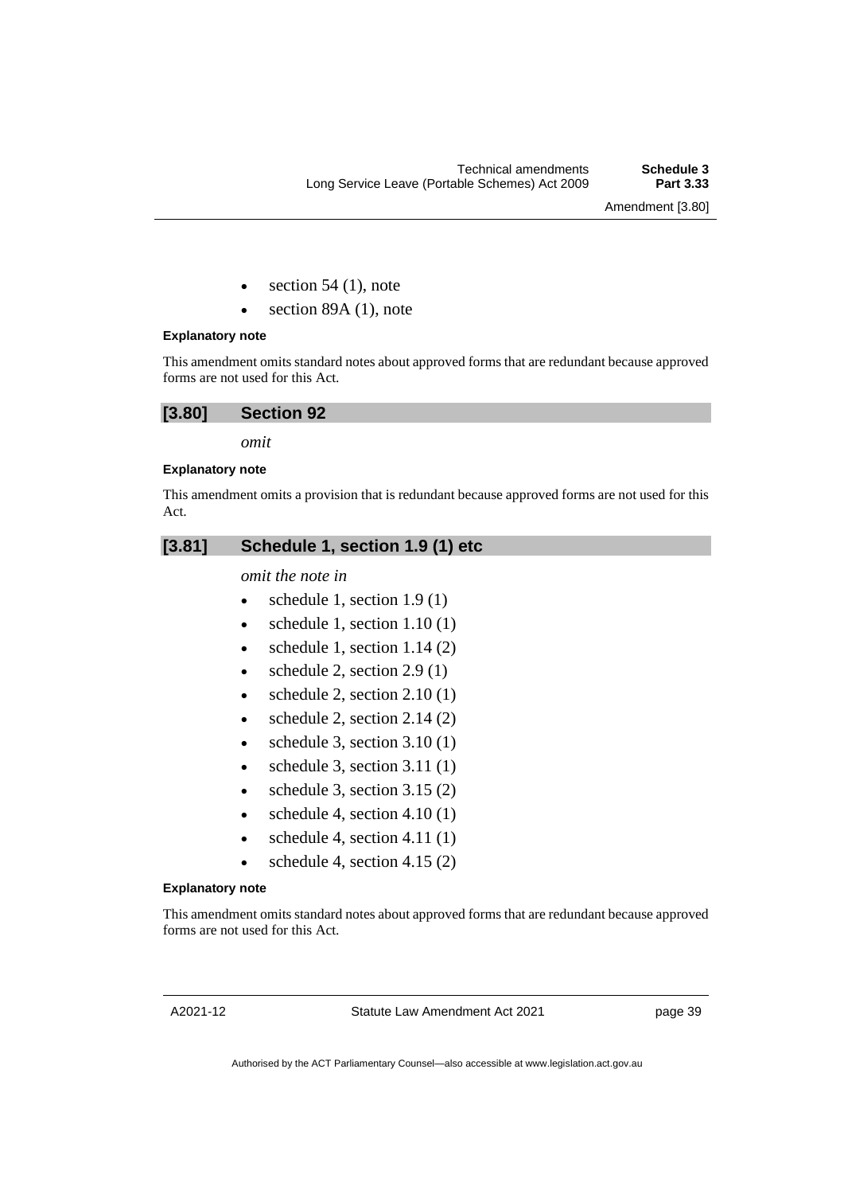Amendment [3.80]

- section  $54$  (1), note
- section 89A (1), note

## **Explanatory note**

This amendment omits standard notes about approved forms that are redundant because approved forms are not used for this Act.

## **[3.80] Section 92**

*omit*

### **Explanatory note**

This amendment omits a provision that is redundant because approved forms are not used for this Act.

## **[3.81] Schedule 1, section 1.9 (1) etc**

## *omit the note in*

- schedule 1, section  $1.9(1)$
- schedule 1, section  $1.10(1)$
- schedule 1, section  $1.14(2)$
- schedule 2, section  $2.9(1)$
- schedule 2, section  $2.10(1)$
- schedule 2, section  $2.14(2)$
- schedule 3, section  $3.10(1)$
- schedule 3, section  $3.11(1)$
- schedule 3, section  $3.15(2)$
- schedule 4, section  $4.10(1)$
- schedule 4, section  $4.11(1)$
- schedule 4, section  $4.15(2)$

### **Explanatory note**

This amendment omits standard notes about approved forms that are redundant because approved forms are not used for this Act.

Statute Law Amendment Act 2021

page 39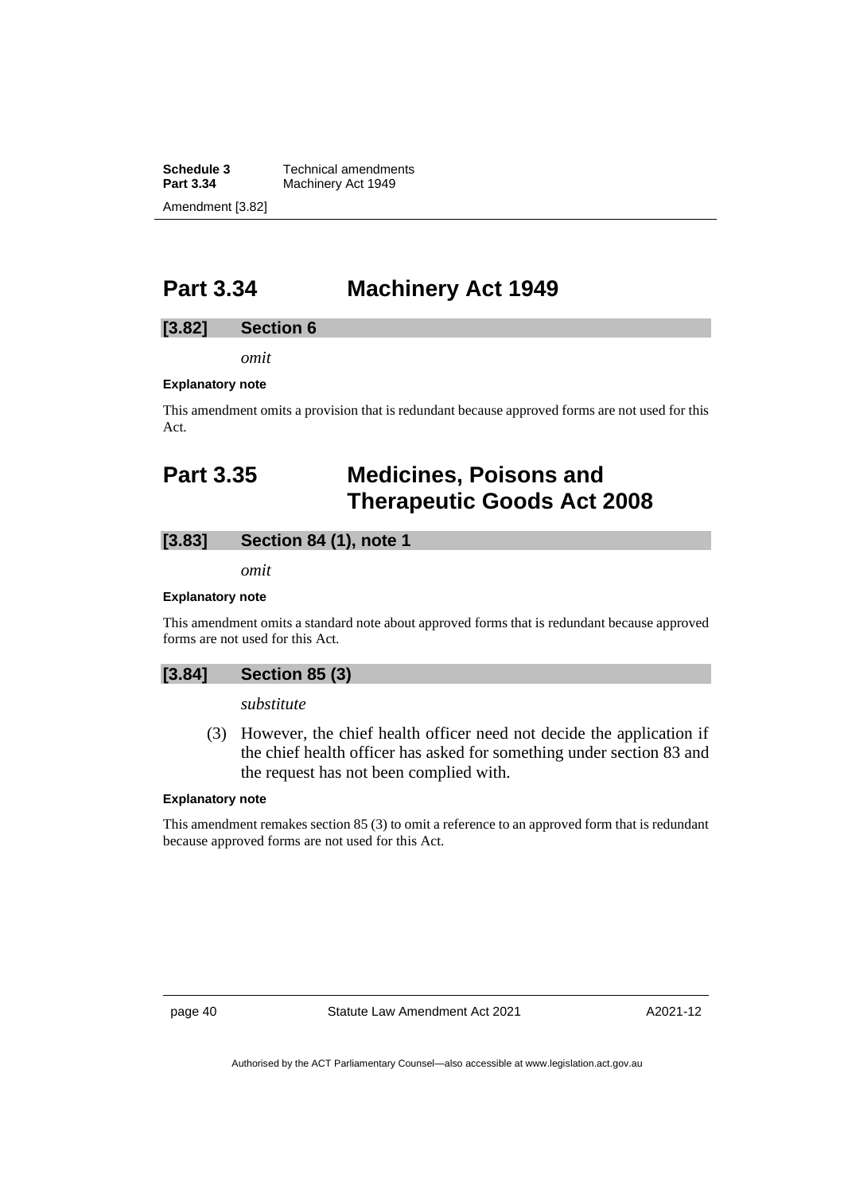**Schedule 3** Technical amendments<br>**Part 3.34** Machinery Act 1949 **Machinery Act 1949** Amendment [3.82]

# **Part 3.34 Machinery Act 1949**

## **[3.82] Section 6**

*omit*

### **Explanatory note**

This amendment omits a provision that is redundant because approved forms are not used for this Act.

# **Part 3.35 Medicines, Poisons and Therapeutic Goods Act 2008**

## **[3.83] Section 84 (1), note 1**

*omit*

#### **Explanatory note**

This amendment omits a standard note about approved forms that is redundant because approved forms are not used for this Act.

## **[3.84] Section 85 (3)**

*substitute*

(3) However, the chief health officer need not decide the application if the chief health officer has asked for something under section 83 and the request has not been complied with.

#### **Explanatory note**

This amendment remakes section 85 (3) to omit a reference to an approved form that is redundant because approved forms are not used for this Act.

page 40 Statute Law Amendment Act 2021

A2021-12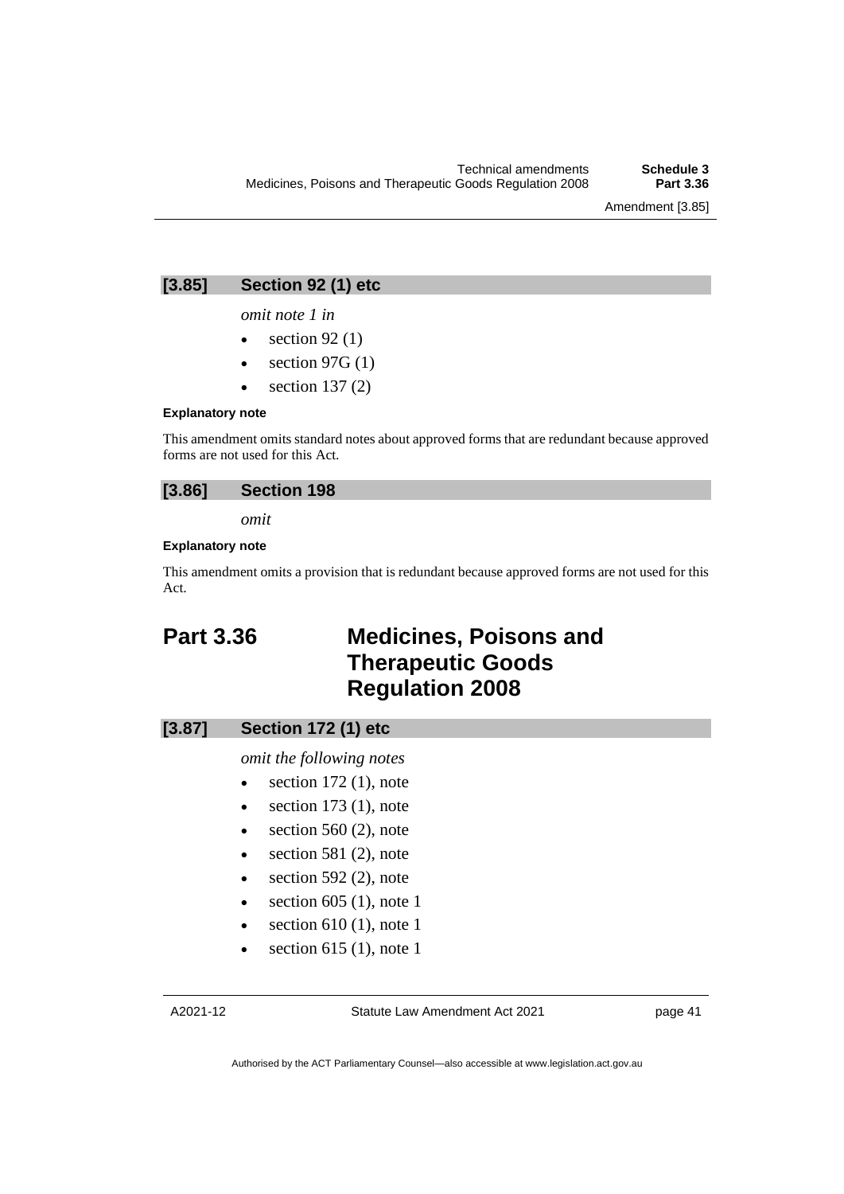Amendment [3.85]

## **[3.85] Section 92 (1) etc**

*omit note 1 in*

- section  $92(1)$
- section  $97G(1)$
- section  $137(2)$

#### **Explanatory note**

This amendment omits standard notes about approved forms that are redundant because approved forms are not used for this Act.

## **[3.86] Section 198**

*omit*

## **Explanatory note**

This amendment omits a provision that is redundant because approved forms are not used for this Act.

# **Part 3.36 Medicines, Poisons and Therapeutic Goods Regulation 2008**

## **[3.87] Section 172 (1) etc**

*omit the following notes*

- $\bullet$  section 172 (1), note
- $\bullet$  section 173 (1), note
- $\bullet$  section 560 (2), note
- $\bullet$  section 581 (2), note
- $\bullet$  section 592 (2), note
- section 605 (1), note 1
- $\bullet$  section 610 (1), note 1
- section 615 (1), note 1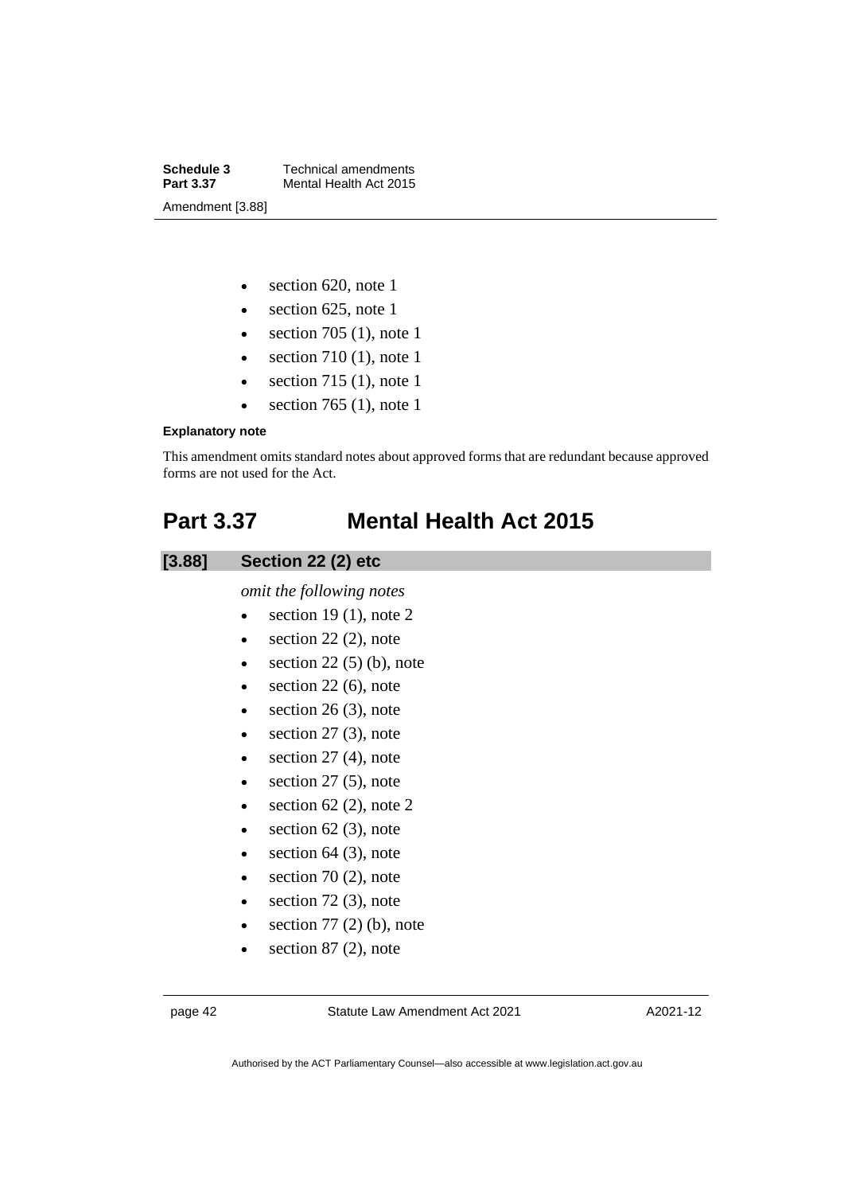**Schedule 3** Technical amendments<br>**Part 3.37** Mental Health Act 2015 **Mental Health Act 2015** Amendment [3.88]

- section 620, note 1
- section 625, note 1
- section 705 (1), note 1
- section  $710(1)$ , note 1
- section  $715(1)$ , note 1
- section  $765$  (1), note 1

## **Explanatory note**

This amendment omits standard notes about approved forms that are redundant because approved forms are not used for the Act.

# **Part 3.37 Mental Health Act 2015**

## **[3.88] Section 22 (2) etc**

*omit the following notes*

- $\bullet$  section 19 (1), note 2
- $\bullet$  section 22 (2), note
- $\bullet$  section 22 (5) (b), note
- $\bullet$  section 22 (6), note
- $\bullet$  section 26 (3), note
- $\bullet$  section 27 (3), note
- $\bullet$  section 27 (4), note
- $\bullet$  section 27 (5), note
- section  $62$  (2), note 2
- $\bullet$  section 62 (3), note
- $\bullet$  section 64 (3), note
- $\bullet$  section 70 (2), note
- $\bullet$  section 72 (3), note
- $\bullet$  section 77 (2) (b), note
- $\bullet$  section 87 (2), note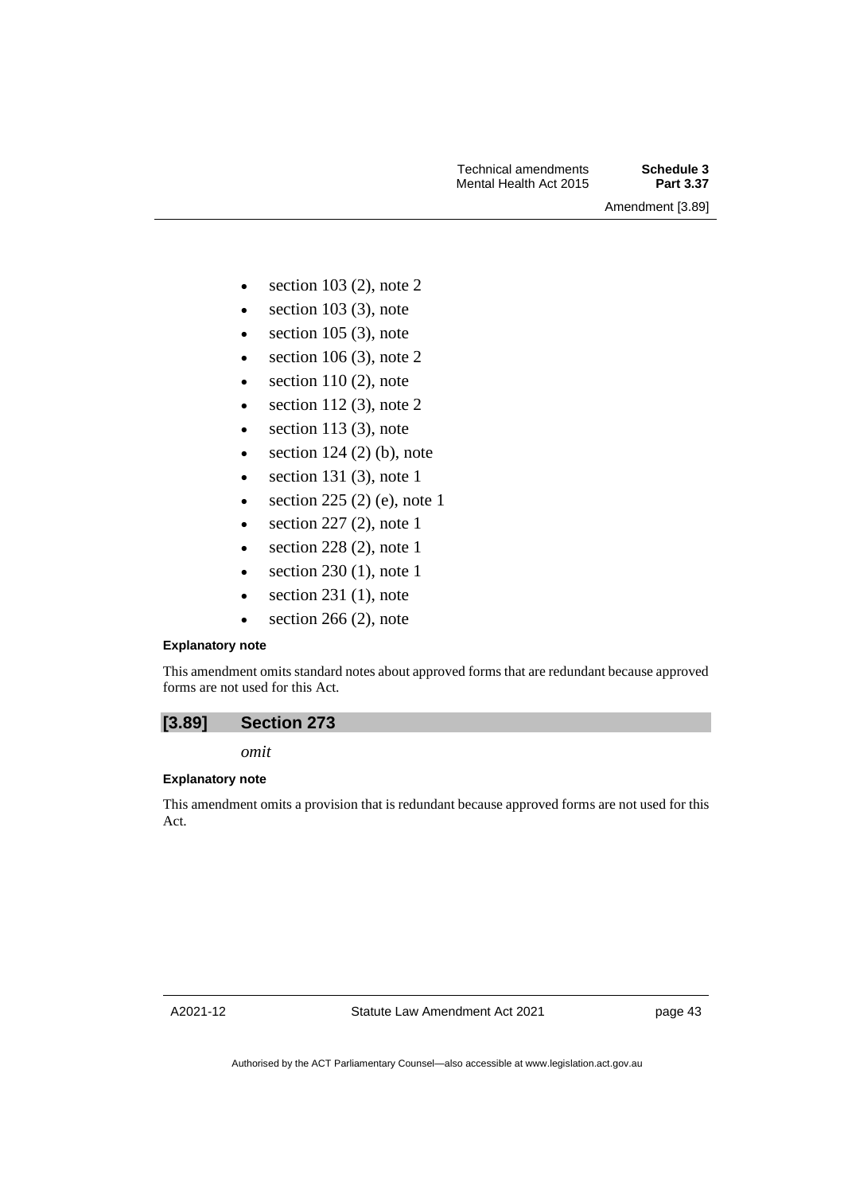Amendment [3.89]

- section  $103$  (2), note 2
- $\bullet$  section 103 (3), note
- $\bullet$  section 105 (3), note
- section  $106(3)$ , note 2
- $\bullet$  section 110 (2), note
- section  $112$  (3), note 2
- $\bullet$  section 113 (3), note
- section  $124$  (2) (b), note
- section 131 $(3)$ , note 1
- section  $225(2)$  (e), note 1
- $\bullet$  section 227 (2), note 1
- $\bullet$  section 228 (2), note 1
- section  $230(1)$ , note 1
- $\bullet$  section 231 (1), note
- $\bullet$  section 266 (2), note

## **Explanatory note**

This amendment omits standard notes about approved forms that are redundant because approved forms are not used for this Act.



## *omit*

### **Explanatory note**

This amendment omits a provision that is redundant because approved forms are not used for this Act.

A2021-12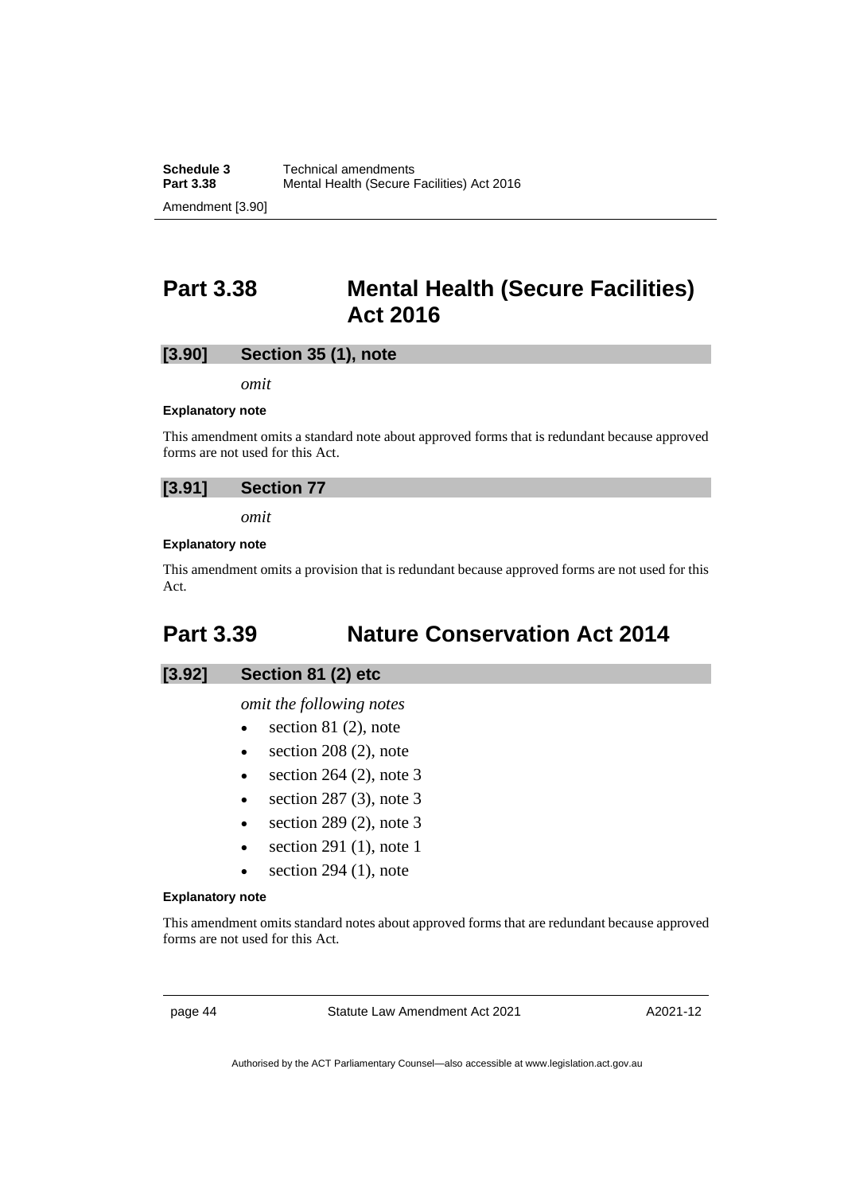# **Part 3.38 Mental Health (Secure Facilities) Act 2016**

## **[3.90] Section 35 (1), note**

*omit*

#### **Explanatory note**

This amendment omits a standard note about approved forms that is redundant because approved forms are not used for this Act.

## **[3.91] Section 77**

*omit*

## **Explanatory note**

This amendment omits a provision that is redundant because approved forms are not used for this Act.

# **Part 3.39 Nature Conservation Act 2014**

## **[3.92] Section 81 (2) etc**

*omit the following notes*

- $\bullet$  section 81 (2), note
- section  $208(2)$ , note
- section  $264$  (2), note 3
- section  $287$  (3), note 3
- $\bullet$  section 289 (2), note 3
- section 291 $(1)$ , note 1
- $\bullet$  section 294 (1), note

#### **Explanatory note**

This amendment omits standard notes about approved forms that are redundant because approved forms are not used for this Act.

page 44 Statute Law Amendment Act 2021

A2021-12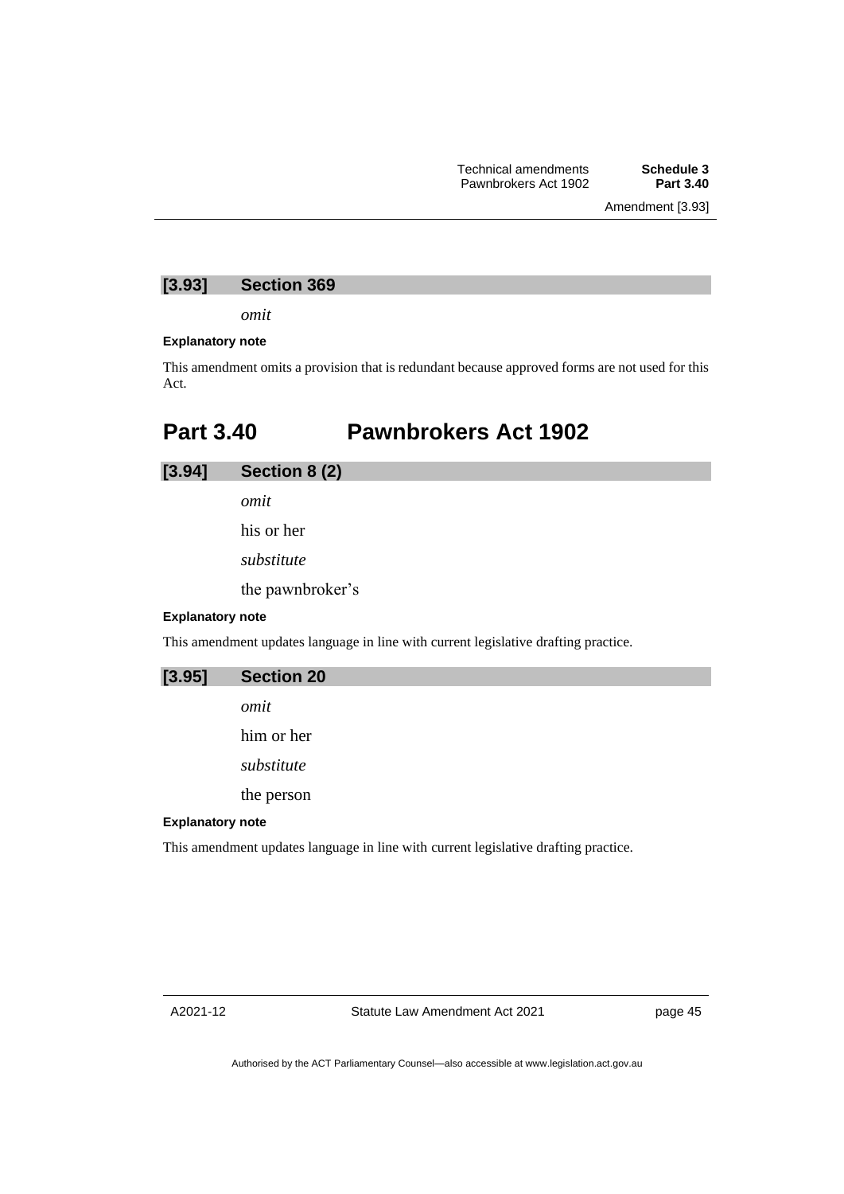## **[3.93] Section 369**

*omit*

### **Explanatory note**

This amendment omits a provision that is redundant because approved forms are not used for this Act.

# **Part 3.40 Pawnbrokers Act 1902**

**[3.94] Section 8 (2)**

*omit*

his or her *substitute*

the pawnbroker's

## **Explanatory note**

This amendment updates language in line with current legislative drafting practice.

**[3.95] Section 20**

*omit*

him or her

*substitute*

the person

## **Explanatory note**

This amendment updates language in line with current legislative drafting practice.

page 45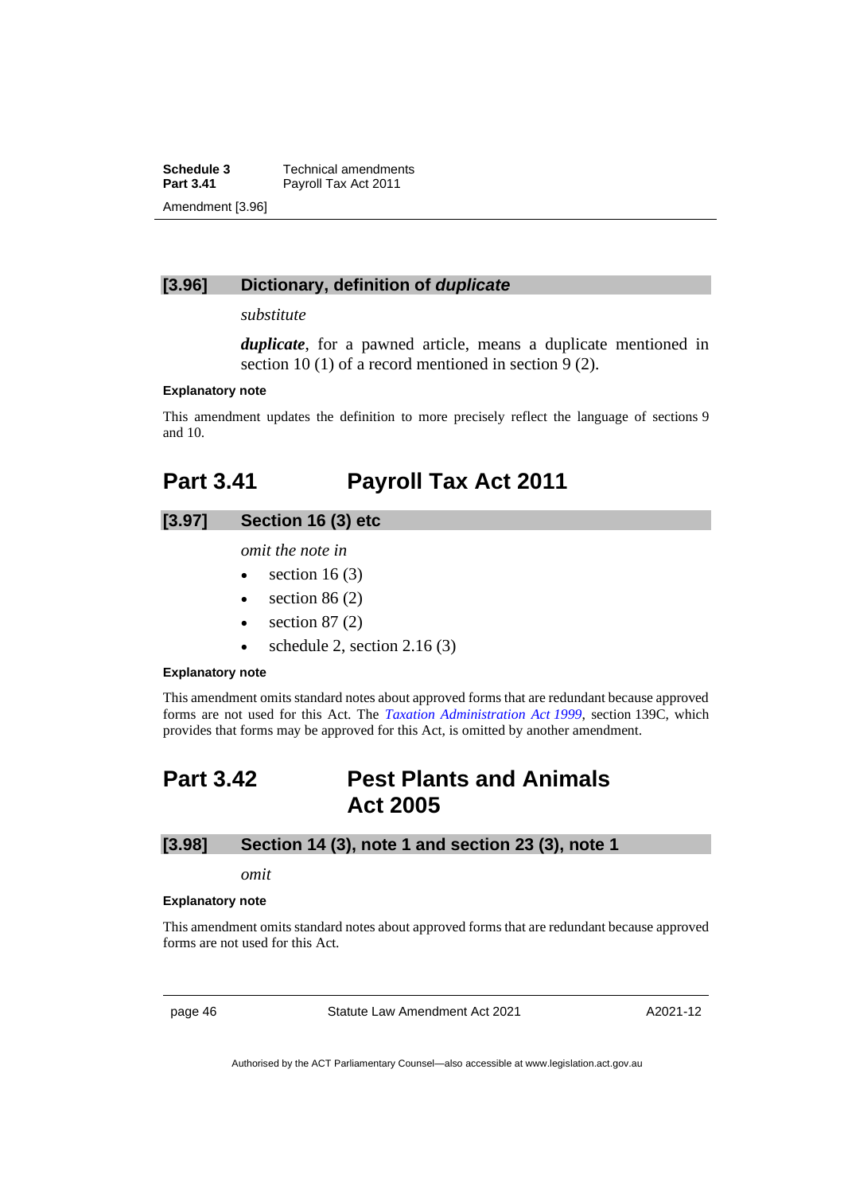**Schedule 3** Technical amendments<br>**Part 3.41** Payroll Tax Act 2011 Payroll Tax Act 2011 Amendment [3.96]

## **[3.96] Dictionary, definition of** *duplicate*

## *substitute*

*duplicate*, for a pawned article, means a duplicate mentioned in section 10 (1) of a record mentioned in section 9 (2).

#### **Explanatory note**

This amendment updates the definition to more precisely reflect the language of sections 9 and 10.

# **Part 3.41 Payroll Tax Act 2011**

## **[3.97] Section 16 (3) etc**

*omit the note in*

- section  $16(3)$
- section  $86(2)$
- section  $87(2)$
- schedule 2, section  $2.16(3)$

#### **Explanatory note**

This amendment omits standard notes about approved forms that are redundant because approved forms are not used for this Act. The *[Taxation Administration Act](http://www.legislation.act.gov.au/a/1999-4) 1999*, section 139C, which provides that forms may be approved for this Act, is omitted by another amendment.

# **Part 3.42 Pest Plants and Animals Act 2005**

## **[3.98] Section 14 (3), note 1 and section 23 (3), note 1**

#### *omit*

#### **Explanatory note**

This amendment omits standard notes about approved forms that are redundant because approved forms are not used for this Act.

page 46 Statute Law Amendment Act 2021

A2021-12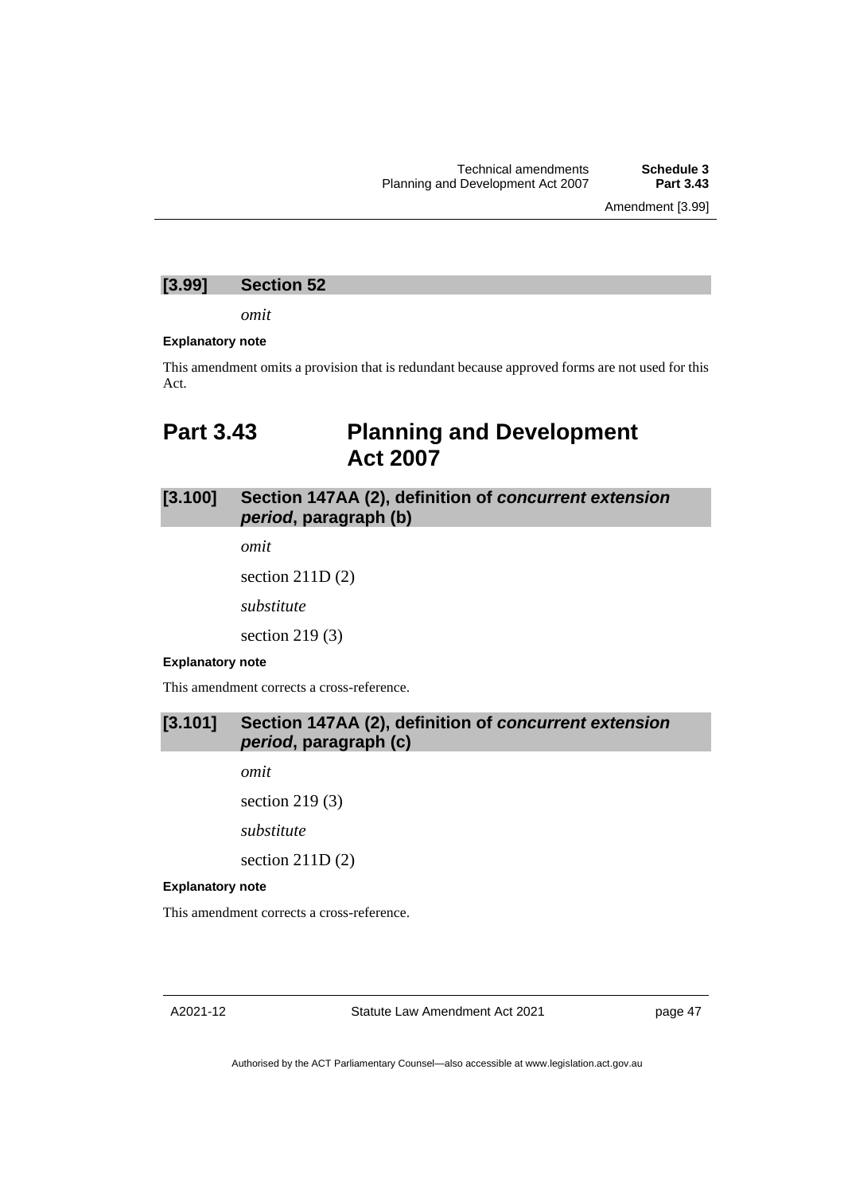Amendment [3.99]

## **[3.99] Section 52**

*omit*

#### **Explanatory note**

This amendment omits a provision that is redundant because approved forms are not used for this Act.

# **Part 3.43 Planning and Development Act 2007**

## **[3.100] Section 147AA (2), definition of** *concurrent extension period***, paragraph (b)**

*omit*

section 211D (2)

*substitute*

section 219 (3)

## **Explanatory note**

This amendment corrects a cross-reference.

## **[3.101] Section 147AA (2), definition of** *concurrent extension period***, paragraph (c)**

*omit*

section 219 (3)

*substitute*

section 211D (2)

## **Explanatory note**

This amendment corrects a cross-reference.

A2021-12

Statute Law Amendment Act 2021

page 47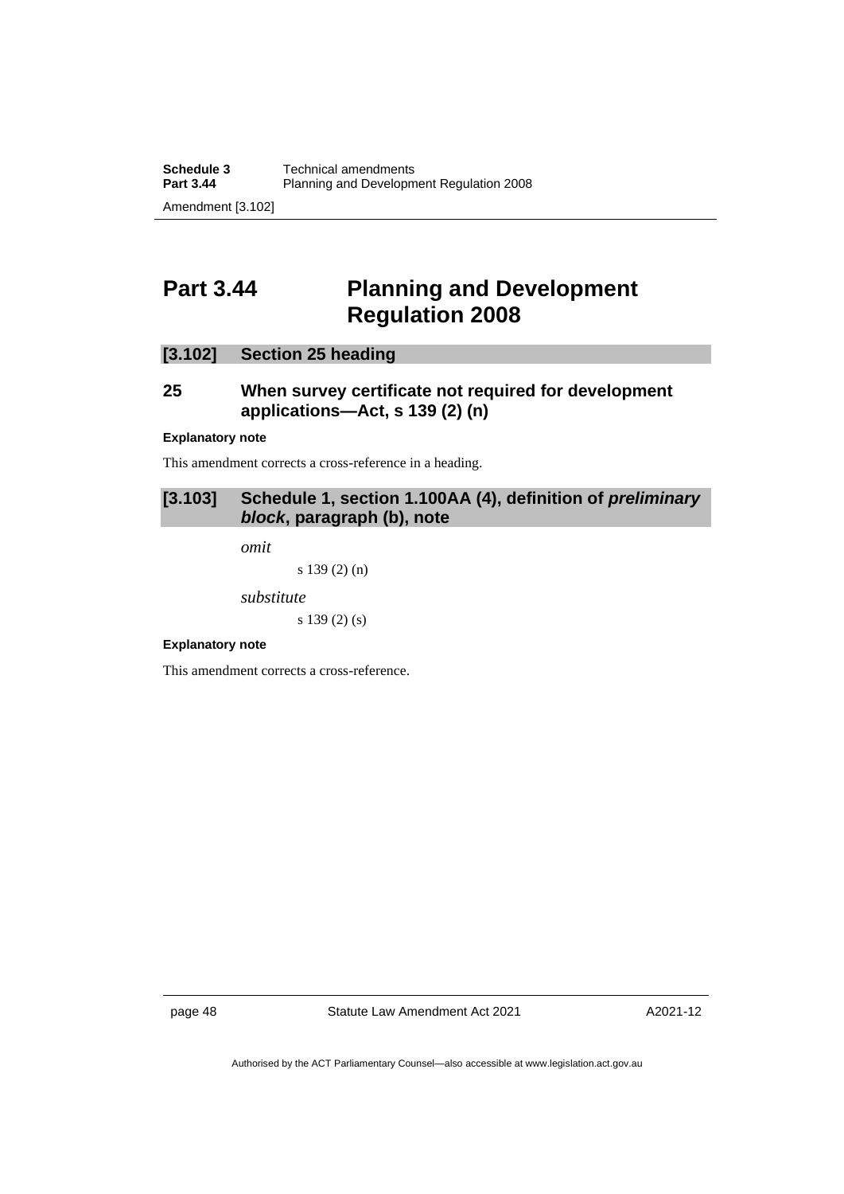# **Part 3.44 Planning and Development Regulation 2008**

## **[3.102] Section 25 heading**

## **25 When survey certificate not required for development applications—Act, s 139 (2) (n)**

### **Explanatory note**

This amendment corrects a cross-reference in a heading.

## **[3.103] Schedule 1, section 1.100AA (4), definition of** *preliminary block***, paragraph (b), note**

*omit*

s 139 (2) (n)

*substitute*

s 139 (2) (s)

## **Explanatory note**

This amendment corrects a cross-reference.

page 48 Statute Law Amendment Act 2021

A2021-12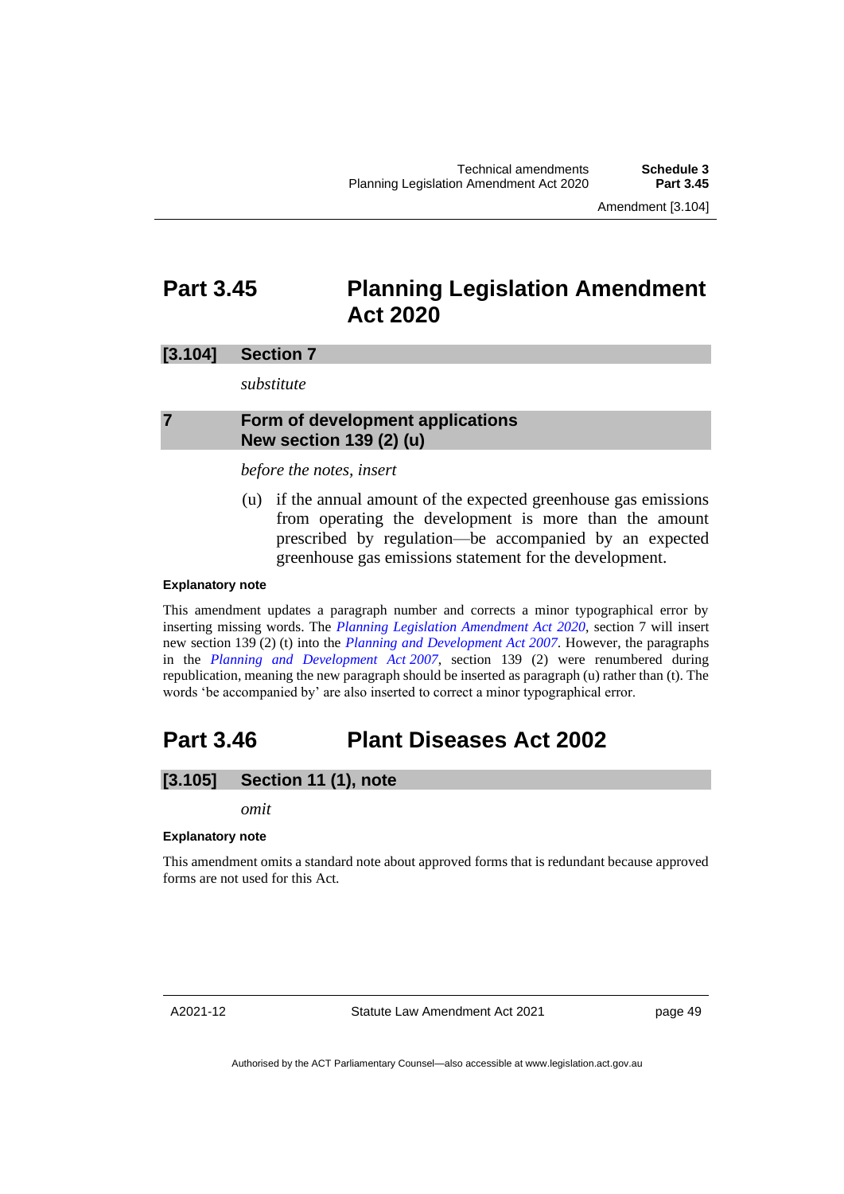Amendment [3.104]

# **Part 3.45 Planning Legislation Amendment Act 2020**

## **[3.104] Section 7**

*substitute*

## **7 Form of development applications New section 139 (2) (u)**

## *before the notes, insert*

(u) if the annual amount of the expected greenhouse gas emissions from operating the development is more than the amount prescribed by regulation—be accompanied by an expected greenhouse gas emissions statement for the development.

### **Explanatory note**

This amendment updates a paragraph number and corrects a minor typographical error by inserting missing words. The *[Planning Legislation Amendment Act 2020](https://legislation.act.gov.au/a/2020-44/)*, section 7 will insert new section 139 (2) (t) into the *[Planning and Development Act](http://www.legislation.act.gov.au/a/2007-24) 2007*. However, the paragraphs in the *[Planning and Development Act](http://www.legislation.act.gov.au/a/2007-24) 2007*, section 139 (2) were renumbered during republication, meaning the new paragraph should be inserted as paragraph (u) rather than (t). The words 'be accompanied by' are also inserted to correct a minor typographical error.

# **Part 3.46 Plant Diseases Act 2002**

## **[3.105] Section 11 (1), note**

*omit*

## **Explanatory note**

This amendment omits a standard note about approved forms that is redundant because approved forms are not used for this Act.

A2021-12

Statute Law Amendment Act 2021

page 49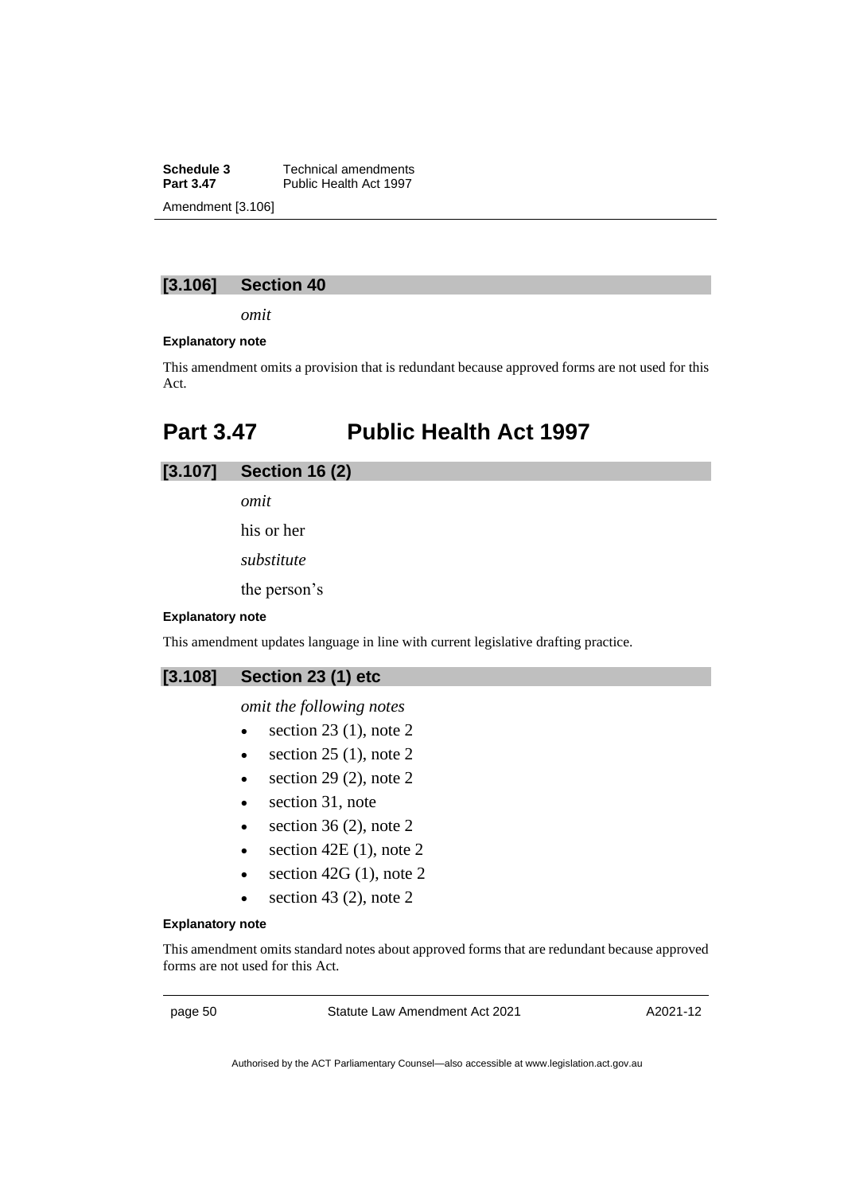**Schedule 3** Technical amendments<br>**Part 3.47** Public Health Act 1997 Public Health Act 1997 Amendment [3.106]

## **[3.106] Section 40**

*omit*

#### **Explanatory note**

This amendment omits a provision that is redundant because approved forms are not used for this Act.

# **Part 3.47 Public Health Act 1997**

**[3.107] Section 16 (2)**

*omit*

his or her

*substitute*

the person's

#### **Explanatory note**

This amendment updates language in line with current legislative drafting practice.

## **[3.108] Section 23 (1) etc**

## *omit the following notes*

- $\bullet$  section 23 (1), note 2
- $\bullet$  section 25 (1), note 2
- $\bullet$  section 29 (2), note 2
- section 31, note
- section 36 (2), note  $2$
- section  $42E(1)$ , note 2
- section  $42G(1)$ , note 2
- $\bullet$  section 43 (2), note 2

### **Explanatory note**

This amendment omits standard notes about approved forms that are redundant because approved forms are not used for this Act.

page 50 Statute Law Amendment Act 2021

A2021-12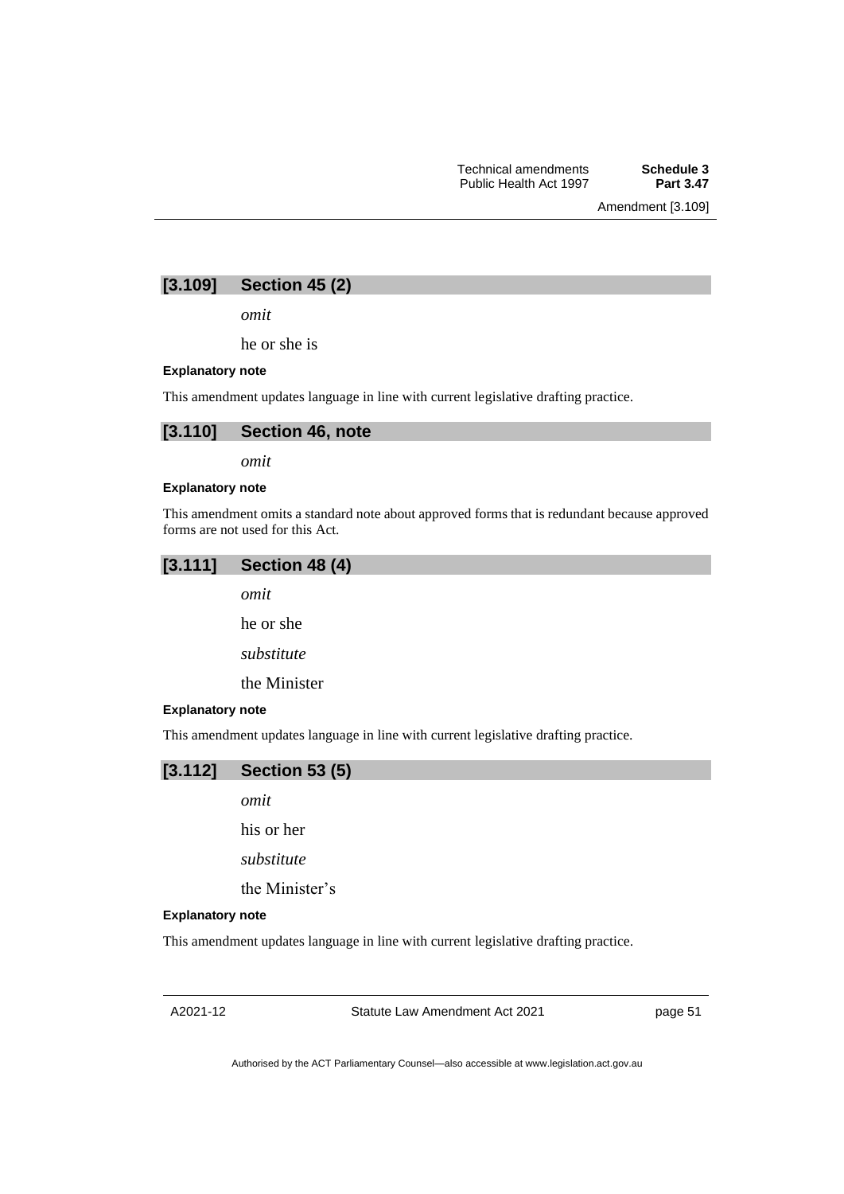Amendment [3.109]

## **[3.109] Section 45 (2)**

*omit*

he or she is

#### **Explanatory note**

This amendment updates language in line with current legislative drafting practice.



*omit*

#### **Explanatory note**

This amendment omits a standard note about approved forms that is redundant because approved forms are not used for this Act.

## **[3.111] Section 48 (4)**

*omit*

he or she

*substitute*

the Minister

## **Explanatory note**

This amendment updates language in line with current legislative drafting practice.



*omit*

his or her

*substitute*

the Minister's

#### **Explanatory note**

This amendment updates language in line with current legislative drafting practice.

Statute Law Amendment Act 2021

page 51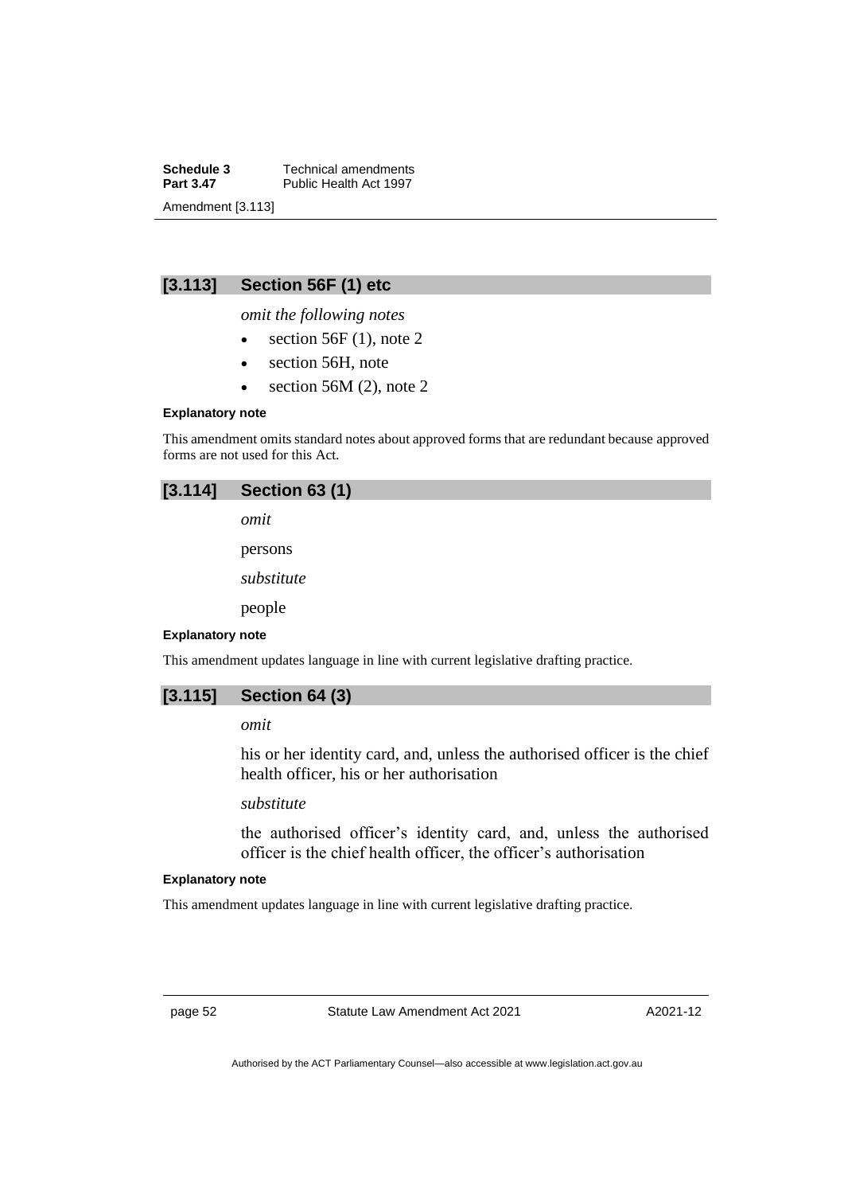**Schedule 3** Technical amendments<br>**Part 3.47** Public Health Act 1997 Public Health Act 1997 Amendment [3.113]

# **[3.113] Section 56F (1) etc**

*omit the following notes*

- section  $56F(1)$ , note 2
- section 56H, note
- section 56M  $(2)$ , note 2

### **Explanatory note**

This amendment omits standard notes about approved forms that are redundant because approved forms are not used for this Act.

| $[3.114]$ Section 63 (1) |
|--------------------------|
|--------------------------|

*omit*

persons

*substitute*

people

#### **Explanatory note**

This amendment updates language in line with current legislative drafting practice.



## *omit*

his or her identity card, and, unless the authorised officer is the chief health officer, his or her authorisation

*substitute*

the authorised officer's identity card, and, unless the authorised officer is the chief health officer, the officer's authorisation

## **Explanatory note**

This amendment updates language in line with current legislative drafting practice.

page 52 Statute Law Amendment Act 2021

A2021-12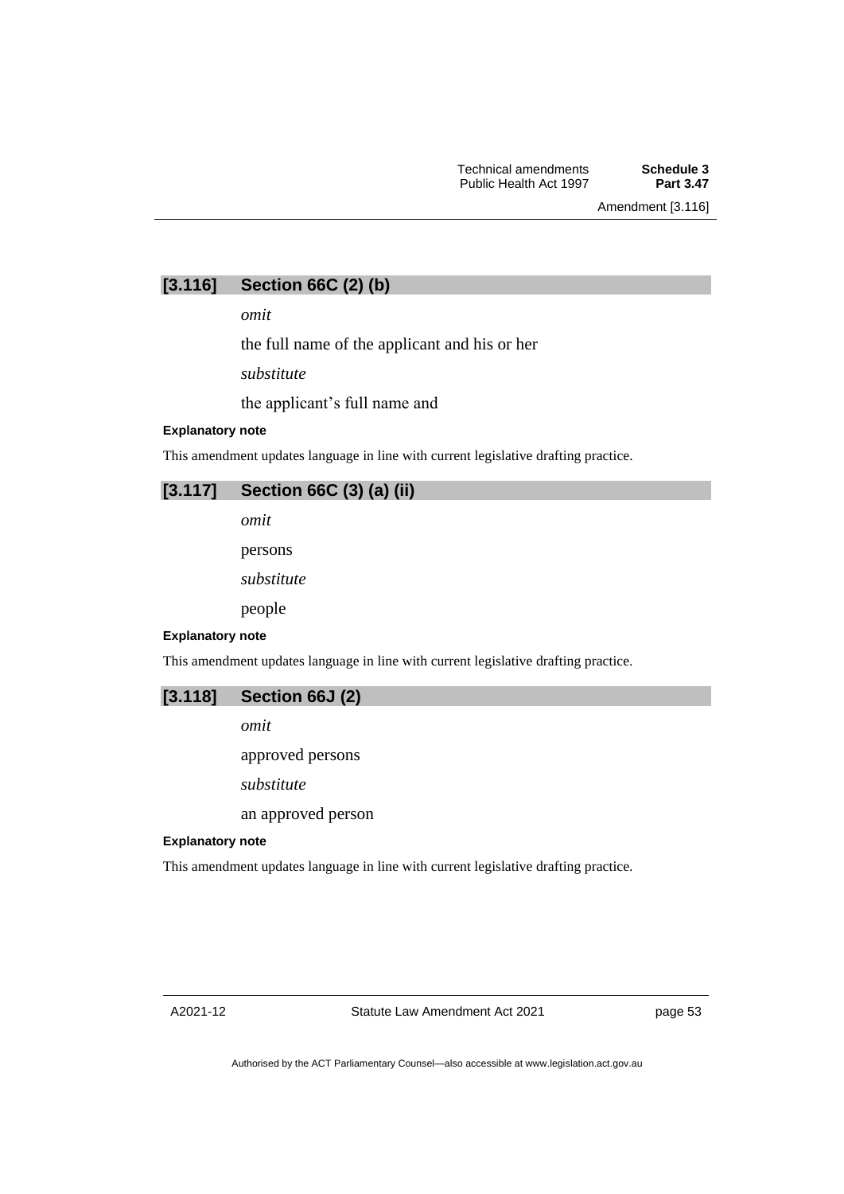# **[3.116] Section 66C (2) (b)**

*omit*

the full name of the applicant and his or her

*substitute*

the applicant's full name and

## **Explanatory note**

This amendment updates language in line with current legislative drafting practice.

# **[3.117] Section 66C (3) (a) (ii)**

*omit*

persons

*substitute*

people

#### **Explanatory note**

This amendment updates language in line with current legislative drafting practice.

## **[3.118] Section 66J (2)**

*omit*

approved persons

*substitute*

an approved person

## **Explanatory note**

This amendment updates language in line with current legislative drafting practice.

page 53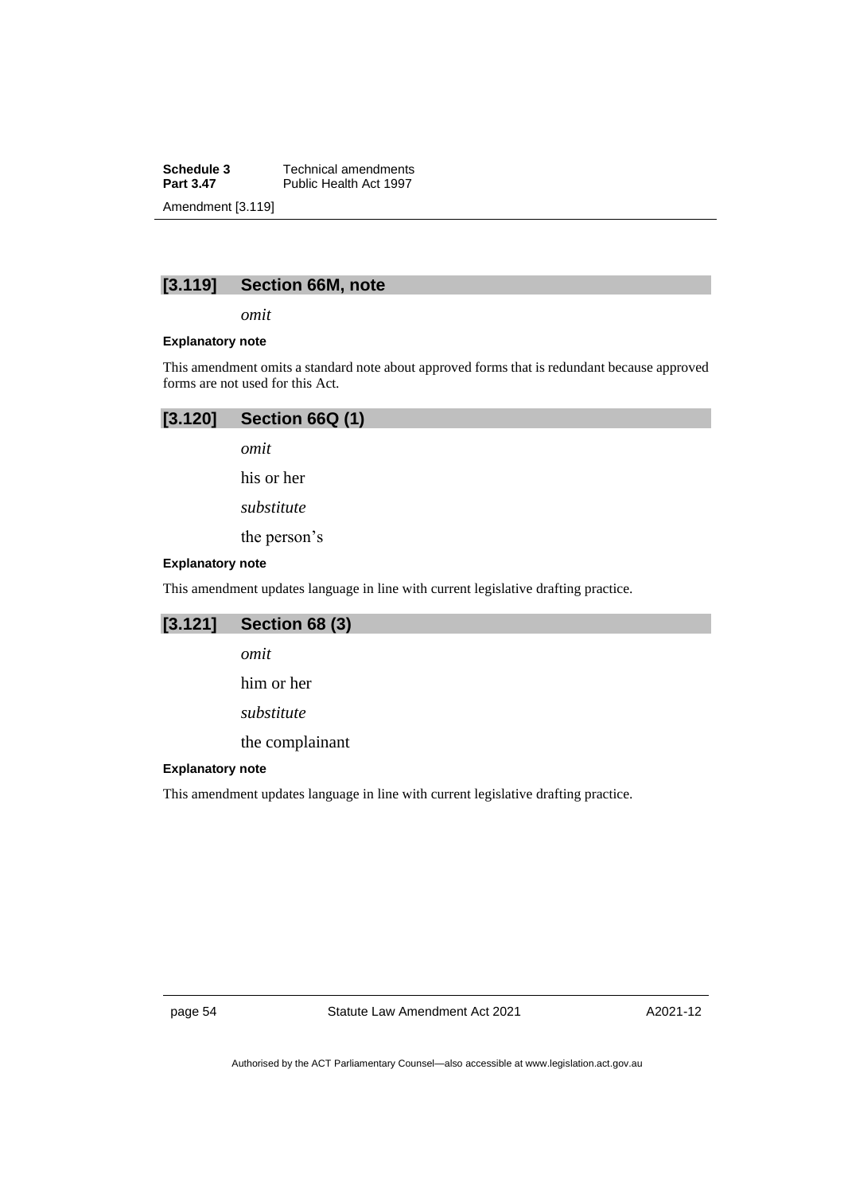**Schedule 3** Technical amendments<br>**Part 3.47** Public Health Act 1997 Public Health Act 1997 Amendment [3.119]

## **[3.119] Section 66M, note**

*omit*

### **Explanatory note**

This amendment omits a standard note about approved forms that is redundant because approved forms are not used for this Act.

| $[3.120]$ Section 66Q (1) |  |
|---------------------------|--|
|                           |  |

*omit*

his or her

*substitute*

the person's

#### **Explanatory note**

This amendment updates language in line with current legislative drafting practice.

# **[3.121] Section 68 (3)**

*omit* him or her *substitute*

the complainant

## **Explanatory note**

This amendment updates language in line with current legislative drafting practice.

page 54 Statute Law Amendment Act 2021

A2021-12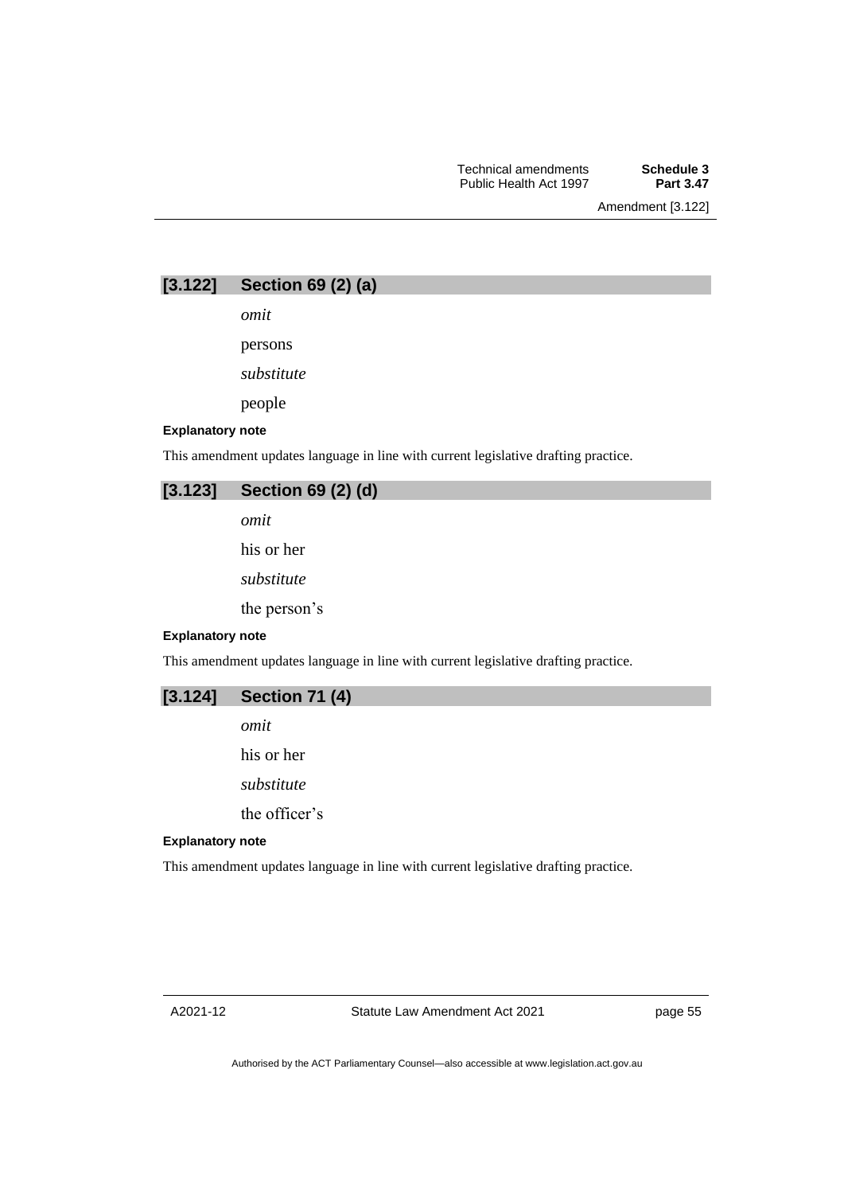Amendment [3.122]

| [3.122] | Section 69 (2) (a) |  |  |  |
|---------|--------------------|--|--|--|
|---------|--------------------|--|--|--|

*omit*

persons

*substitute*

people

### **Explanatory note**

This amendment updates language in line with current legislative drafting practice.

## **[3.123] Section 69 (2) (d)**

*omit*

his or her

*substitute*

the person's

### **Explanatory note**

This amendment updates language in line with current legislative drafting practice.

*omit*

his or her

*substitute*

the officer's

#### **Explanatory note**

This amendment updates language in line with current legislative drafting practice.

page 55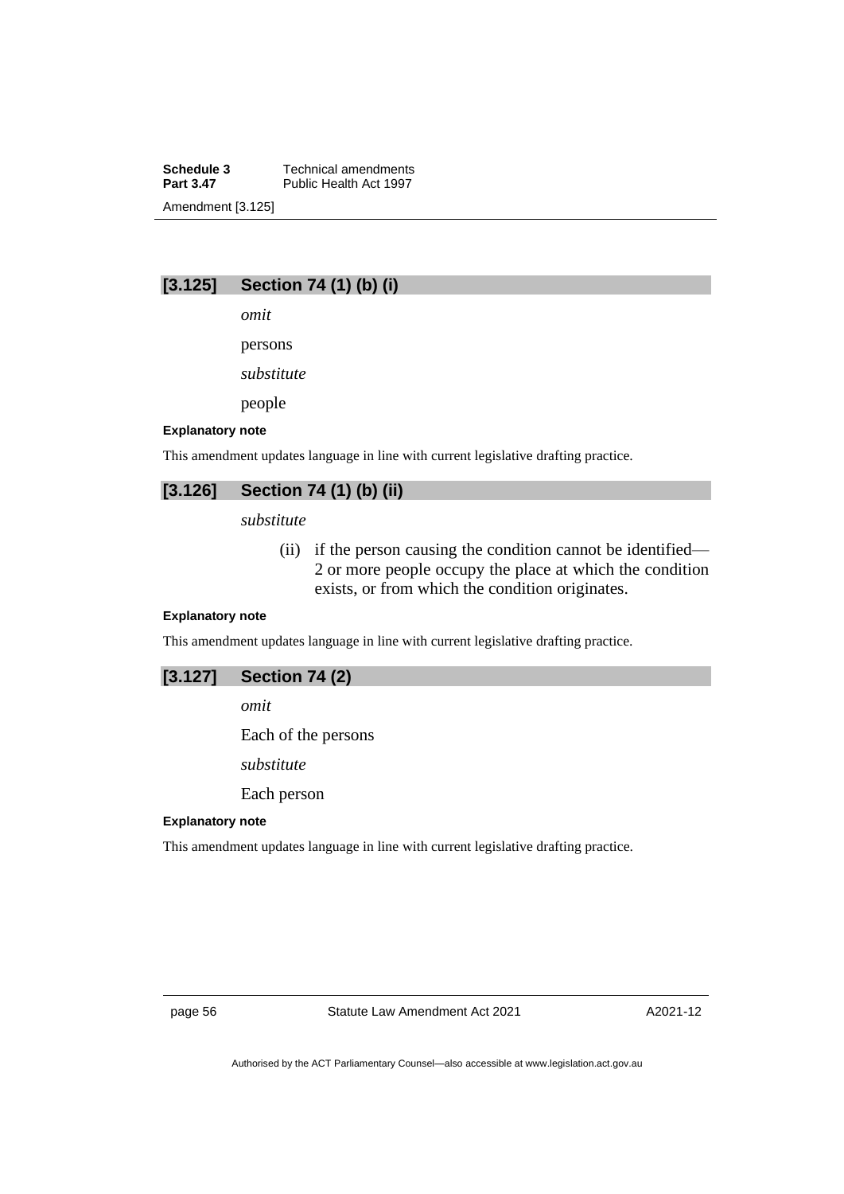**Schedule 3** Technical amendments<br>**Part 3.47** Public Health Act 1997 Public Health Act 1997 Amendment [3.125]

## **[3.125] Section 74 (1) (b) (i)**

*omit*

persons

*substitute*

people

## **Explanatory note**

This amendment updates language in line with current legislative drafting practice.

# **[3.126] Section 74 (1) (b) (ii)**

*substitute*

(ii) if the person causing the condition cannot be identified— 2 or more people occupy the place at which the condition exists, or from which the condition originates.

## **Explanatory note**

This amendment updates language in line with current legislative drafting practice.

## **[3.127] Section 74 (2)**

*omit*

Each of the persons

*substitute*

Each person

### **Explanatory note**

This amendment updates language in line with current legislative drafting practice.

page 56 Statute Law Amendment Act 2021

A2021-12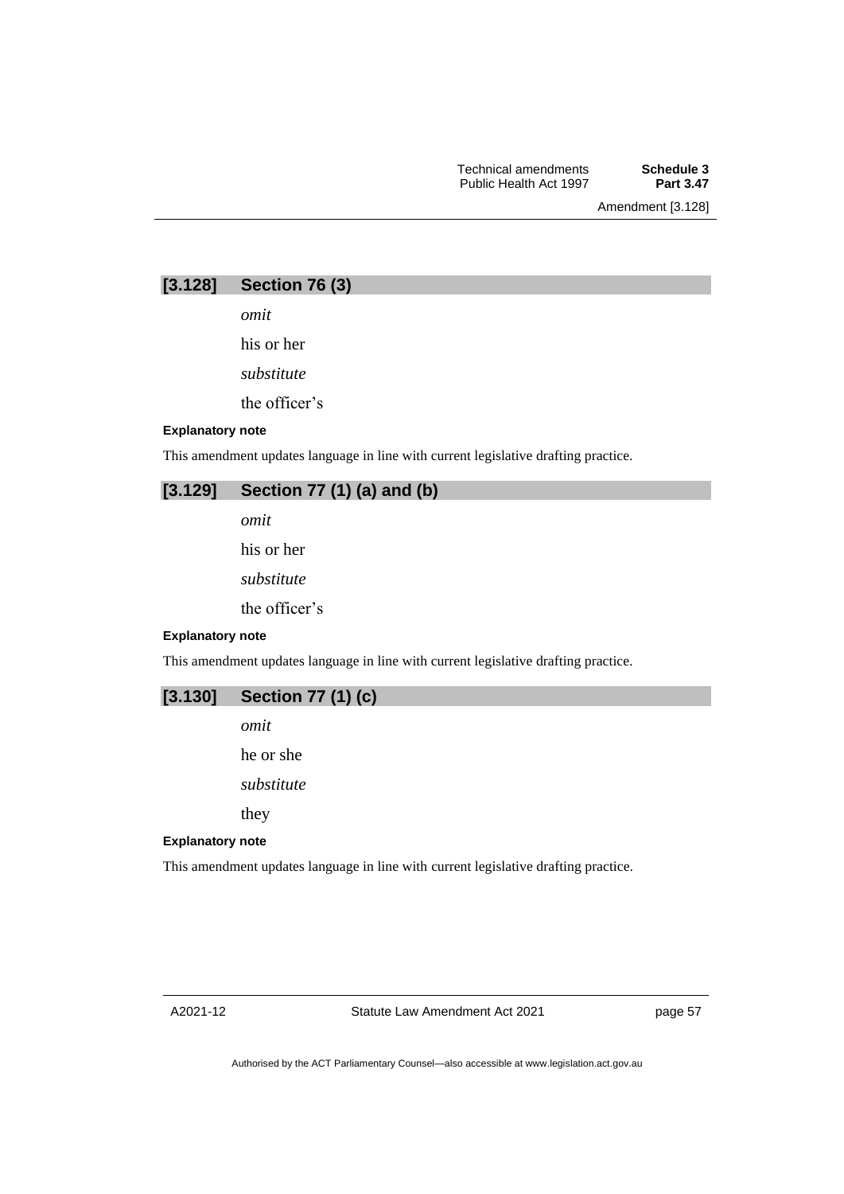Amendment [3.128]

| [3.128] | Section 76 (3) |  |  |
|---------|----------------|--|--|
|---------|----------------|--|--|

*omit*

his or her

*substitute*

the officer's

## **Explanatory note**

This amendment updates language in line with current legislative drafting practice.

## **[3.129] Section 77 (1) (a) and (b)**

*omit*

his or her

*substitute*

the officer's

### **Explanatory note**

This amendment updates language in line with current legislative drafting practice.



*omit*

he or she

*substitute*

they

## **Explanatory note**

This amendment updates language in line with current legislative drafting practice.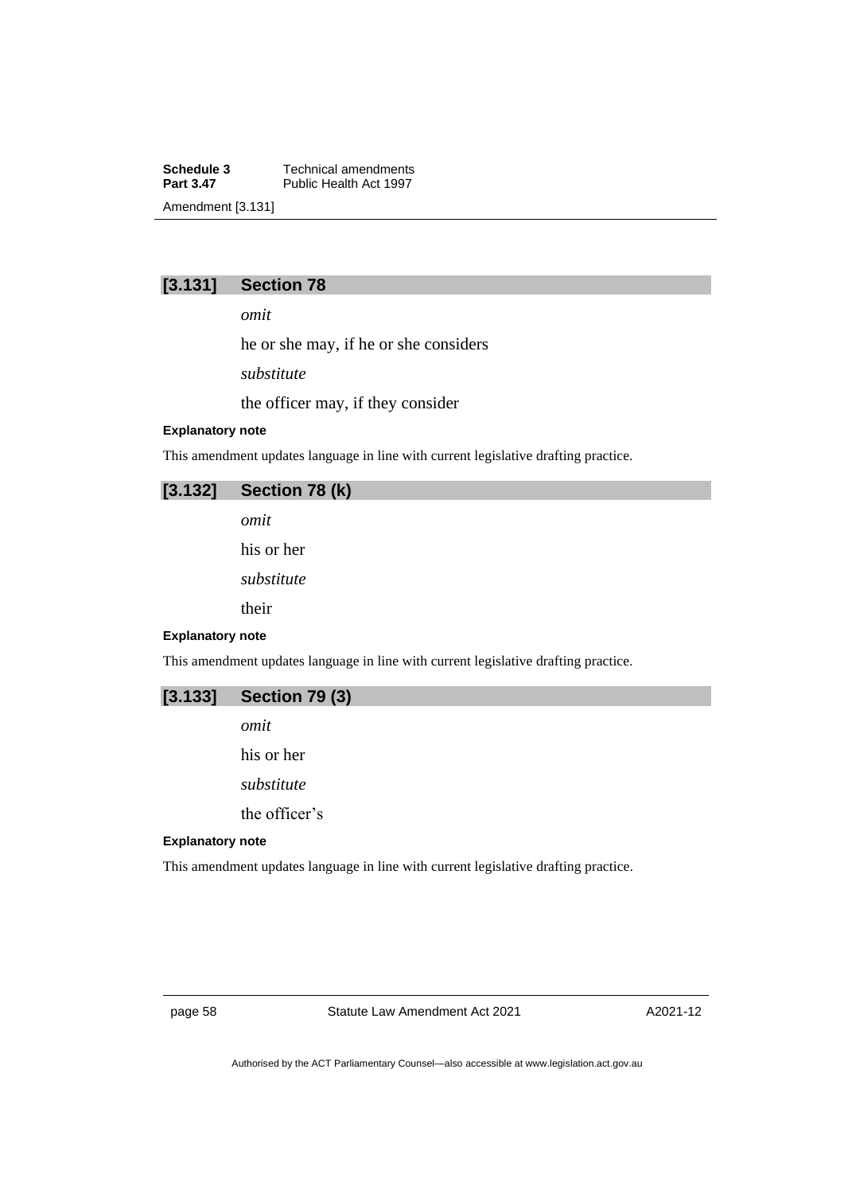**Schedule 3** Technical amendments<br>**Part 3.47** Public Health Act 1997 Public Health Act 1997 Amendment [3.131]

# **[3.131] Section 78**

*omit*

he or she may, if he or she considers

*substitute*

the officer may, if they consider

### **Explanatory note**

This amendment updates language in line with current legislative drafting practice.

## **[3.132] Section 78 (k)**

*omit*

his or her

*substitute*

their

#### **Explanatory note**

This amendment updates language in line with current legislative drafting practice.

| [3.133] | <b>Section 79 (3)</b> |  |  |  |
|---------|-----------------------|--|--|--|
|---------|-----------------------|--|--|--|

*omit*

his or her

*substitute*

the officer's

### **Explanatory note**

This amendment updates language in line with current legislative drafting practice.

page 58 Statute Law Amendment Act 2021

A2021-12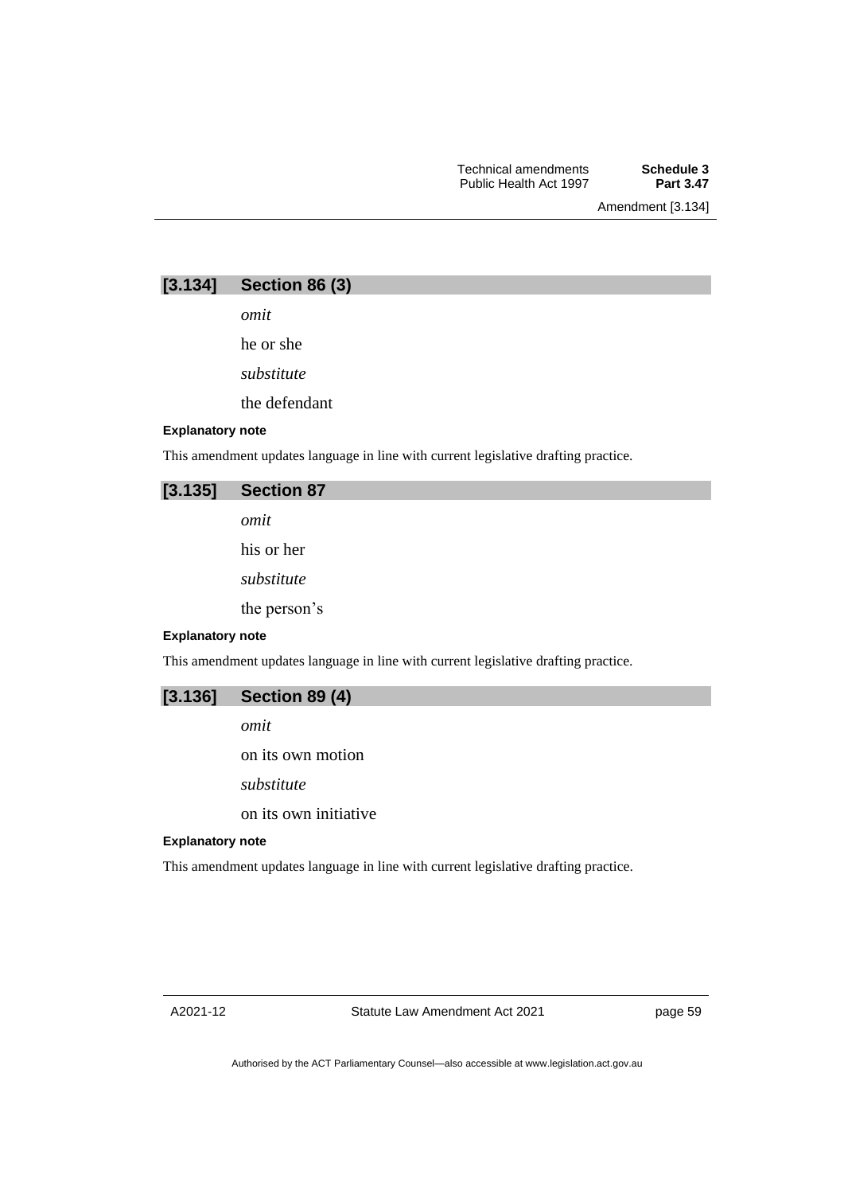Amendment [3.134]

| [3.134] | Section 86 (3) |  |  |
|---------|----------------|--|--|
|---------|----------------|--|--|

*omit*

he or she

*substitute*

the defendant

### **Explanatory note**

This amendment updates language in line with current legislative drafting practice.

## **[3.135] Section 87**

*omit*

his or her

*substitute*

the person's

### **Explanatory note**

This amendment updates language in line with current legislative drafting practice.

| [3.136] | <b>Section 89 (4)</b> |  |  |  |
|---------|-----------------------|--|--|--|
|---------|-----------------------|--|--|--|

*omit*

on its own motion

*substitute*

on its own initiative

### **Explanatory note**

This amendment updates language in line with current legislative drafting practice.

page 59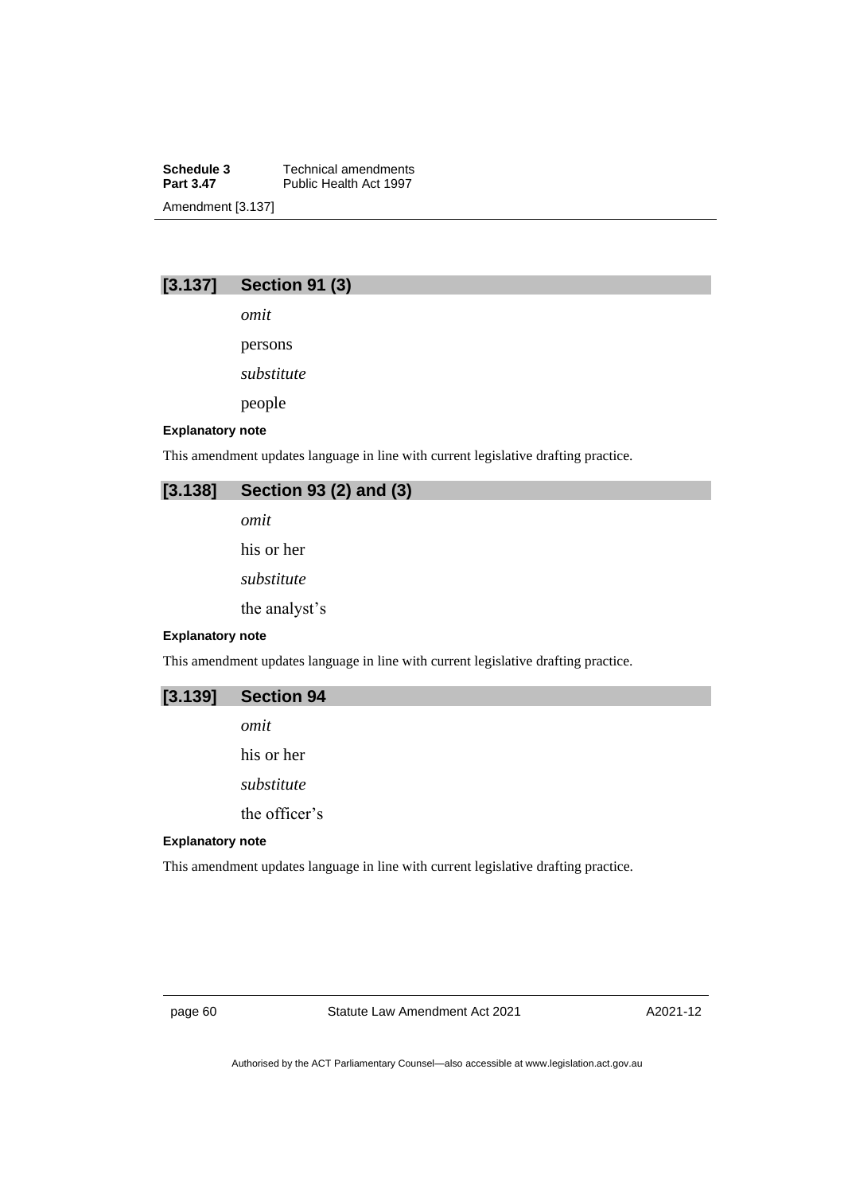**Schedule 3** Technical amendments<br>**Part 3.47** Public Health Act 1997 Public Health Act 1997 Amendment [3.137]

# **[3.137] Section 91 (3)**

*omit*

persons

*substitute*

people

## **Explanatory note**

This amendment updates language in line with current legislative drafting practice.

## **[3.138] Section 93 (2) and (3)**

*omit*

his or her

*substitute*

the analyst's

#### **Explanatory note**

This amendment updates language in line with current legislative drafting practice.

**[3.139] Section 94**

*omit*

his or her

*substitute*

the officer's

### **Explanatory note**

This amendment updates language in line with current legislative drafting practice.

page 60 Statute Law Amendment Act 2021

A2021-12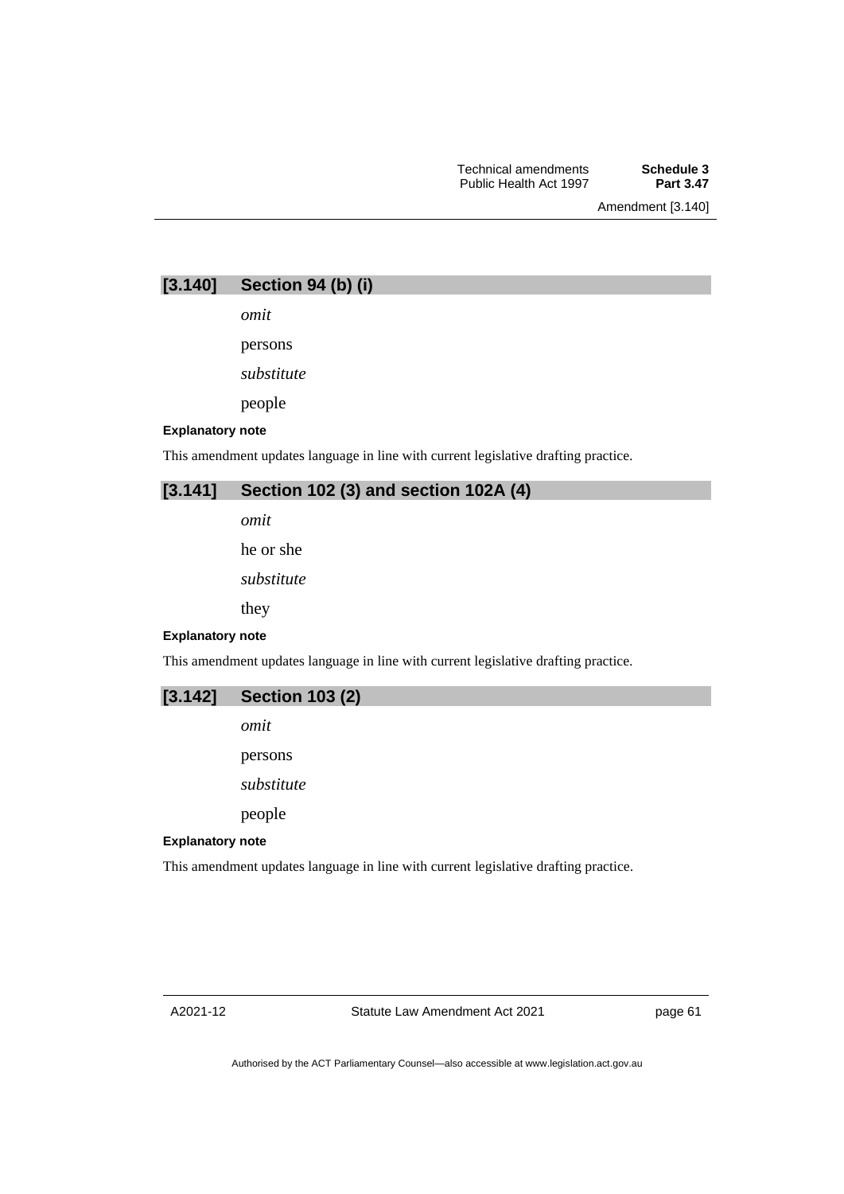Amendment [3.140]

| [3.140] | Section 94 (b) (i) |  |  |  |
|---------|--------------------|--|--|--|
|---------|--------------------|--|--|--|

*omit*

persons

*substitute*

people

#### **Explanatory note**

This amendment updates language in line with current legislative drafting practice.

## **[3.141] Section 102 (3) and section 102A (4)**

*omit*

he or she

*substitute*

they

**Explanatory note**

This amendment updates language in line with current legislative drafting practice.

| $[3.142]$ Section 103 (2) |  |  |
|---------------------------|--|--|
|---------------------------|--|--|

*omit*

persons

*substitute*

people

## **Explanatory note**

This amendment updates language in line with current legislative drafting practice.

page 61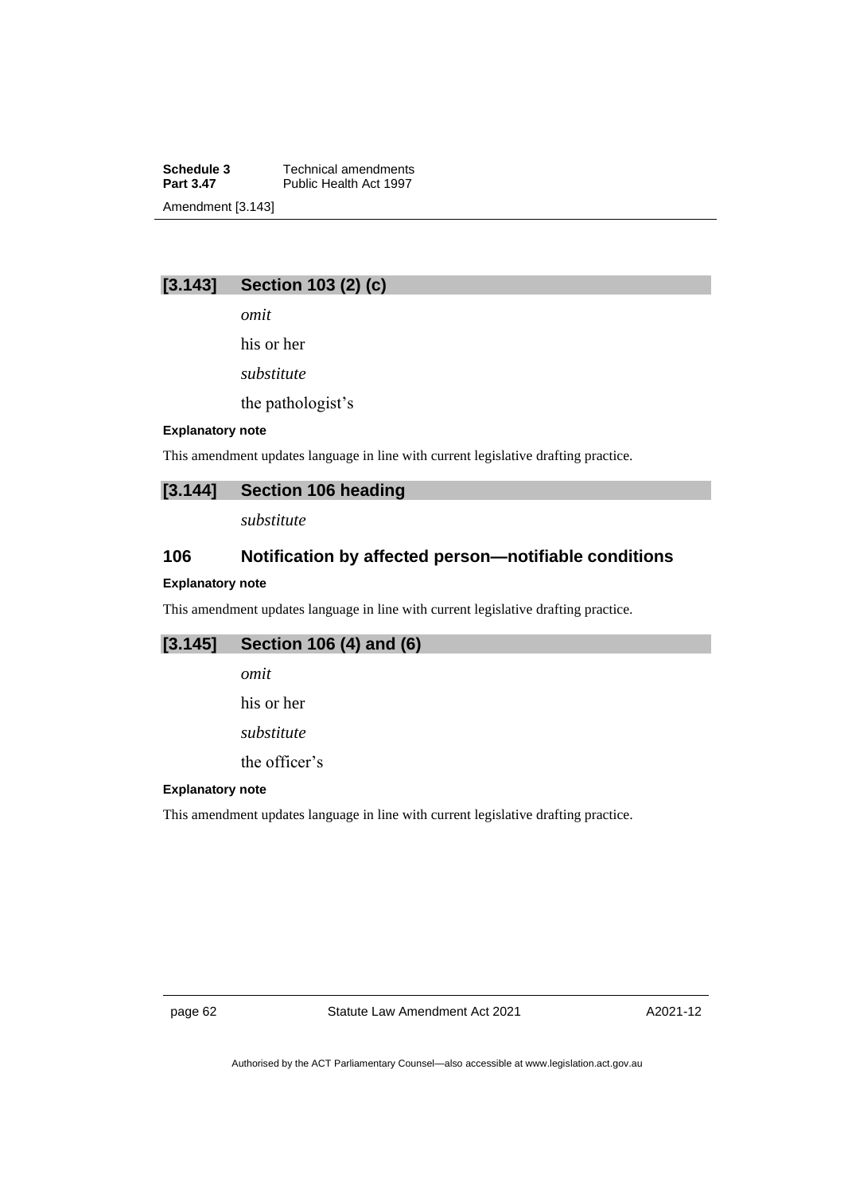**Schedule 3** Technical amendments<br>**Part 3.47** Public Health Act 1997 Public Health Act 1997 Amendment [3.143]

## **[3.143] Section 103 (2) (c)**

*omit*

his or her

*substitute*

the pathologist's

#### **Explanatory note**

This amendment updates language in line with current legislative drafting practice.

## **[3.144] Section 106 heading**

*substitute*

# **106 Notification by affected person—notifiable conditions**

## **Explanatory note**

This amendment updates language in line with current legislative drafting practice.

## **[3.145] Section 106 (4) and (6)**

- *omit*
- his or her
- *substitute*

the officer's

#### **Explanatory note**

This amendment updates language in line with current legislative drafting practice.

page 62 Statute Law Amendment Act 2021

A2021-12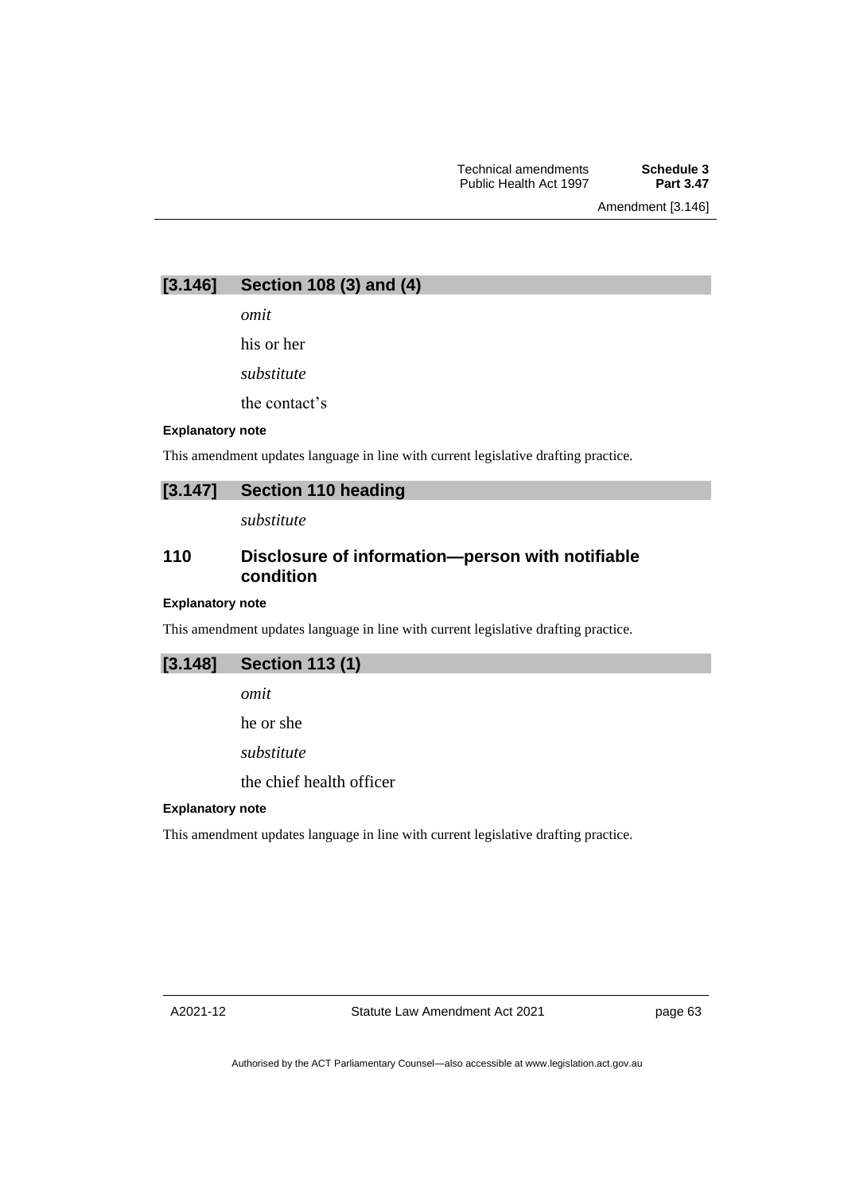**[3.146] Section 108 (3) and (4)**

*omit*

his or her

*substitute*

the contact's

### **Explanatory note**

This amendment updates language in line with current legislative drafting practice.

## **[3.147] Section 110 heading**

*substitute*

## **110 Disclosure of information—person with notifiable condition**

### **Explanatory note**

This amendment updates language in line with current legislative drafting practice.

## **[3.148] Section 113 (1)**

*omit*

he or she

*substitute*

the chief health officer

## **Explanatory note**

This amendment updates language in line with current legislative drafting practice.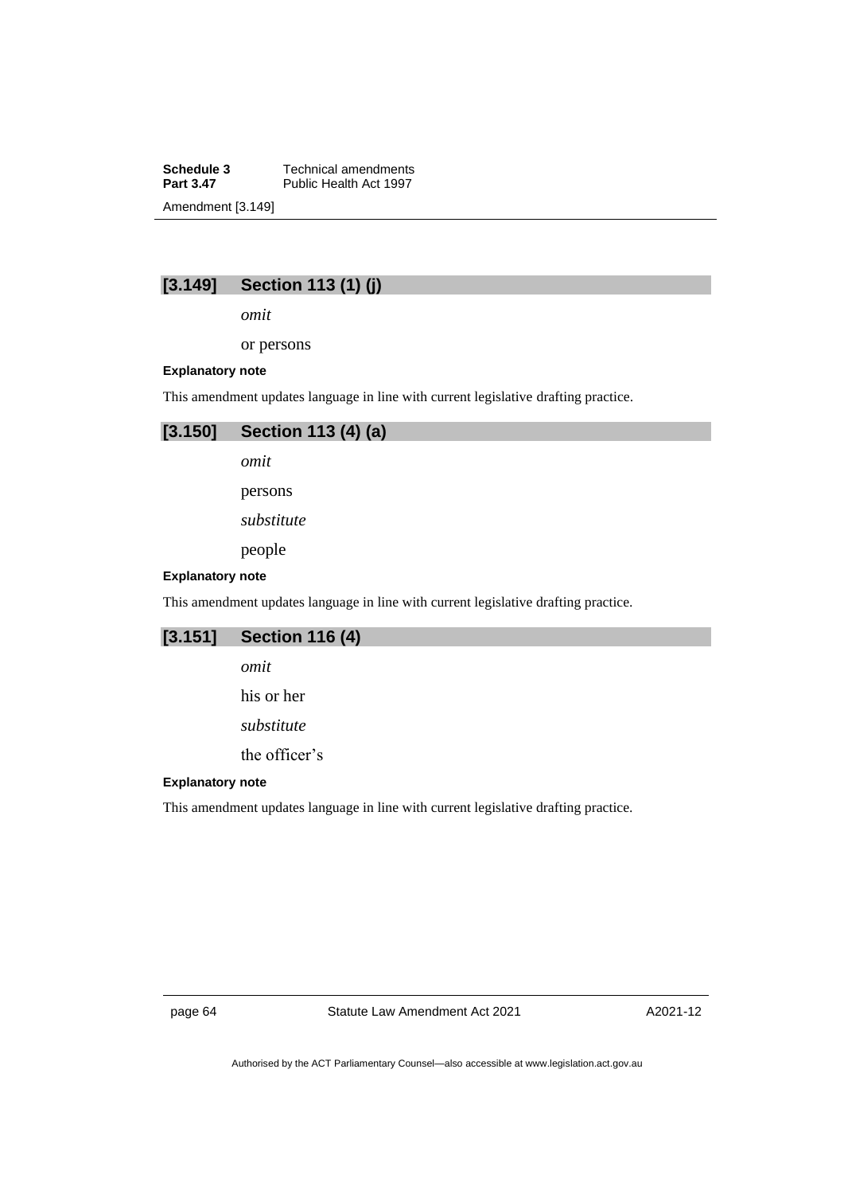**Schedule 3** Technical amendments<br>**Part 3.47** Public Health Act 1997 Public Health Act 1997 Amendment [3.149]

# **[3.149] Section 113 (1) (j)**

*omit*

or persons

## **Explanatory note**

This amendment updates language in line with current legislative drafting practice.



*omit*

persons

*substitute*

people

#### **Explanatory note**

This amendment updates language in line with current legislative drafting practice.

# **[3.151] Section 116 (4)**

*omit*

his or her

*substitute*

the officer's

## **Explanatory note**

This amendment updates language in line with current legislative drafting practice.

page 64 Statute Law Amendment Act 2021

A2021-12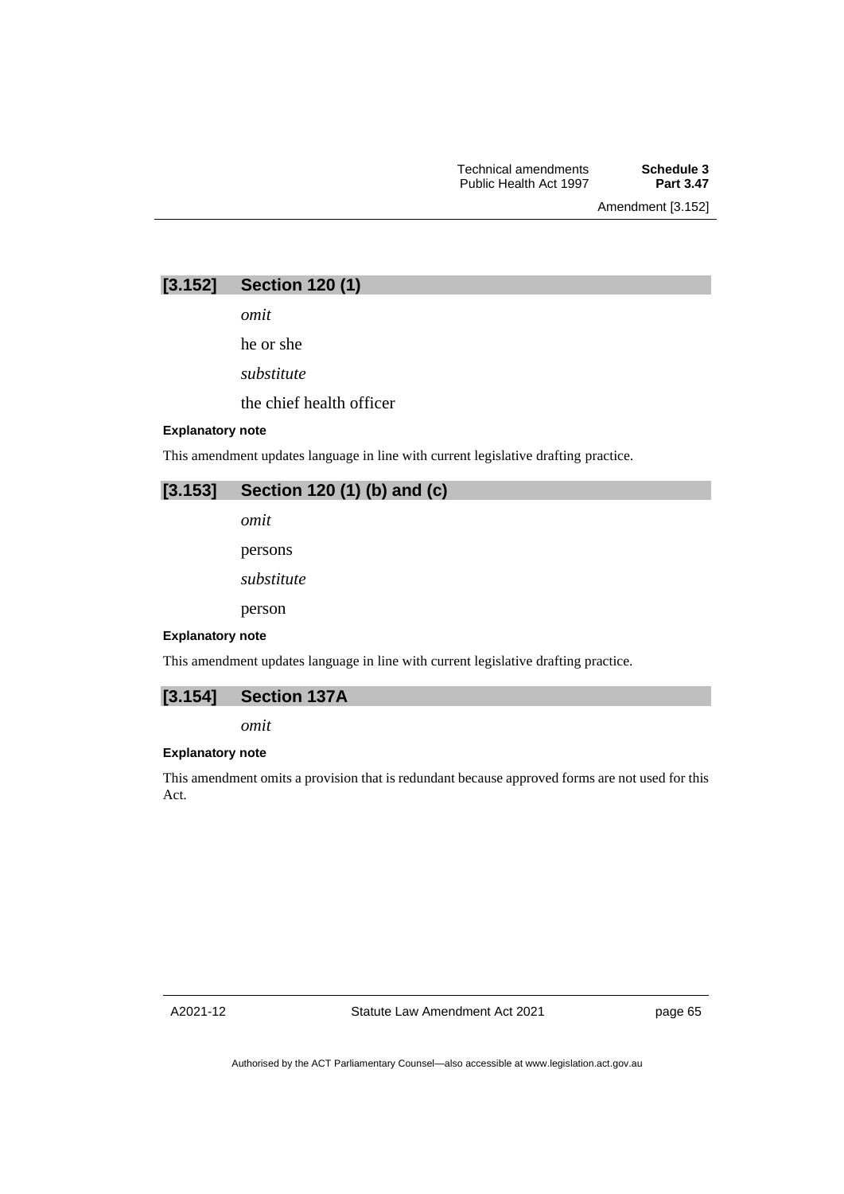Amendment [3.152]

*omit*

he or she

*substitute*

the chief health officer

### **Explanatory note**

This amendment updates language in line with current legislative drafting practice.

# **[3.153] Section 120 (1) (b) and (c)**

*omit*

persons

*substitute*

person

#### **Explanatory note**

This amendment updates language in line with current legislative drafting practice.



*omit*

## **Explanatory note**

This amendment omits a provision that is redundant because approved forms are not used for this Act.

A2021-12

page 65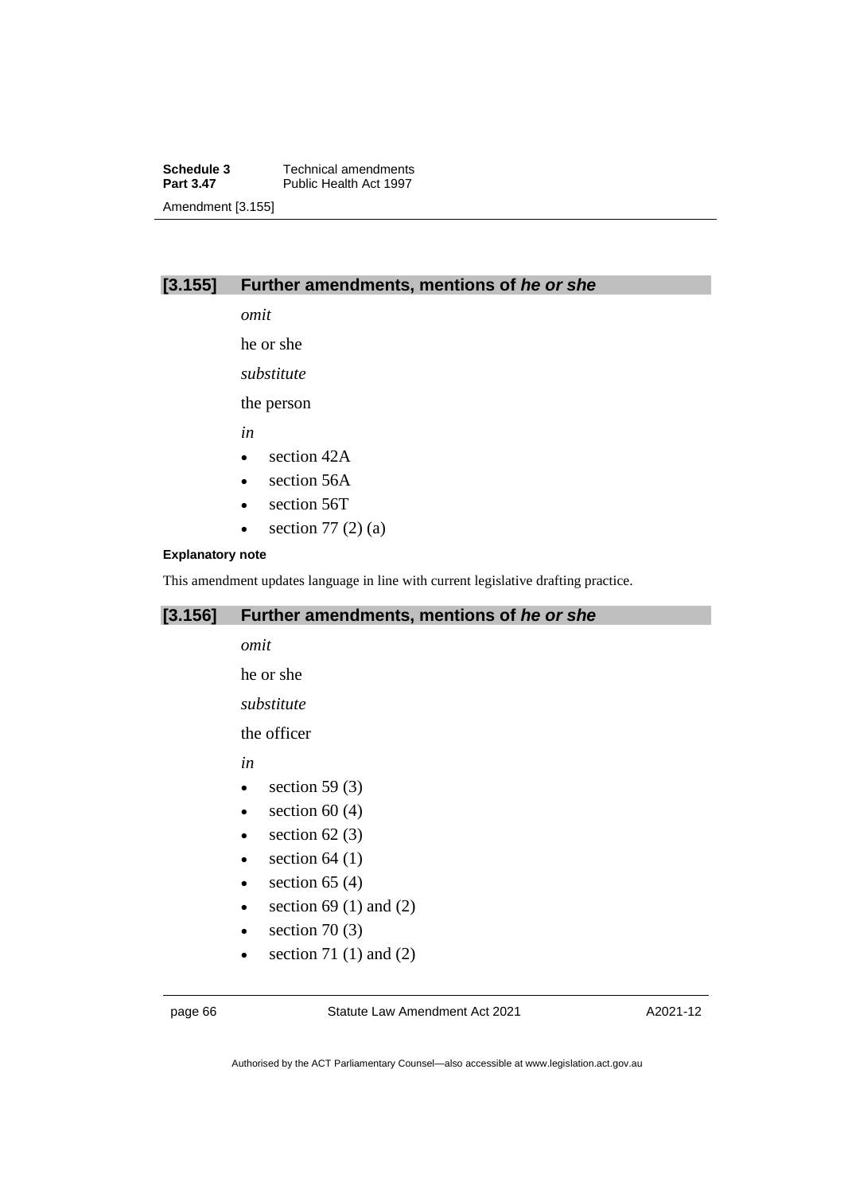**Schedule 3** Technical amendments<br>**Part 3.47** Public Health Act 1997 Public Health Act 1997 Amendment [3.155]

## **[3.155] Further amendments, mentions of** *he or she*

*omit*

he or she

*substitute*

the person

*in*

- section 42A
- section 56A
- section 56T
- section  $77(2)(a)$

## **Explanatory note**

This amendment updates language in line with current legislative drafting practice.

## **[3.156] Further amendments, mentions of** *he or she*

*omit*

he or she

*substitute*

the officer

*in*

- section 59 $(3)$
- $\bullet$  section 60 (4)
- section  $62(3)$
- $\bullet$  section 64 (1)
- $\bullet$  section 65 (4)
- section 69 (1) and (2)
- section  $70(3)$
- section 71 $(1)$  and  $(2)$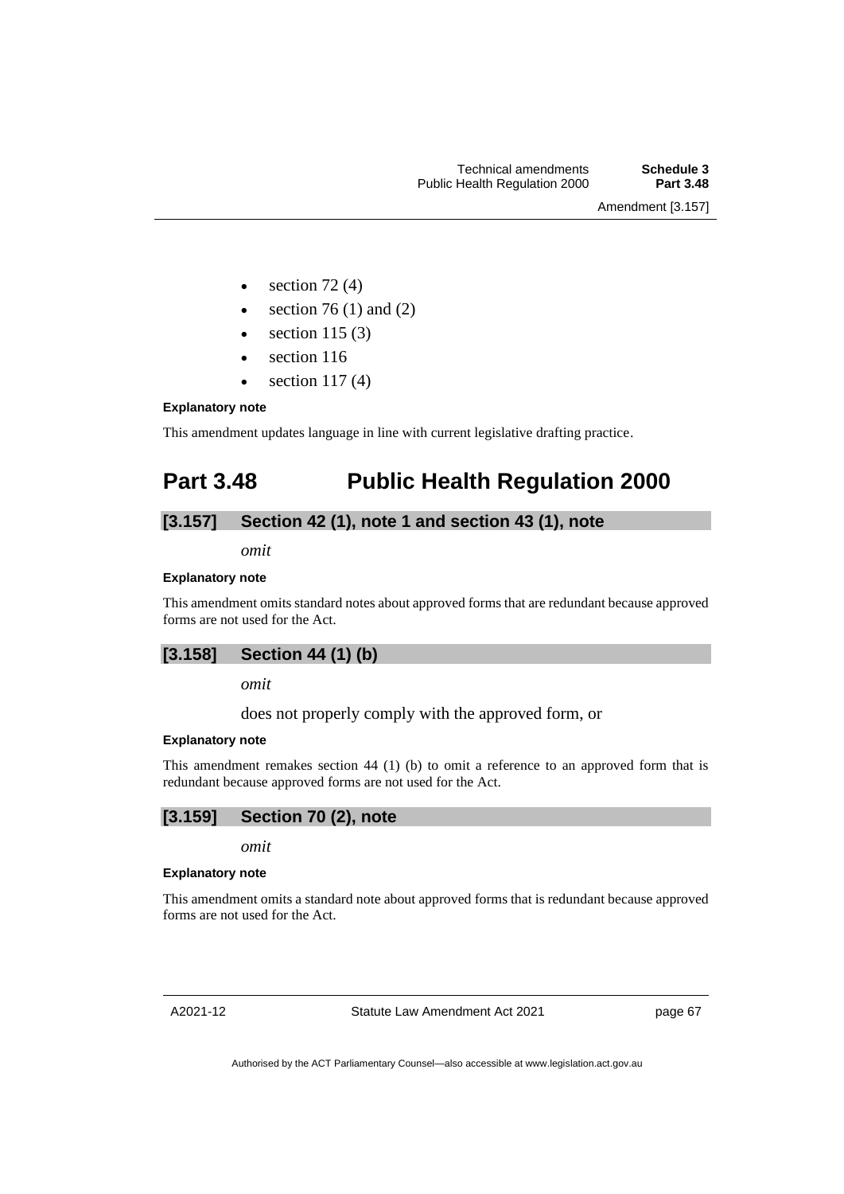Amendment [3.157]

- section  $72(4)$
- section  $76(1)$  and  $(2)$
- section  $115(3)$
- section 116
- $\bullet$  section 117(4)

## **Explanatory note**

This amendment updates language in line with current legislative drafting practice.

# **Part 3.48 Public Health Regulation 2000**

## **[3.157] Section 42 (1), note 1 and section 43 (1), note**

*omit*

### **Explanatory note**

This amendment omits standard notes about approved forms that are redundant because approved forms are not used for the Act.

## **[3.158] Section 44 (1) (b)**

### *omit*

does not properly comply with the approved form, or

## **Explanatory note**

This amendment remakes section 44 (1) (b) to omit a reference to an approved form that is redundant because approved forms are not used for the Act.

# **[3.159] Section 70 (2), note**

*omit*

### **Explanatory note**

This amendment omits a standard note about approved forms that is redundant because approved forms are not used for the Act.

A2021-12

Statute Law Amendment Act 2021

page 67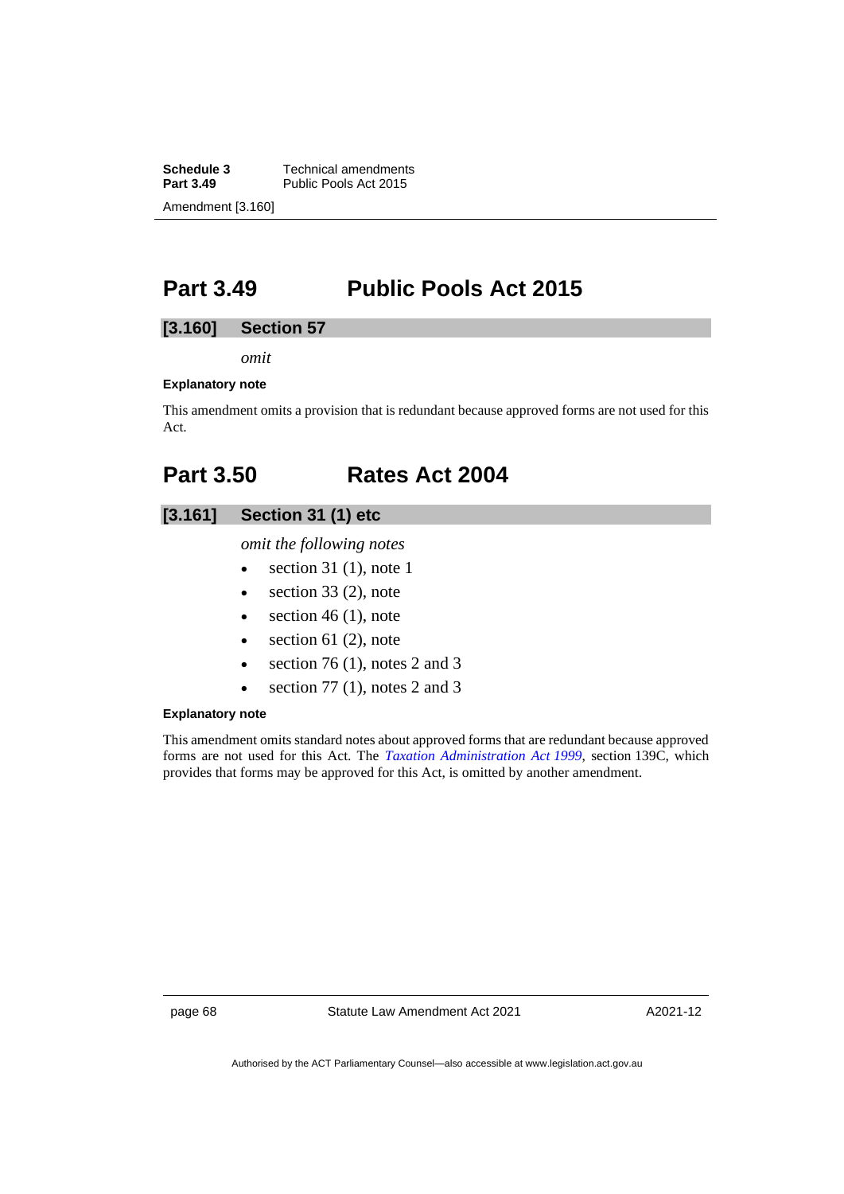**Schedule 3** Technical amendments<br>**Part 3.49** Public Pools Act 2015 Public Pools Act 2015 Amendment [3.160]

# **Part 3.49 Public Pools Act 2015**

## **[3.160] Section 57**

*omit*

### **Explanatory note**

This amendment omits a provision that is redundant because approved forms are not used for this Act.

# **Part 3.50 Rates Act 2004**

## **[3.161] Section 31 (1) etc**

*omit the following notes*

- section 31 (1), note 1
- $\bullet$  section 33 (2), note
- $\bullet$  section 46 (1), note
- $\bullet$  section 61 (2), note
- section 76 (1), notes 2 and 3
- section 77 (1), notes 2 and 3

### **Explanatory note**

This amendment omits standard notes about approved forms that are redundant because approved forms are not used for this Act. The *[Taxation Administration Act](http://www.legislation.act.gov.au/a/1999-4) 1999*, section 139C, which provides that forms may be approved for this Act, is omitted by another amendment.

page 68 Statute Law Amendment Act 2021

A2021-12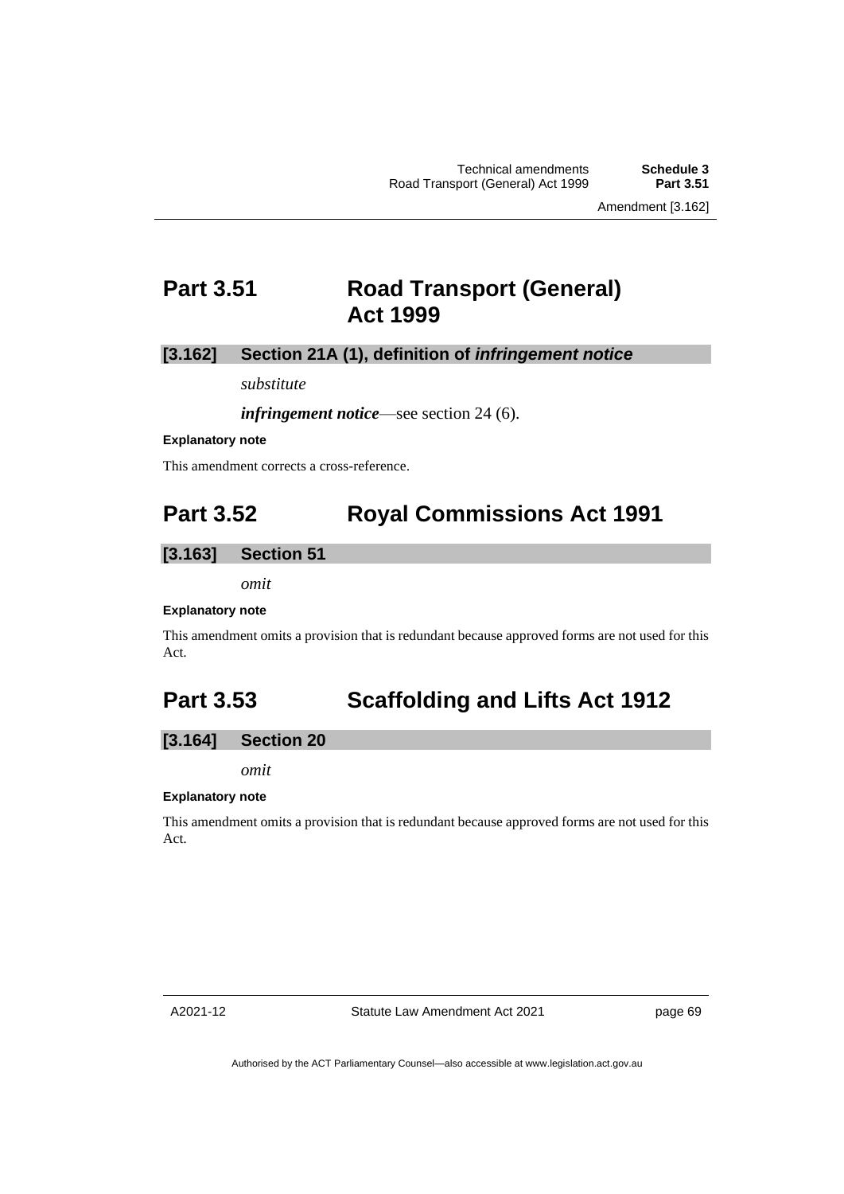Amendment [3.162]

## **Part 3.51 Road Transport (General) Act 1999**

### **[3.162] Section 21A (1), definition of** *infringement notice*

*substitute*

*infringement notice*—see section 24 (6).

#### **Explanatory note**

This amendment corrects a cross-reference.

# **Part 3.52 Royal Commissions Act 1991**

### **[3.163] Section 51**

*omit*

#### **Explanatory note**

This amendment omits a provision that is redundant because approved forms are not used for this Act.

# **Part 3.53 Scaffolding and Lifts Act 1912**

### **[3.164] Section 20**

*omit*

### **Explanatory note**

This amendment omits a provision that is redundant because approved forms are not used for this Act.

Statute Law Amendment Act 2021

page 69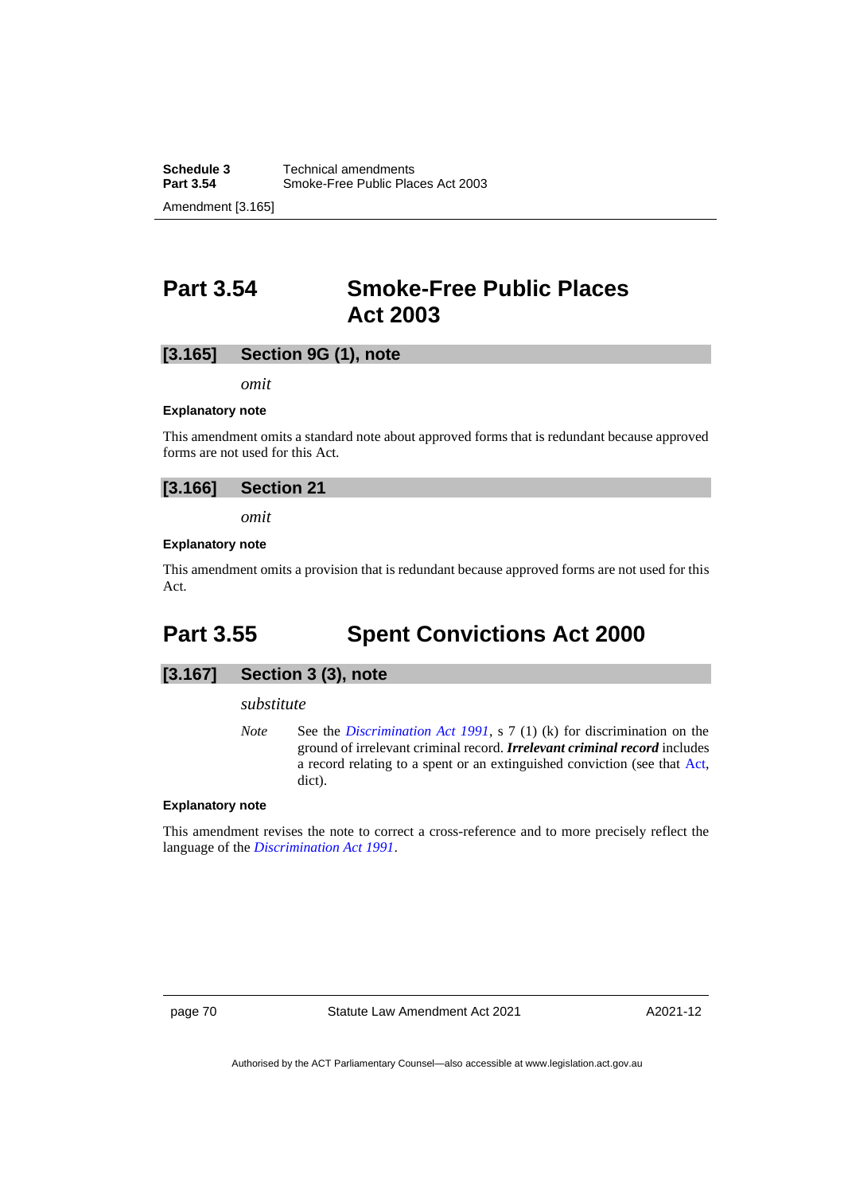## **Part 3.54 Smoke-Free Public Places Act 2003**

### **[3.165] Section 9G (1), note**

*omit*

#### **Explanatory note**

This amendment omits a standard note about approved forms that is redundant because approved forms are not used for this Act.

### **[3.166] Section 21**

*omit*

#### **Explanatory note**

This amendment omits a provision that is redundant because approved forms are not used for this Act.

# **Part 3.55 Spent Convictions Act 2000**

### **[3.167] Section 3 (3), note**

#### *substitute*

*Note* See the *[Discrimination Act 1991](http://www.legislation.act.gov.au/a/1991-81)*, s 7 (1) (k) for discrimination on the ground of irrelevant criminal record. *Irrelevant criminal record* includes a record relating to a spent or an extinguished conviction (see that [Act,](https://legislation.act.gov.au/a/1991-81/) dict).

#### **Explanatory note**

This amendment revises the note to correct a cross-reference and to more precisely reflect the language of the *[Discrimination Act 1991](http://www.legislation.act.gov.au/a/1991-81)*.

page 70 Statute Law Amendment Act 2021

A2021-12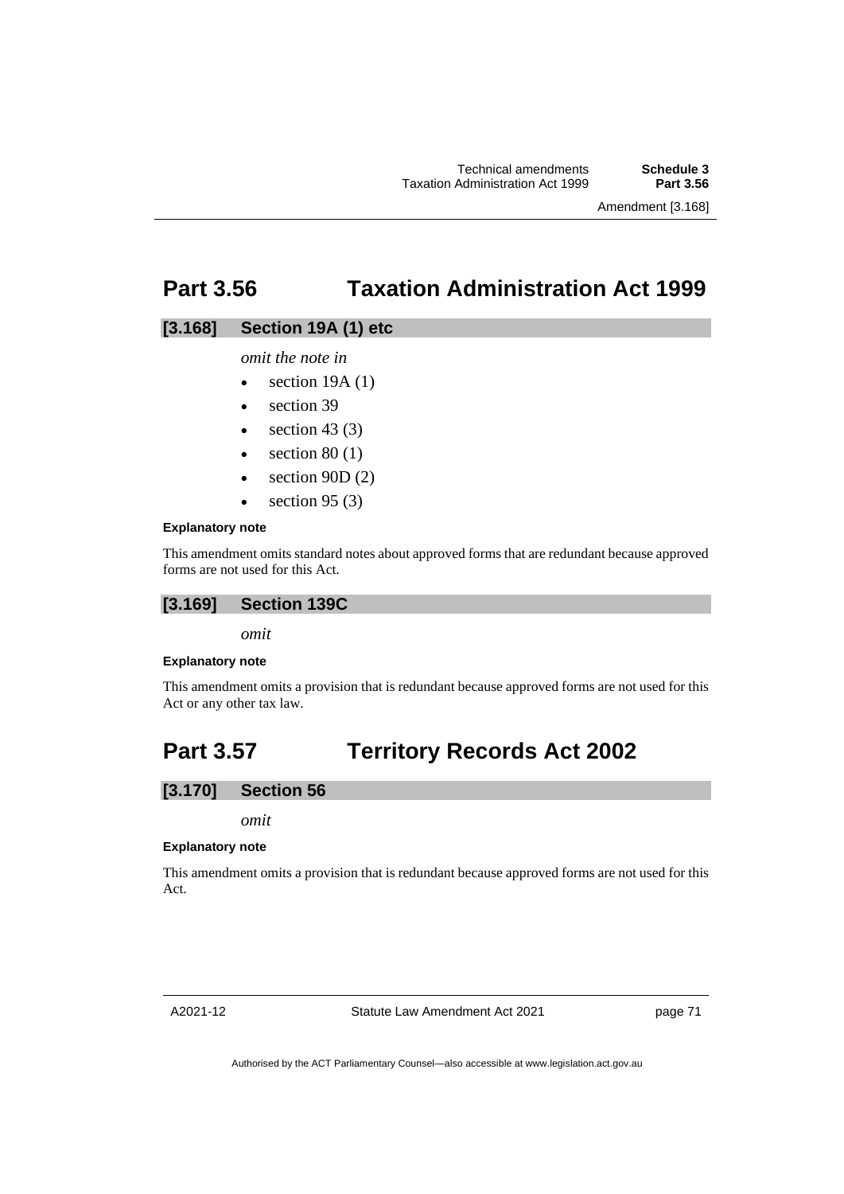Amendment [3.168]

## **Part 3.56 Taxation Administration Act 1999**

### **[3.168] Section 19A (1) etc**

*omit the note in* 

- section  $19A(1)$
- section 39
- section 43 $(3)$
- section  $80(1)$
- section  $90D(2)$
- $\bullet$  section 95 (3)

#### **Explanatory note**

This amendment omits standard notes about approved forms that are redundant because approved forms are not used for this Act.

## **[3.169] Section 139C**

*omit*

#### **Explanatory note**

This amendment omits a provision that is redundant because approved forms are not used for this Act or any other tax law.

# **Part 3.57 Territory Records Act 2002**

## **[3.170] Section 56**

*omit*

#### **Explanatory note**

This amendment omits a provision that is redundant because approved forms are not used for this Act.

A2021-12

Statute Law Amendment Act 2021

page 71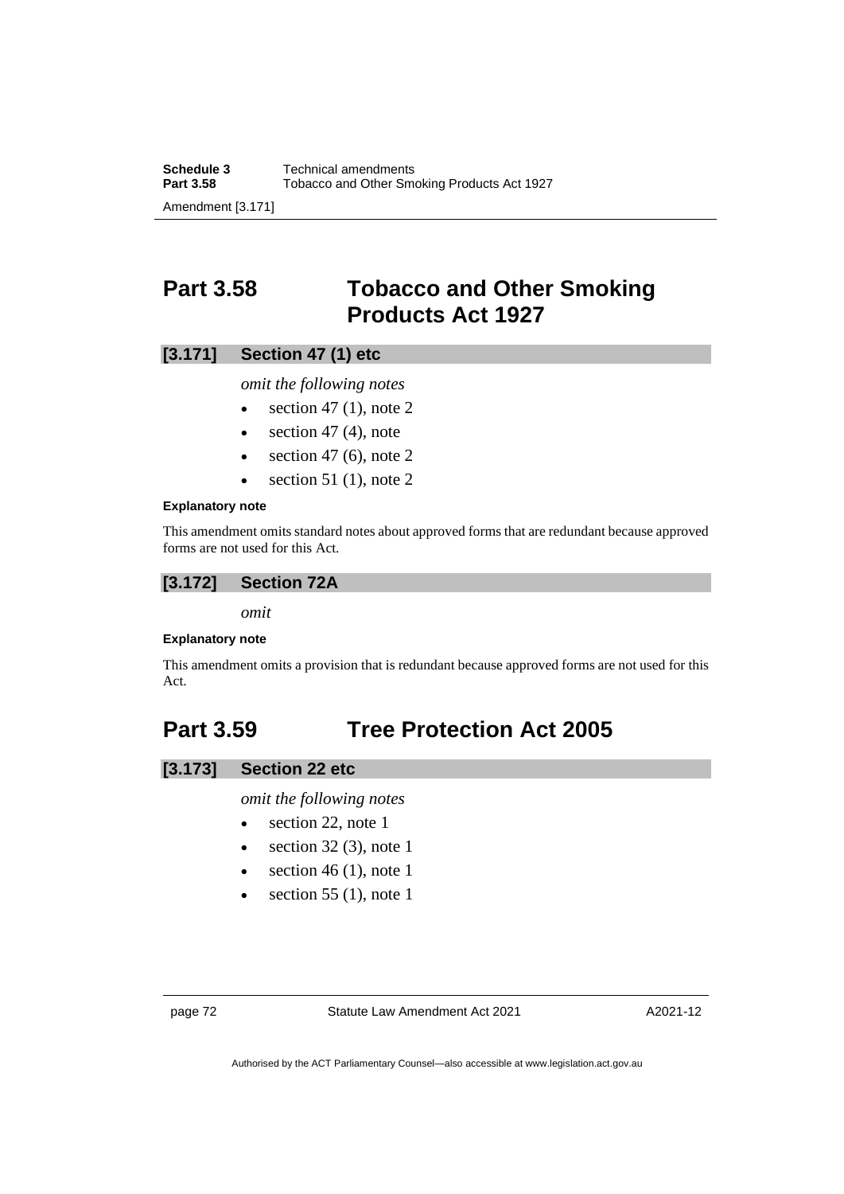# **Part 3.58 Tobacco and Other Smoking Products Act 1927**

## **[3.171] Section 47 (1) etc**

*omit the following notes*

- $\bullet$  section 47 (1), note 2
- section  $47$  (4), note
- $\bullet$  section 47 (6), note 2
- section 51 (1), note 2

#### **Explanatory note**

This amendment omits standard notes about approved forms that are redundant because approved forms are not used for this Act.

### **[3.172] Section 72A**

*omit*

### **Explanatory note**

This amendment omits a provision that is redundant because approved forms are not used for this Act.

# **Part 3.59 Tree Protection Act 2005**

## **[3.173] Section 22 etc**

*omit the following notes*

- section 22, note 1
- section  $32(3)$ , note 1
- section 46 (1), note 1
- section 55  $(1)$ , note 1

page 72 Statute Law Amendment Act 2021

A2021-12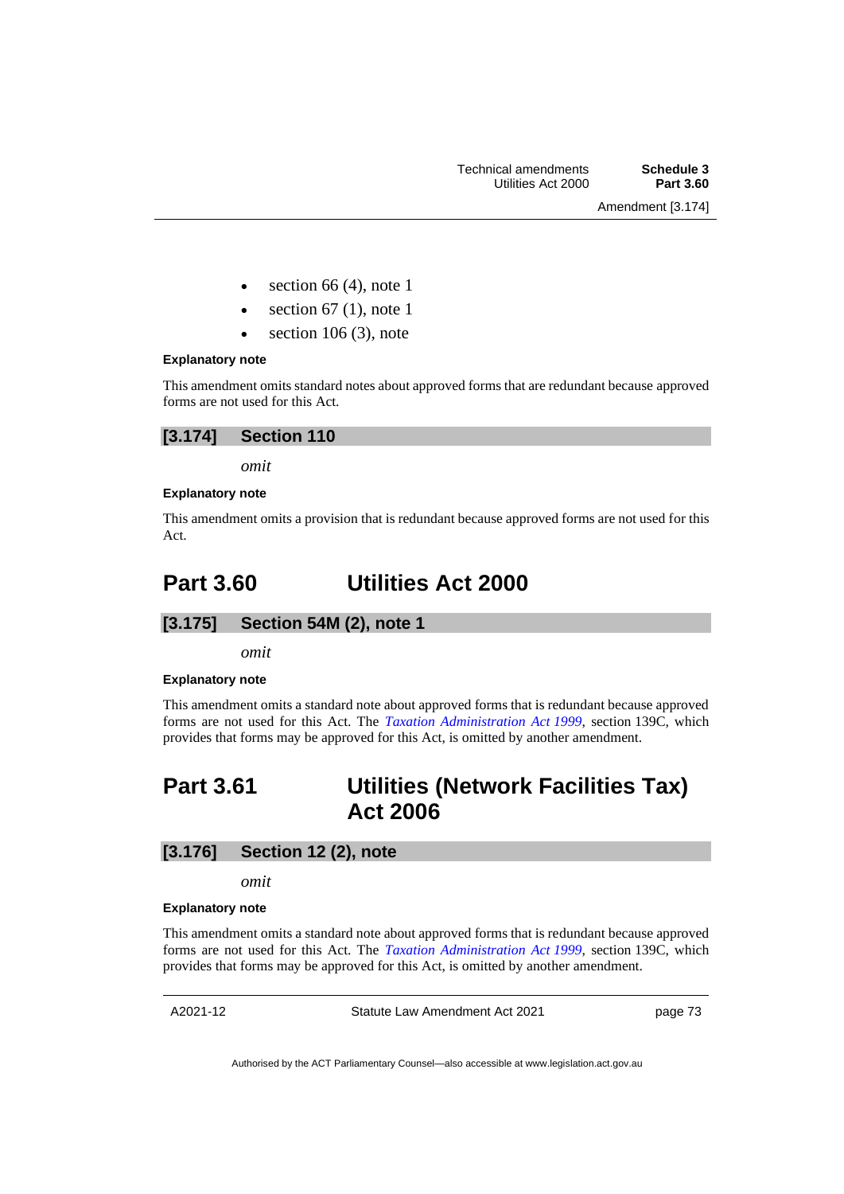- section 66 $(4)$ , note 1
- section  $67$  (1), note 1
- section  $106(3)$ , note

#### **Explanatory note**

This amendment omits standard notes about approved forms that are redundant because approved forms are not used for this Act.

| [3.174] | <b>Section 110</b> |
|---------|--------------------|
|---------|--------------------|

*omit*

### **Explanatory note**

This amendment omits a provision that is redundant because approved forms are not used for this Act.

# **Part 3.60 Utilities Act 2000**

## **[3.175] Section 54M (2), note 1**

*omit*

### **Explanatory note**

This amendment omits a standard note about approved forms that is redundant because approved forms are not used for this Act. The *[Taxation Administration Act](http://www.legislation.act.gov.au/a/1999-4) 1999*, section 139C, which provides that forms may be approved for this Act, is omitted by another amendment.

# **Part 3.61 Utilities (Network Facilities Tax) Act 2006**

## **[3.176] Section 12 (2), note**

*omit*

#### **Explanatory note**

This amendment omits a standard note about approved forms that is redundant because approved forms are not used for this Act. The *[Taxation Administration Act](http://www.legislation.act.gov.au/a/1999-4) 1999*, section 139C, which provides that forms may be approved for this Act, is omitted by another amendment.

A2021-12

Statute Law Amendment Act 2021

page 73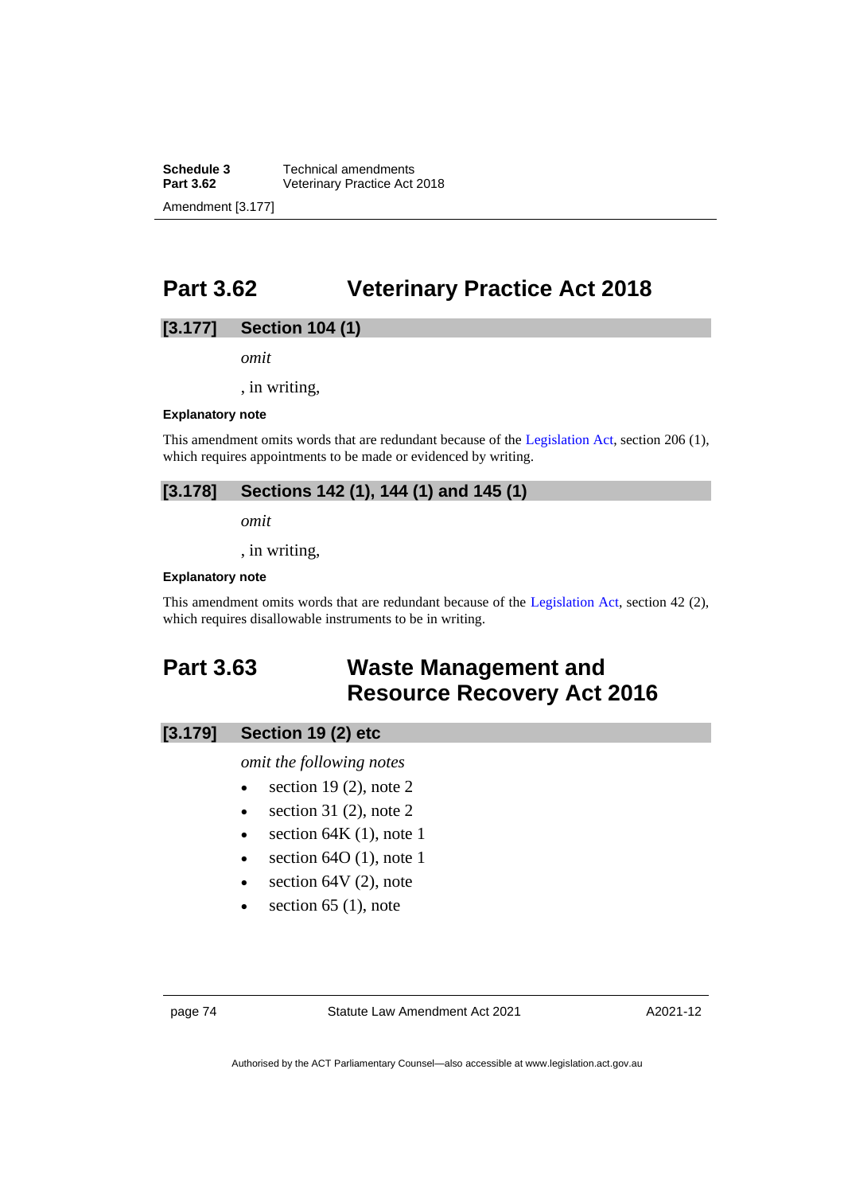**Schedule 3** Technical amendments<br>**Part 3.62** Veterinary Practice Act **Veterinary Practice Act 2018** Amendment [3.177]

# **Part 3.62 Veterinary Practice Act 2018**

## **[3.177] Section 104 (1)**

*omit*

, in writing,

#### **Explanatory note**

This amendment omits words that are redundant because of the [Legislation Act,](http://www.legislation.act.gov.au/a/2001-14) section 206 (1), which requires appointments to be made or evidenced by writing.

## **[3.178] Sections 142 (1), 144 (1) and 145 (1)**

*omit*

, in writing,

#### **Explanatory note**

This amendment omits words that are redundant because of the [Legislation Act,](http://www.legislation.act.gov.au/a/2001-14) section 42 (2), which requires disallowable instruments to be in writing.

## **Part 3.63 Waste Management and Resource Recovery Act 2016**

### **[3.179] Section 19 (2) etc**

#### *omit the following notes*

- $\bullet$  section 19 (2), note 2
- $\bullet$  section 31 (2), note 2
- section  $64K(1)$ , note 1
- section 64O (1), note 1
- section  $64V(2)$ , note
- section  $65$  (1), note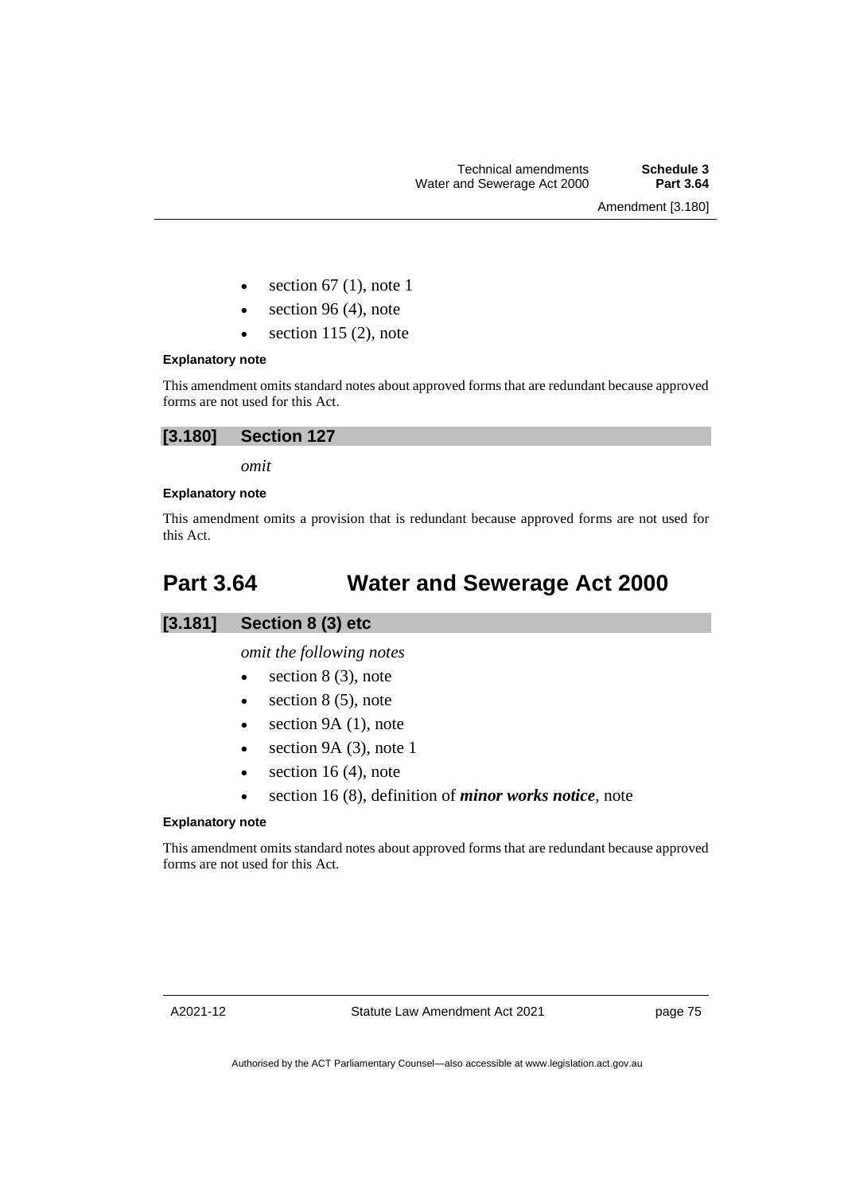Amendment [3.180]

- section 67 (1), note 1
- $\bullet$  section 96 (4), note
- $\bullet$  section 115 (2), note

#### **Explanatory note**

This amendment omits standard notes about approved forms that are redundant because approved forms are not used for this Act.

*omit*

### **Explanatory note**

This amendment omits a provision that is redundant because approved forms are not used for this Act.

# **Part 3.64 Water and Sewerage Act 2000**



*omit the following notes*

- section  $8(3)$ , note
- $\bullet$  section 8 (5), note
- $\bullet$  section 9A (1), note
- section  $9A(3)$ , note 1
- $\bullet$  section 16 (4), note
- section 16 (8), definition of *minor works notice*, note

#### **Explanatory note**

This amendment omits standard notes about approved forms that are redundant because approved forms are not used for this Act.

page 75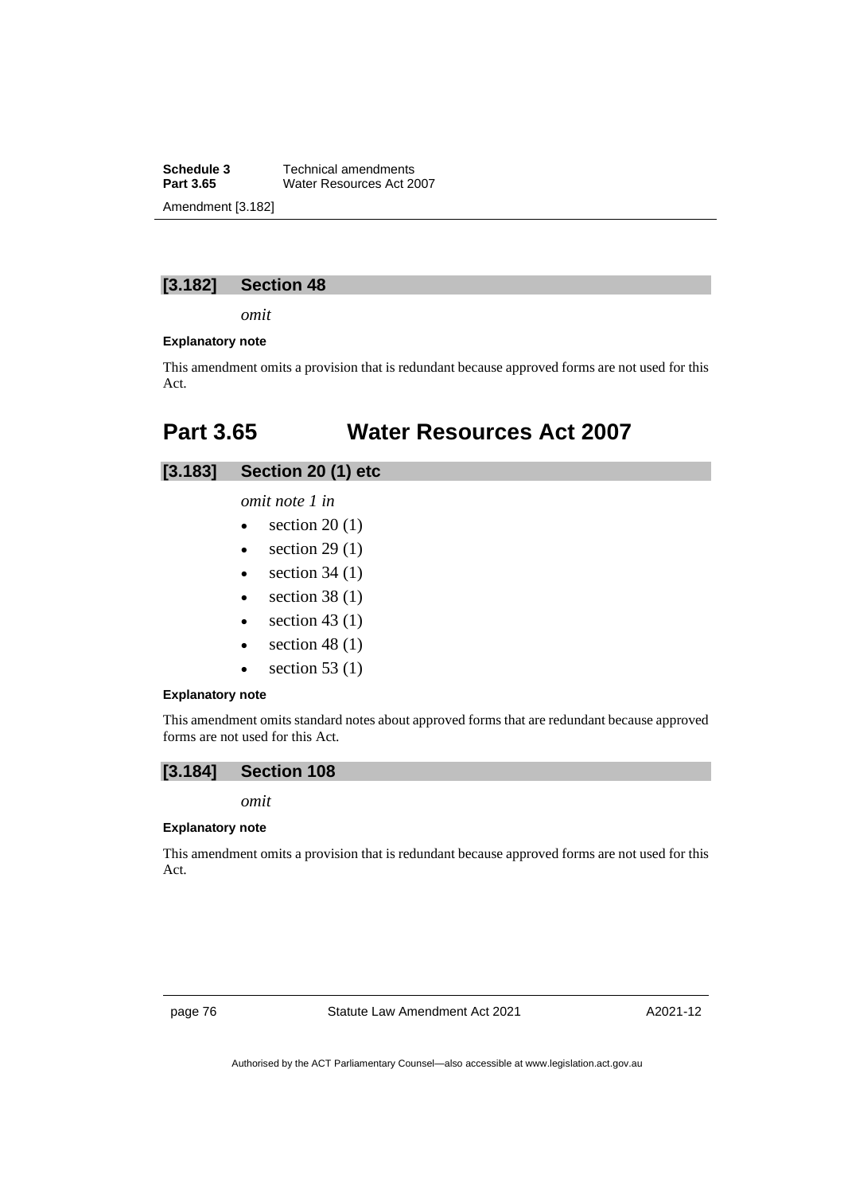**Schedule 3** Technical amendments<br>**Part 3.65** Water Resources Act 20 **Water Resources Act 2007** Amendment [3.182]

## **[3.182] Section 48**

*omit*

### **Explanatory note**

This amendment omits a provision that is redundant because approved forms are not used for this Act.

# **Part 3.65 Water Resources Act 2007**

## **[3.183] Section 20 (1) etc**

*omit note 1 in* 

- section  $20(1)$
- section  $29(1)$
- section  $34(1)$
- section  $38(1)$
- $\bullet$  section 43 (1)
- section  $48(1)$
- section  $53(1)$

#### **Explanatory note**

This amendment omits standard notes about approved forms that are redundant because approved forms are not used for this Act.



*omit*

#### **Explanatory note**

This amendment omits a provision that is redundant because approved forms are not used for this Act.

page 76 Statute Law Amendment Act 2021

A2021-12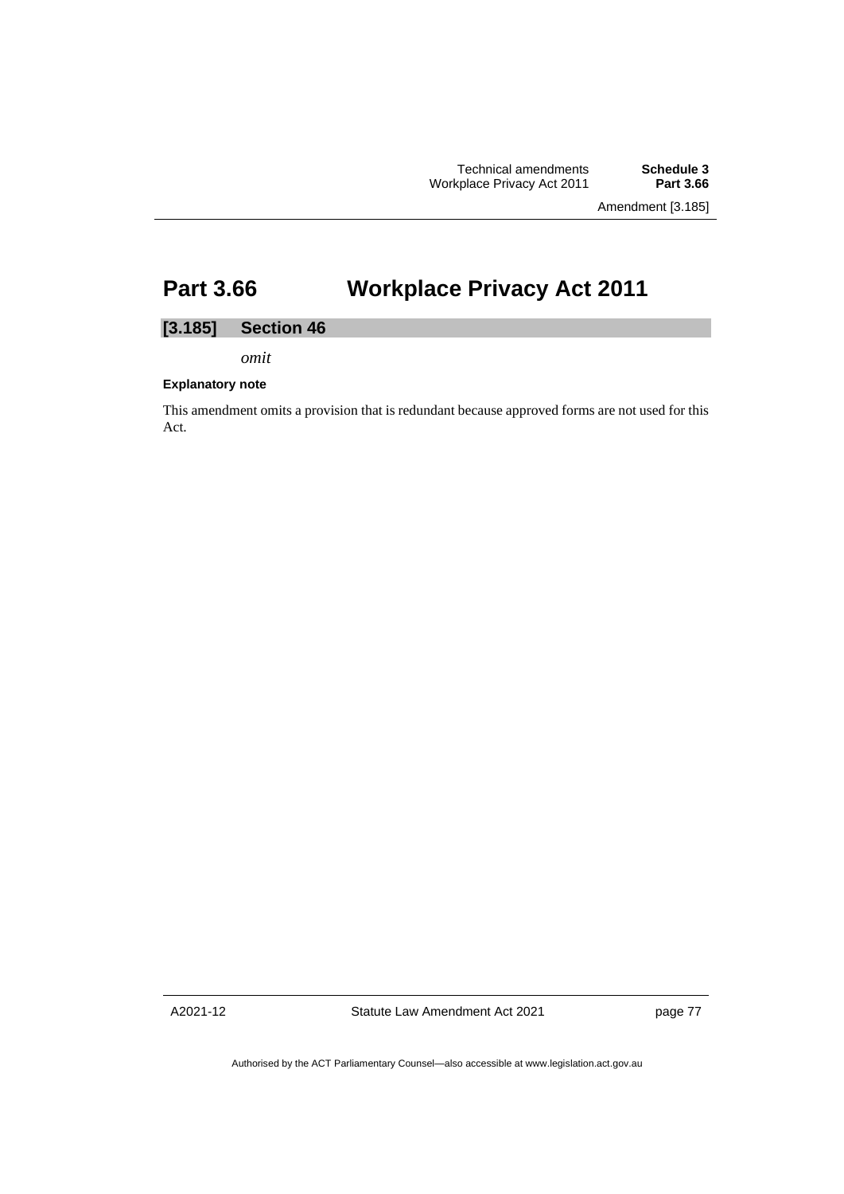Technical amendments **Schedule 3 Workplace Privacy Act 2011** 

Amendment [3.185]

# **Part 3.66 Workplace Privacy Act 2011**

### **[3.185] Section 46**

*omit*

#### **Explanatory note**

This amendment omits a provision that is redundant because approved forms are not used for this Act.

A2021-12

Statute Law Amendment Act 2021

page 77